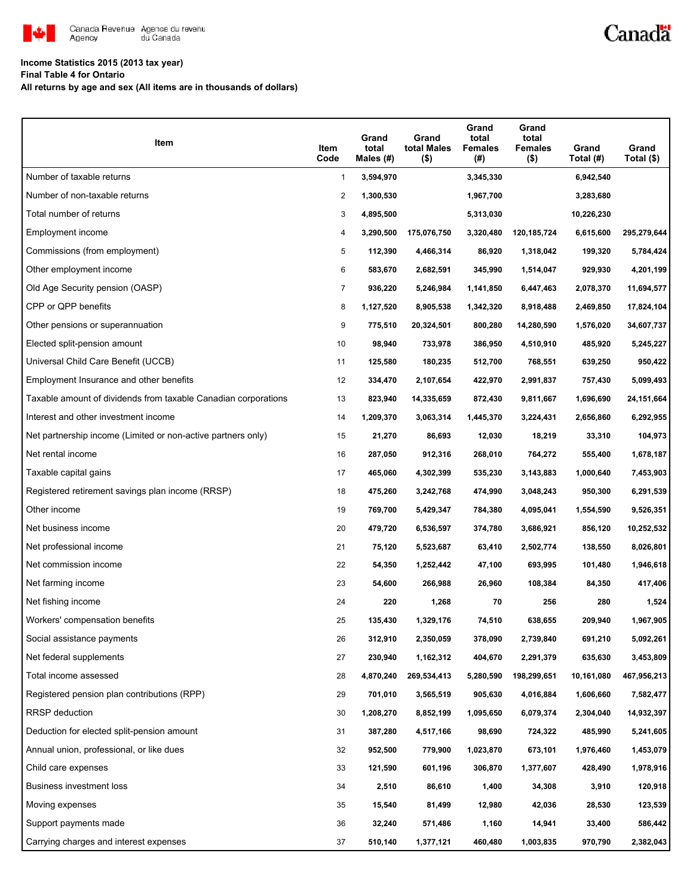

## Canadä

## **Income Statistics 2015 (2013 tax year)**

**Final Table 4 for Ontario**

**All returns by age and sex (All items are in thousands of dollars)**

| Item                                                           | Item<br>Code | Grand<br>total<br>Males $(H)$ | Grand<br>total Males<br>$($ \$) | Grand<br>total<br><b>Females</b><br>(# ) | Grand<br>total<br><b>Females</b><br>$($ \$) | Grand<br>Total (#) | Grand<br>Total (\$) |
|----------------------------------------------------------------|--------------|-------------------------------|---------------------------------|------------------------------------------|---------------------------------------------|--------------------|---------------------|
| Number of taxable returns                                      | 1            | 3,594,970                     |                                 | 3,345,330                                |                                             | 6,942,540          |                     |
| Number of non-taxable returns                                  | 2            | 1,300,530                     |                                 | 1,967,700                                |                                             | 3,283,680          |                     |
| Total number of returns                                        | 3            | 4,895,500                     |                                 | 5,313,030                                |                                             | 10,226,230         |                     |
| Employment income                                              | 4            | 3,290,500                     | 175,076,750                     | 3,320,480                                | 120,185,724                                 | 6,615,600          | 295,279,644         |
| Commissions (from employment)                                  | 5            | 112,390                       | 4,466,314                       | 86,920                                   | 1,318,042                                   | 199,320            | 5,784,424           |
| Other employment income                                        | 6            | 583,670                       | 2,682,591                       | 345,990                                  | 1,514,047                                   | 929,930            | 4,201,199           |
| Old Age Security pension (OASP)                                | 7            | 936,220                       | 5,246,984                       | 1,141,850                                | 6,447,463                                   | 2,078,370          | 11,694,577          |
| CPP or QPP benefits                                            | 8            | 1,127,520                     | 8,905,538                       | 1,342,320                                | 8,918,488                                   | 2,469,850          | 17,824,104          |
| Other pensions or superannuation                               | 9            | 775,510                       | 20,324,501                      | 800,280                                  | 14,280,590                                  | 1,576,020          | 34,607,737          |
| Elected split-pension amount                                   | 10           | 98,940                        | 733,978                         | 386,950                                  | 4,510,910                                   | 485,920            | 5,245,227           |
| Universal Child Care Benefit (UCCB)                            | 11           | 125,580                       | 180,235                         | 512,700                                  | 768,551                                     | 639,250            | 950,422             |
| Employment Insurance and other benefits                        | 12           | 334,470                       | 2,107,654                       | 422,970                                  | 2,991,837                                   | 757,430            | 5,099,493           |
| Taxable amount of dividends from taxable Canadian corporations | 13           | 823,940                       | 14,335,659                      | 872,430                                  | 9,811,667                                   | 1,696,690          | 24,151,664          |
| Interest and other investment income                           | 14           | 1,209,370                     | 3,063,314                       | 1,445,370                                | 3,224,431                                   | 2,656,860          | 6,292,955           |
| Net partnership income (Limited or non-active partners only)   | 15           | 21,270                        | 86,693                          | 12,030                                   | 18,219                                      | 33,310             | 104,973             |
| Net rental income                                              | 16           | 287,050                       | 912,316                         | 268,010                                  | 764,272                                     | 555,400            | 1,678,187           |
| Taxable capital gains                                          | 17           | 465,060                       | 4,302,399                       | 535,230                                  | 3,143,883                                   | 1,000,640          | 7,453,903           |
| Registered retirement savings plan income (RRSP)               | 18           | 475,260                       | 3,242,768                       | 474,990                                  | 3,048,243                                   | 950,300            | 6,291,539           |
| Other income                                                   | 19           | 769,700                       | 5,429,347                       | 784,380                                  | 4,095,041                                   | 1,554,590          | 9,526,351           |
| Net business income                                            | 20           | 479,720                       | 6,536,597                       | 374,780                                  | 3,686,921                                   | 856,120            | 10,252,532          |
| Net professional income                                        | 21           | 75,120                        | 5,523,687                       | 63,410                                   | 2,502,774                                   | 138,550            | 8,026,801           |
| Net commission income                                          | 22           | 54,350                        | 1,252,442                       | 47,100                                   | 693,995                                     | 101,480            | 1,946,618           |
| Net farming income                                             | 23           | 54,600                        | 266,988                         | 26,960                                   | 108,384                                     | 84,350             | 417,406             |
| Net fishing income                                             | 24           | 220                           | 1,268                           | 70                                       | 256                                         | 280                | 1,524               |
| Workers' compensation benefits                                 | 25           | 135,430                       | 1,329,176                       | 74,510                                   | 638,655                                     | 209,940            | 1,967,905           |
| Social assistance payments                                     | 26           | 312,910                       | 2,350,059                       | 378,090                                  | 2,739,840                                   | 691,210            | 5,092,261           |
| Net federal supplements                                        | 27           | 230,940                       | 1,162,312                       | 404,670                                  | 2,291,379                                   | 635,630            | 3,453,809           |
| Total income assessed                                          | 28           | 4,870,240                     | 269,534,413                     | 5,280,590                                | 198,299,651                                 | 10,161,080         | 467,956,213         |
| Registered pension plan contributions (RPP)                    | 29           | 701,010                       | 3,565,519                       | 905,630                                  | 4,016,884                                   | 1,606,660          | 7,582,477           |
| <b>RRSP</b> deduction                                          | 30           | 1,208,270                     | 8,852,199                       | 1,095,650                                | 6,079,374                                   | 2,304,040          | 14,932,397          |
| Deduction for elected split-pension amount                     | 31           | 387,280                       | 4,517,166                       | 98,690                                   | 724,322                                     | 485,990            | 5,241,605           |
| Annual union, professional, or like dues                       | 32           | 952,500                       | 779,900                         | 1,023,870                                | 673,101                                     | 1,976,460          | 1,453,079           |
| Child care expenses                                            | 33           | 121,590                       | 601,196                         | 306,870                                  | 1,377,607                                   | 428,490            | 1,978,916           |
| Business investment loss                                       | 34           | 2,510                         | 86,610                          | 1,400                                    | 34,308                                      | 3,910              | 120,918             |
| Moving expenses                                                | 35           | 15,540                        | 81,499                          | 12,980                                   | 42,036                                      | 28,530             | 123,539             |
| Support payments made                                          | 36           | 32,240                        | 571,486                         | 1,160                                    | 14,941                                      | 33,400             | 586,442             |
| Carrying charges and interest expenses                         | 37           | 510,140                       | 1,377,121                       | 460,480                                  | 1,003,835                                   | 970,790            | 2,382,043           |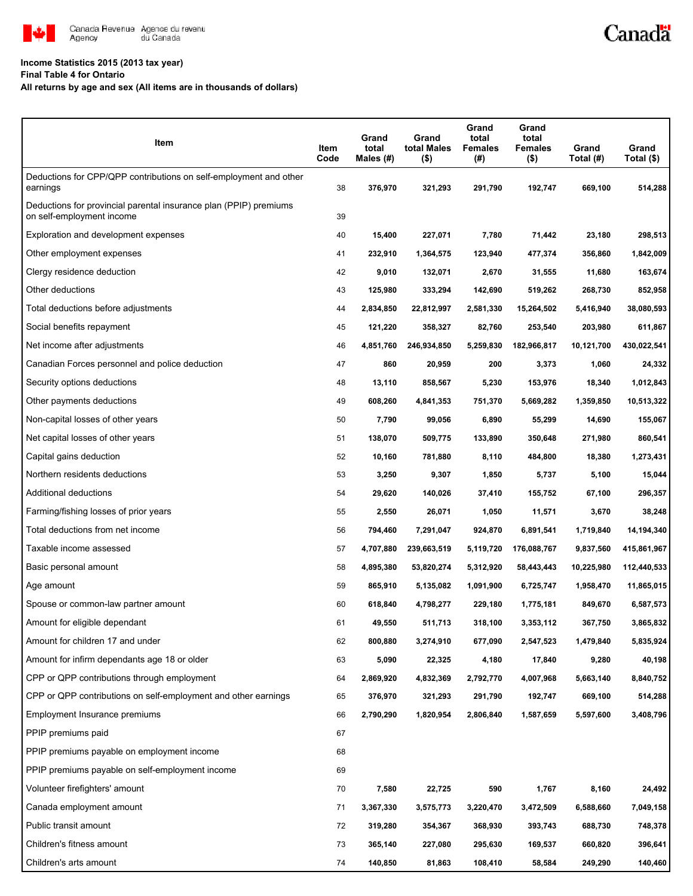

#### **Income Statistics 2015 (2013 tax year)**

**Final Table 4 for Ontario**

**All returns by age and sex (All items are in thousands of dollars)**

| Item                                                                                           | Item<br>Code | Grand<br>total<br>Males (#) | Grand<br>total Males<br>$($ \$) | Grand<br>total<br><b>Females</b><br>(#) | Grand<br>total<br><b>Females</b><br>$($ \$) | Grand<br>Total (#) | Grand<br>Total (\$) |
|------------------------------------------------------------------------------------------------|--------------|-----------------------------|---------------------------------|-----------------------------------------|---------------------------------------------|--------------------|---------------------|
| Deductions for CPP/QPP contributions on self-employment and other<br>earnings                  | 38           | 376,970                     | 321,293                         | 291,790                                 | 192,747                                     | 669,100            | 514,288             |
| Deductions for provincial parental insurance plan (PPIP) premiums<br>on self-employment income | 39           |                             |                                 |                                         |                                             |                    |                     |
| Exploration and development expenses                                                           | 40           | 15,400                      | 227,071                         | 7,780                                   | 71,442                                      | 23,180             | 298,513             |
| Other employment expenses                                                                      | 41           | 232,910                     | 1,364,575                       | 123,940                                 | 477,374                                     | 356,860            | 1,842,009           |
| Clergy residence deduction                                                                     | 42           | 9,010                       | 132,071                         | 2,670                                   | 31,555                                      | 11,680             | 163,674             |
| Other deductions                                                                               | 43           | 125,980                     | 333,294                         | 142,690                                 | 519,262                                     | 268,730            | 852,958             |
| Total deductions before adjustments                                                            | 44           | 2,834,850                   | 22,812,997                      | 2,581,330                               | 15,264,502                                  | 5,416,940          | 38,080,593          |
| Social benefits repayment                                                                      | 45           | 121,220                     | 358,327                         | 82,760                                  | 253,540                                     | 203,980            | 611,867             |
| Net income after adjustments                                                                   | 46           | 4,851,760                   | 246,934,850                     | 5,259,830                               | 182,966,817                                 | 10,121,700         | 430,022,541         |
| Canadian Forces personnel and police deduction                                                 | 47           | 860                         | 20,959                          | 200                                     | 3,373                                       | 1,060              | 24,332              |
| Security options deductions                                                                    | 48           | 13,110                      | 858,567                         | 5,230                                   | 153,976                                     | 18,340             | 1,012,843           |
| Other payments deductions                                                                      | 49           | 608,260                     | 4,841,353                       | 751,370                                 | 5,669,282                                   | 1,359,850          | 10,513,322          |
| Non-capital losses of other years                                                              | 50           | 7,790                       | 99,056                          | 6,890                                   | 55,299                                      | 14,690             | 155,067             |
| Net capital losses of other years                                                              | 51           | 138,070                     | 509,775                         | 133,890                                 | 350,648                                     | 271,980            | 860,541             |
| Capital gains deduction                                                                        | 52           | 10,160                      | 781,880                         | 8,110                                   | 484,800                                     | 18,380             | 1,273,431           |
| Northern residents deductions                                                                  | 53           | 3,250                       | 9,307                           | 1,850                                   | 5,737                                       | 5,100              | 15,044              |
| Additional deductions                                                                          | 54           | 29,620                      | 140,026                         | 37,410                                  | 155,752                                     | 67,100             | 296,357             |
| Farming/fishing losses of prior years                                                          | 55           | 2,550                       | 26,071                          | 1,050                                   | 11,571                                      | 3,670              | 38,248              |
| Total deductions from net income                                                               | 56           | 794,460                     | 7,291,047                       | 924,870                                 | 6,891,541                                   | 1,719,840          | 14,194,340          |
| Taxable income assessed                                                                        | 57           | 4,707,880                   | 239,663,519                     | 5,119,720                               | 176,088,767                                 | 9,837,560          | 415,861,967         |
| Basic personal amount                                                                          | 58           | 4,895,380                   | 53,820,274                      | 5,312,920                               | 58,443,443                                  | 10,225,980         | 112,440,533         |
| Age amount                                                                                     | 59           | 865,910                     | 5,135,082                       | 1,091,900                               | 6,725,747                                   | 1,958,470          | 11,865,015          |
| Spouse or common-law partner amount                                                            | 60           | 618,840                     | 4,798,277                       | 229,180                                 | 1,775,181                                   | 849,670            | 6,587,573           |
| Amount for eligible dependant                                                                  | 61           | 49,550                      | 511,713                         | 318,100                                 | 3,353,112                                   | 367,750            | 3,865,832           |
| Amount for children 17 and under                                                               | 62           | 800,880                     | 3,274,910                       | 677,090                                 | 2,547,523                                   | 1,479,840          | 5,835,924           |
| Amount for infirm dependants age 18 or older                                                   | 63           | 5,090                       | 22,325                          | 4,180                                   | 17,840                                      | 9,280              | 40,198              |
| CPP or QPP contributions through employment                                                    | 64           | 2,869,920                   | 4,832,369                       | 2,792,770                               | 4,007,968                                   | 5,663,140          | 8,840,752           |
| CPP or QPP contributions on self-employment and other earnings                                 | 65           | 376,970                     | 321,293                         | 291,790                                 | 192,747                                     | 669,100            | 514,288             |
| Employment Insurance premiums                                                                  | 66           | 2,790,290                   | 1,820,954                       | 2,806,840                               | 1,587,659                                   | 5,597,600          | 3,408,796           |
| PPIP premiums paid                                                                             | 67           |                             |                                 |                                         |                                             |                    |                     |
| PPIP premiums payable on employment income                                                     | 68           |                             |                                 |                                         |                                             |                    |                     |
| PPIP premiums payable on self-employment income                                                | 69           |                             |                                 |                                         |                                             |                    |                     |
| Volunteer firefighters' amount                                                                 | 70           | 7,580                       | 22,725                          | 590                                     | 1,767                                       | 8,160              | 24,492              |
| Canada employment amount                                                                       | 71           | 3,367,330                   | 3,575,773                       | 3,220,470                               | 3,472,509                                   | 6,588,660          | 7,049,158           |
| Public transit amount                                                                          | 72           | 319,280                     | 354,367                         | 368,930                                 | 393,743                                     | 688,730            | 748,378             |
| Children's fitness amount                                                                      | 73           | 365,140                     | 227,080                         | 295,630                                 | 169,537                                     | 660,820            | 396,641             |
| Children's arts amount                                                                         | 74           | 140,850                     | 81,863                          | 108,410                                 | 58,584                                      | 249,290            | 140,460             |

Canadä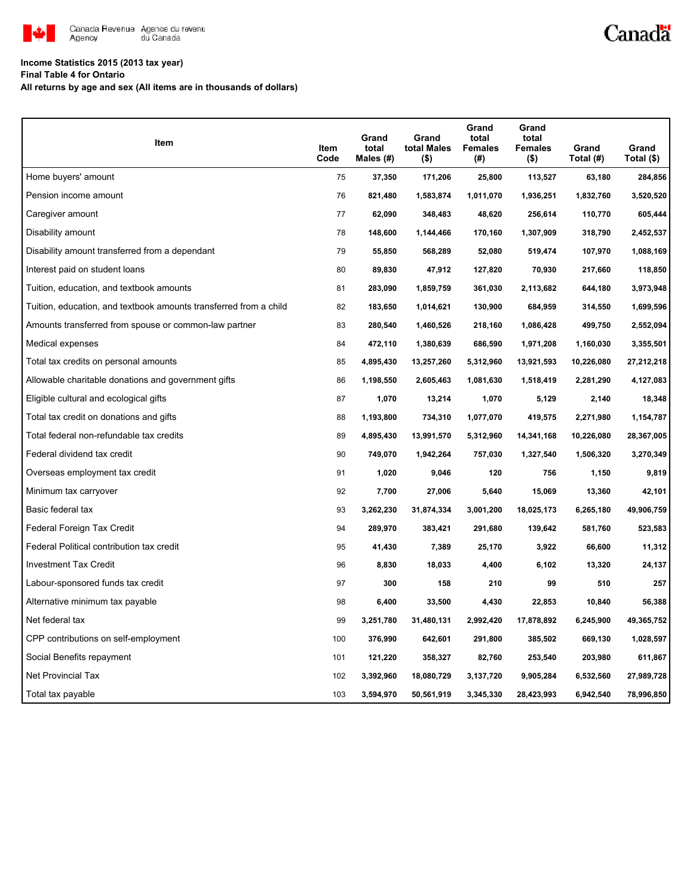

# Canadä

## **Income Statistics 2015 (2013 tax year)**

**Final Table 4 for Ontario**

**All returns by age and sex (All items are in thousands of dollars)**

| <b>Item</b>                                                       | Item<br>Code | Grand<br>total<br>Males (#) | Grand<br>total Males<br>$($ \$) | Grand<br>total<br><b>Females</b><br>(# ) | Grand<br>total<br><b>Females</b><br>$($ \$) | Grand<br>Total (#) | Grand<br>Total (\$) |
|-------------------------------------------------------------------|--------------|-----------------------------|---------------------------------|------------------------------------------|---------------------------------------------|--------------------|---------------------|
| Home buyers' amount                                               | 75           | 37,350                      | 171,206                         | 25,800                                   | 113,527                                     | 63,180             | 284,856             |
| Pension income amount                                             | 76           | 821,480                     | 1,583,874                       | 1,011,070                                | 1,936,251                                   | 1,832,760          | 3,520,520           |
| Caregiver amount                                                  | 77           | 62,090                      | 348,483                         | 48,620                                   | 256,614                                     | 110,770            | 605,444             |
| Disability amount                                                 | 78           | 148,600                     | 1,144,466                       | 170,160                                  | 1,307,909                                   | 318,790            | 2,452,537           |
| Disability amount transferred from a dependant                    | 79           | 55,850                      | 568,289                         | 52,080                                   | 519,474                                     | 107,970            | 1,088,169           |
| Interest paid on student loans                                    | 80           | 89,830                      | 47,912                          | 127,820                                  | 70,930                                      | 217,660            | 118,850             |
| Tuition, education, and textbook amounts                          | 81           | 283,090                     | 1,859,759                       | 361,030                                  | 2,113,682                                   | 644,180            | 3,973,948           |
| Tuition, education, and textbook amounts transferred from a child | 82           | 183,650                     | 1,014,621                       | 130,900                                  | 684,959                                     | 314,550            | 1,699,596           |
| Amounts transferred from spouse or common-law partner             | 83           | 280,540                     | 1,460,526                       | 218,160                                  | 1,086,428                                   | 499,750            | 2,552,094           |
| Medical expenses                                                  | 84           | 472,110                     | 1,380,639                       | 686,590                                  | 1,971,208                                   | 1,160,030          | 3,355,501           |
| Total tax credits on personal amounts                             | 85           | 4,895,430                   | 13,257,260                      | 5,312,960                                | 13,921,593                                  | 10,226,080         | 27,212,218          |
| Allowable charitable donations and government gifts               | 86           | 1,198,550                   | 2,605,463                       | 1,081,630                                | 1,518,419                                   | 2,281,290          | 4,127,083           |
| Eligible cultural and ecological gifts                            | 87           | 1,070                       | 13,214                          | 1,070                                    | 5,129                                       | 2,140              | 18,348              |
| Total tax credit on donations and gifts                           | 88           | 1,193,800                   | 734,310                         | 1,077,070                                | 419,575                                     | 2,271,980          | 1,154,787           |
| Total federal non-refundable tax credits                          | 89           | 4,895,430                   | 13,991,570                      | 5,312,960                                | 14,341,168                                  | 10,226,080         | 28,367,005          |
| Federal dividend tax credit                                       | 90           | 749,070                     | 1,942,264                       | 757,030                                  | 1,327,540                                   | 1,506,320          | 3,270,349           |
| Overseas employment tax credit                                    | 91           | 1,020                       | 9,046                           | 120                                      | 756                                         | 1,150              | 9,819               |
| Minimum tax carryover                                             | 92           | 7,700                       | 27,006                          | 5,640                                    | 15,069                                      | 13,360             | 42,101              |
| Basic federal tax                                                 | 93           | 3,262,230                   | 31,874,334                      | 3,001,200                                | 18,025,173                                  | 6,265,180          | 49,906,759          |
| Federal Foreign Tax Credit                                        | 94           | 289,970                     | 383,421                         | 291,680                                  | 139,642                                     | 581,760            | 523,583             |
| Federal Political contribution tax credit                         | 95           | 41,430                      | 7,389                           | 25,170                                   | 3,922                                       | 66,600             | 11,312              |
| <b>Investment Tax Credit</b>                                      | 96           | 8,830                       | 18,033                          | 4,400                                    | 6,102                                       | 13,320             | 24,137              |
| Labour-sponsored funds tax credit                                 | 97           | 300                         | 158                             | 210                                      | 99                                          | 510                | 257                 |
| Alternative minimum tax payable                                   | 98           | 6,400                       | 33,500                          | 4,430                                    | 22,853                                      | 10,840             | 56,388              |
| Net federal tax                                                   | 99           | 3,251,780                   | 31,480,131                      | 2,992,420                                | 17,878,892                                  | 6,245,900          | 49,365,752          |
| CPP contributions on self-employment                              | 100          | 376,990                     | 642,601                         | 291,800                                  | 385,502                                     | 669,130            | 1,028,597           |
| Social Benefits repayment                                         | 101          | 121,220                     | 358,327                         | 82,760                                   | 253,540                                     | 203,980            | 611,867             |
| <b>Net Provincial Tax</b>                                         | 102          | 3,392,960                   | 18,080,729                      | 3,137,720                                | 9,905,284                                   | 6,532,560          | 27,989,728          |
| Total tax payable                                                 | 103          | 3,594,970                   | 50,561,919                      | 3,345,330                                | 28,423,993                                  | 6,942,540          | 78,996,850          |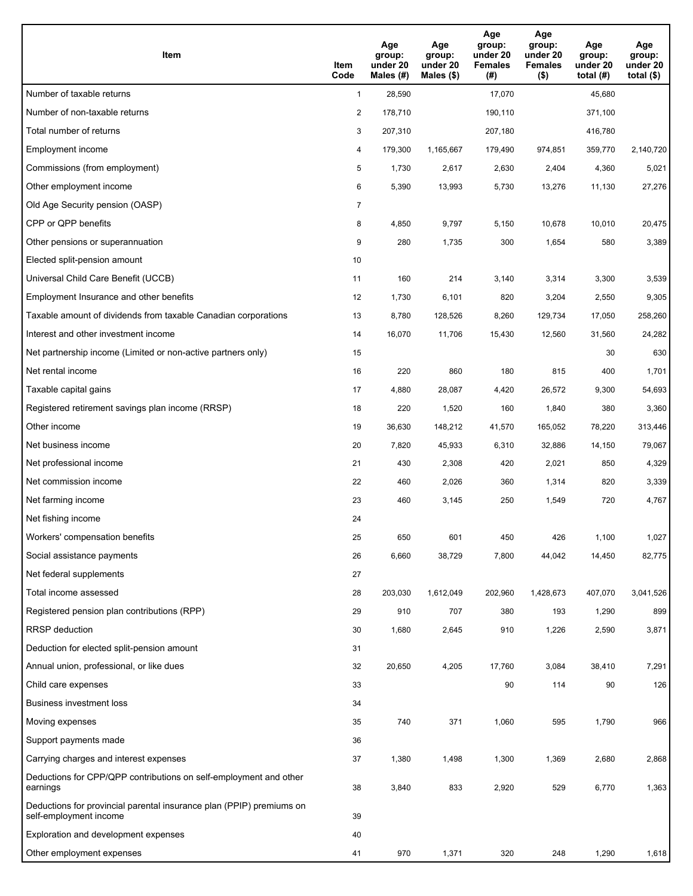| Item                                                                                           | Item<br>Code   | Age<br>group:<br>under 20<br>Males (#) | Age<br>group:<br>under 20<br>Males $(\$)$ | Age<br>group:<br>under 20<br><b>Females</b><br>(#) | Age<br>group:<br>under 20<br><b>Females</b><br>$($ \$) | Age<br>group:<br>under 20<br>total $(H)$ | Age<br>group:<br>under 20<br>total $(\$)$ |
|------------------------------------------------------------------------------------------------|----------------|----------------------------------------|-------------------------------------------|----------------------------------------------------|--------------------------------------------------------|------------------------------------------|-------------------------------------------|
| Number of taxable returns                                                                      | $\mathbf{1}$   | 28,590                                 |                                           | 17,070                                             |                                                        | 45.680                                   |                                           |
| Number of non-taxable returns                                                                  | $\overline{2}$ | 178,710                                |                                           | 190,110                                            |                                                        | 371,100                                  |                                           |
| Total number of returns                                                                        | 3              | 207,310                                |                                           | 207,180                                            |                                                        | 416,780                                  |                                           |
| Employment income                                                                              | 4              | 179,300                                | 1,165,667                                 | 179,490                                            | 974,851                                                | 359,770                                  | 2,140,720                                 |
| Commissions (from employment)                                                                  | 5              | 1,730                                  | 2,617                                     | 2,630                                              | 2,404                                                  | 4,360                                    | 5,021                                     |
| Other employment income                                                                        | 6              | 5,390                                  | 13,993                                    | 5,730                                              | 13,276                                                 | 11,130                                   | 27,276                                    |
| Old Age Security pension (OASP)                                                                | $\overline{7}$ |                                        |                                           |                                                    |                                                        |                                          |                                           |
| CPP or QPP benefits                                                                            | 8              | 4,850                                  | 9,797                                     | 5,150                                              | 10,678                                                 | 10,010                                   | 20,475                                    |
| Other pensions or superannuation                                                               | 9              | 280                                    | 1,735                                     | 300                                                | 1,654                                                  | 580                                      | 3,389                                     |
| Elected split-pension amount                                                                   | 10             |                                        |                                           |                                                    |                                                        |                                          |                                           |
| Universal Child Care Benefit (UCCB)                                                            | 11             | 160                                    | 214                                       | 3,140                                              | 3,314                                                  | 3,300                                    | 3,539                                     |
| Employment Insurance and other benefits                                                        | 12             | 1,730                                  | 6,101                                     | 820                                                | 3,204                                                  | 2,550                                    | 9,305                                     |
| Taxable amount of dividends from taxable Canadian corporations                                 | 13             | 8,780                                  | 128,526                                   | 8,260                                              | 129,734                                                | 17,050                                   | 258,260                                   |
| Interest and other investment income                                                           | 14             | 16,070                                 | 11,706                                    | 15,430                                             | 12,560                                                 | 31,560                                   | 24,282                                    |
| Net partnership income (Limited or non-active partners only)                                   | 15             |                                        |                                           |                                                    |                                                        | 30                                       | 630                                       |
| Net rental income                                                                              | 16             | 220                                    | 860                                       | 180                                                | 815                                                    | 400                                      | 1,701                                     |
| Taxable capital gains                                                                          | 17             | 4,880                                  | 28,087                                    | 4,420                                              | 26,572                                                 | 9,300                                    | 54,693                                    |
| Registered retirement savings plan income (RRSP)                                               | 18             | 220                                    | 1,520                                     | 160                                                | 1,840                                                  | 380                                      | 3,360                                     |
| Other income                                                                                   | 19             | 36,630                                 | 148,212                                   | 41,570                                             | 165,052                                                | 78,220                                   | 313,446                                   |
| Net business income                                                                            | 20             | 7,820                                  | 45,933                                    | 6,310                                              | 32,886                                                 | 14,150                                   | 79,067                                    |
| Net professional income                                                                        | 21             | 430                                    | 2,308                                     | 420                                                | 2,021                                                  | 850                                      | 4,329                                     |
| Net commission income                                                                          | 22             | 460                                    | 2,026                                     | 360                                                | 1,314                                                  | 820                                      | 3,339                                     |
| Net farming income                                                                             | 23             | 460                                    | 3,145                                     | 250                                                | 1,549                                                  | 720                                      | 4,767                                     |
| Net fishing income                                                                             | 24             |                                        |                                           |                                                    |                                                        |                                          |                                           |
| Workers' compensation benefits                                                                 | 25             | 650                                    | 601                                       | 450                                                | 426                                                    | 1,100                                    | 1,027                                     |
| Social assistance payments                                                                     | 26             | 6,660                                  | 38,729                                    | 7,800                                              | 44,042                                                 | 14,450                                   | 82,775                                    |
| Net federal supplements                                                                        | 27             |                                        |                                           |                                                    |                                                        |                                          |                                           |
| Total income assessed                                                                          | 28             | 203,030                                | 1,612,049                                 | 202,960                                            | 1,428,673                                              | 407,070                                  | 3,041,526                                 |
| Registered pension plan contributions (RPP)                                                    | 29             | 910                                    | 707                                       | 380                                                | 193                                                    | 1,290                                    | 899                                       |
| RRSP deduction                                                                                 | 30             | 1,680                                  | 2,645                                     | 910                                                | 1,226                                                  | 2,590                                    | 3,871                                     |
| Deduction for elected split-pension amount                                                     | 31             |                                        |                                           |                                                    |                                                        |                                          |                                           |
| Annual union, professional, or like dues                                                       | 32             | 20,650                                 | 4,205                                     | 17,760                                             | 3,084                                                  | 38,410                                   | 7,291                                     |
| Child care expenses                                                                            | 33             |                                        |                                           | 90                                                 | 114                                                    | 90                                       | 126                                       |
| <b>Business investment loss</b>                                                                | 34             |                                        |                                           |                                                    |                                                        |                                          |                                           |
| Moving expenses                                                                                | 35             | 740                                    | 371                                       | 1,060                                              | 595                                                    | 1,790                                    | 966                                       |
| Support payments made                                                                          | 36             |                                        |                                           |                                                    |                                                        |                                          |                                           |
| Carrying charges and interest expenses                                                         | 37             | 1,380                                  | 1,498                                     | 1,300                                              | 1,369                                                  | 2,680                                    | 2,868                                     |
| Deductions for CPP/QPP contributions on self-employment and other<br>earnings                  | 38             | 3,840                                  | 833                                       | 2,920                                              | 529                                                    | 6,770                                    | 1,363                                     |
| Deductions for provincial parental insurance plan (PPIP) premiums on<br>self-employment income | 39             |                                        |                                           |                                                    |                                                        |                                          |                                           |
| Exploration and development expenses                                                           | 40             |                                        |                                           |                                                    |                                                        |                                          |                                           |
| Other employment expenses                                                                      | 41             | 970                                    | 1,371                                     | 320                                                | 248                                                    | 1,290                                    | 1,618                                     |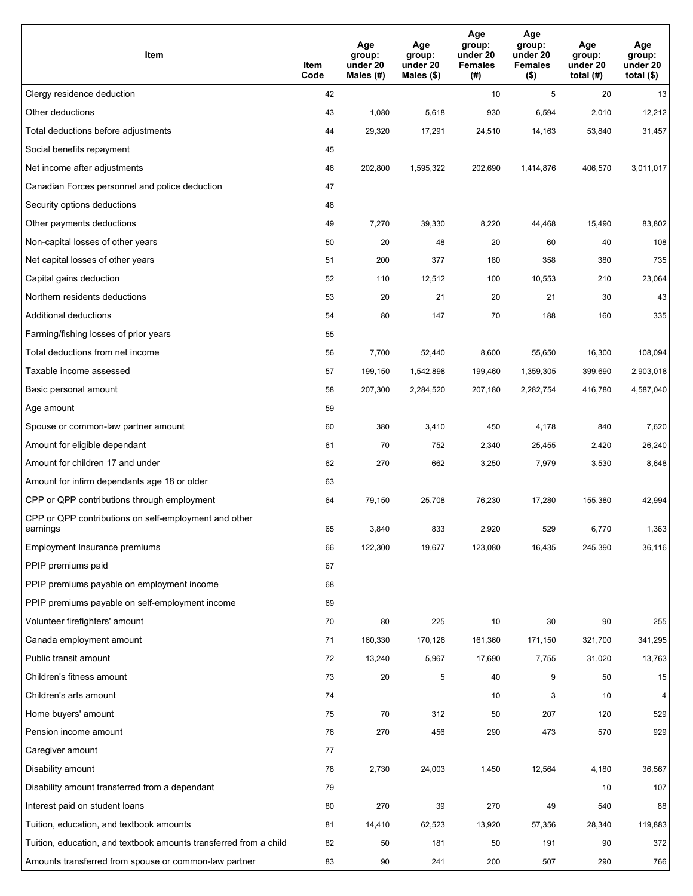| Item                                                              | Item<br>Code | Age<br>group:<br>under 20<br>Males (#) | Age<br>group:<br>under 20<br>Males (\$) | Age<br>group:<br>under 20<br><b>Females</b><br>(# ) | Age<br>group:<br>under 20<br><b>Females</b><br>$($ \$) | Age<br>group:<br>under 20<br>total $(H)$ | Age<br>group:<br>under 20<br>total $($)$ |
|-------------------------------------------------------------------|--------------|----------------------------------------|-----------------------------------------|-----------------------------------------------------|--------------------------------------------------------|------------------------------------------|------------------------------------------|
| Clergy residence deduction                                        | 42           |                                        |                                         | 10                                                  | 5                                                      | 20                                       | 13                                       |
| Other deductions                                                  | 43           | 1,080                                  | 5,618                                   | 930                                                 | 6,594                                                  | 2,010                                    | 12,212                                   |
| Total deductions before adjustments                               | 44           | 29,320                                 | 17,291                                  | 24,510                                              | 14,163                                                 | 53,840                                   | 31,457                                   |
| Social benefits repayment                                         | 45           |                                        |                                         |                                                     |                                                        |                                          |                                          |
| Net income after adjustments                                      | 46           | 202,800                                | 1,595,322                               | 202,690                                             | 1,414,876                                              | 406,570                                  | 3,011,017                                |
| Canadian Forces personnel and police deduction                    | 47           |                                        |                                         |                                                     |                                                        |                                          |                                          |
| Security options deductions                                       | 48           |                                        |                                         |                                                     |                                                        |                                          |                                          |
| Other payments deductions                                         | 49           | 7,270                                  | 39,330                                  | 8,220                                               | 44,468                                                 | 15,490                                   | 83,802                                   |
| Non-capital losses of other years                                 | 50           | 20                                     | 48                                      | 20                                                  | 60                                                     | 40                                       | 108                                      |
| Net capital losses of other years                                 | 51           | 200                                    | 377                                     | 180                                                 | 358                                                    | 380                                      | 735                                      |
| Capital gains deduction                                           | 52           | 110                                    | 12,512                                  | 100                                                 | 10,553                                                 | 210                                      | 23,064                                   |
| Northern residents deductions                                     | 53           | 20                                     | 21                                      | 20                                                  | 21                                                     | 30                                       | 43                                       |
| Additional deductions                                             | 54           | 80                                     | 147                                     | 70                                                  | 188                                                    | 160                                      | 335                                      |
| Farming/fishing losses of prior years                             | 55           |                                        |                                         |                                                     |                                                        |                                          |                                          |
| Total deductions from net income                                  | 56           | 7,700                                  | 52,440                                  | 8,600                                               | 55,650                                                 | 16,300                                   | 108,094                                  |
| Taxable income assessed                                           | 57           | 199,150                                | 1,542,898                               | 199,460                                             | 1,359,305                                              | 399,690                                  | 2,903,018                                |
| Basic personal amount                                             | 58           | 207,300                                | 2,284,520                               | 207,180                                             | 2,282,754                                              | 416,780                                  | 4,587,040                                |
| Age amount                                                        | 59           |                                        |                                         |                                                     |                                                        |                                          |                                          |
| Spouse or common-law partner amount                               | 60           | 380                                    | 3,410                                   | 450                                                 | 4,178                                                  | 840                                      | 7,620                                    |
| Amount for eligible dependant                                     | 61           | 70                                     | 752                                     | 2,340                                               | 25,455                                                 | 2,420                                    | 26,240                                   |
| Amount for children 17 and under                                  | 62           | 270                                    | 662                                     | 3,250                                               | 7,979                                                  | 3,530                                    | 8,648                                    |
| Amount for infirm dependants age 18 or older                      | 63           |                                        |                                         |                                                     |                                                        |                                          |                                          |
| CPP or QPP contributions through employment                       | 64           | 79,150                                 | 25,708                                  | 76,230                                              | 17,280                                                 | 155,380                                  | 42,994                                   |
| CPP or QPP contributions on self-employment and other<br>earnings | 65           | 3,840                                  | 833                                     | 2,920                                               | 529                                                    | 6,770                                    | 1,363                                    |
| Employment Insurance premiums                                     | 66           | 122,300                                | 19,677                                  | 123,080                                             | 16,435                                                 | 245,390                                  | 36,116                                   |
| PPIP premiums paid                                                | 67           |                                        |                                         |                                                     |                                                        |                                          |                                          |
| PPIP premiums payable on employment income                        | 68           |                                        |                                         |                                                     |                                                        |                                          |                                          |
| PPIP premiums payable on self-employment income                   | 69           |                                        |                                         |                                                     |                                                        |                                          |                                          |
| Volunteer firefighters' amount                                    | 70           | 80                                     | 225                                     | 10                                                  | 30                                                     | 90                                       | 255                                      |
| Canada employment amount                                          | 71           | 160,330                                | 170,126                                 | 161,360                                             | 171,150                                                | 321,700                                  | 341,295                                  |
| Public transit amount                                             | 72           | 13,240                                 | 5,967                                   | 17,690                                              | 7,755                                                  | 31,020                                   | 13,763                                   |
| Children's fitness amount                                         | 73           | 20                                     | 5                                       | 40                                                  | 9                                                      | 50                                       | 15                                       |
| Children's arts amount                                            | 74           |                                        |                                         | 10                                                  | 3                                                      | 10                                       | 4                                        |
| Home buyers' amount                                               | 75           | 70                                     | 312                                     | 50                                                  | 207                                                    | 120                                      | 529                                      |
| Pension income amount                                             | 76           | 270                                    | 456                                     | 290                                                 | 473                                                    | 570                                      | 929                                      |
| Caregiver amount                                                  | 77           |                                        |                                         |                                                     |                                                        |                                          |                                          |
| Disability amount                                                 | 78           | 2,730                                  | 24,003                                  | 1,450                                               | 12,564                                                 | 4,180                                    | 36,567                                   |
| Disability amount transferred from a dependant                    | 79           |                                        |                                         |                                                     |                                                        | 10                                       | 107                                      |
| Interest paid on student loans                                    | 80           | 270                                    | 39                                      | 270                                                 | 49                                                     | 540                                      | 88                                       |
| Tuition, education, and textbook amounts                          | 81           | 14,410                                 | 62,523                                  | 13,920                                              | 57,356                                                 | 28,340                                   | 119,883                                  |
| Tuition, education, and textbook amounts transferred from a child | 82           | 50                                     | 181                                     | 50                                                  | 191                                                    | 90                                       | 372                                      |
| Amounts transferred from spouse or common-law partner             | 83           | 90                                     | 241                                     | 200                                                 | 507                                                    | 290                                      | 766                                      |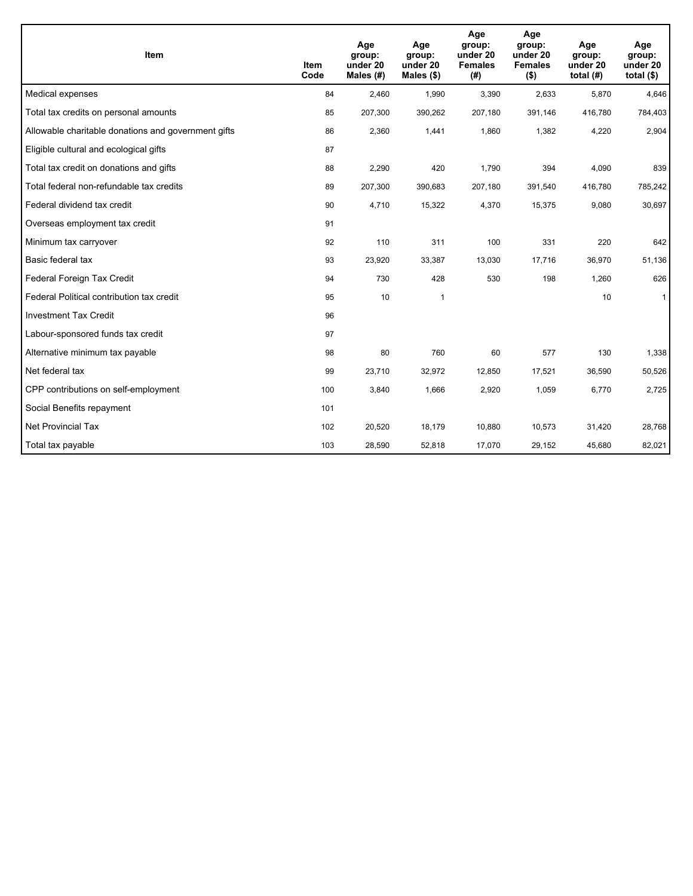| Item                                                | <b>Item</b><br>Code | Age<br>group:<br>under 20<br>Males (#) | Age<br>group:<br>under 20<br>Males $(\$)$ | Age<br>group:<br>under 20<br><b>Females</b><br>(# ) | Age<br>group:<br>under 20<br><b>Females</b><br>$($ \$) | Age<br>group:<br>under 20<br>total $(H)$ | Age<br>group:<br>under 20<br>total $($)$ |
|-----------------------------------------------------|---------------------|----------------------------------------|-------------------------------------------|-----------------------------------------------------|--------------------------------------------------------|------------------------------------------|------------------------------------------|
| Medical expenses                                    | 84                  | 2,460                                  | 1,990                                     | 3,390                                               | 2,633                                                  | 5,870                                    | 4,646                                    |
| Total tax credits on personal amounts               | 85                  | 207,300                                | 390,262                                   | 207,180                                             | 391,146                                                | 416,780                                  | 784,403                                  |
| Allowable charitable donations and government gifts | 86                  | 2,360                                  | 1,441                                     | 1,860                                               | 1,382                                                  | 4,220                                    | 2,904                                    |
| Eligible cultural and ecological gifts              | 87                  |                                        |                                           |                                                     |                                                        |                                          |                                          |
| Total tax credit on donations and gifts             | 88                  | 2,290                                  | 420                                       | 1,790                                               | 394                                                    | 4,090                                    | 839                                      |
| Total federal non-refundable tax credits            | 89                  | 207,300                                | 390,683                                   | 207,180                                             | 391,540                                                | 416,780                                  | 785,242                                  |
| Federal dividend tax credit                         | 90                  | 4,710                                  | 15,322                                    | 4,370                                               | 15,375                                                 | 9,080                                    | 30,697                                   |
| Overseas employment tax credit                      | 91                  |                                        |                                           |                                                     |                                                        |                                          |                                          |
| Minimum tax carryover                               | 92                  | 110                                    | 311                                       | 100                                                 | 331                                                    | 220                                      | 642                                      |
| Basic federal tax                                   | 93                  | 23,920                                 | 33,387                                    | 13,030                                              | 17,716                                                 | 36,970                                   | 51,136                                   |
| Federal Foreign Tax Credit                          | 94                  | 730                                    | 428                                       | 530                                                 | 198                                                    | 1,260                                    | 626                                      |
| Federal Political contribution tax credit           | 95                  | 10                                     | 1                                         |                                                     |                                                        | 10                                       | $\mathbf{1}$                             |
| <b>Investment Tax Credit</b>                        | 96                  |                                        |                                           |                                                     |                                                        |                                          |                                          |
| Labour-sponsored funds tax credit                   | 97                  |                                        |                                           |                                                     |                                                        |                                          |                                          |
| Alternative minimum tax payable                     | 98                  | 80                                     | 760                                       | 60                                                  | 577                                                    | 130                                      | 1,338                                    |
| Net federal tax                                     | 99                  | 23,710                                 | 32,972                                    | 12,850                                              | 17,521                                                 | 36,590                                   | 50,526                                   |
| CPP contributions on self-employment                | 100                 | 3,840                                  | 1,666                                     | 2,920                                               | 1,059                                                  | 6,770                                    | 2,725                                    |
| Social Benefits repayment                           | 101                 |                                        |                                           |                                                     |                                                        |                                          |                                          |
| Net Provincial Tax                                  | 102                 | 20,520                                 | 18,179                                    | 10,880                                              | 10,573                                                 | 31,420                                   | 28,768                                   |
| Total tax payable                                   | 103                 | 28,590                                 | 52,818                                    | 17,070                                              | 29,152                                                 | 45,680                                   | 82,021                                   |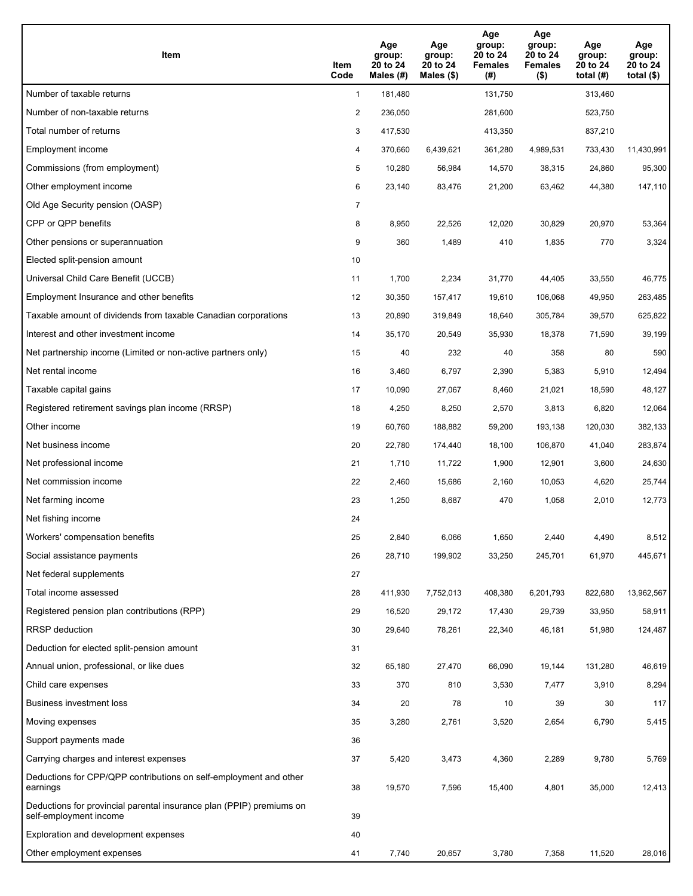| <b>Item</b>                                                                                    | Item<br>Code   | Age<br>group:<br>20 to 24<br>Males $(H)$ | Age<br>group:<br>20 to 24<br>Males (\$) | Age<br>group:<br>20 to 24<br><b>Females</b><br>(#) | Age<br>group:<br>20 to 24<br><b>Females</b><br>$($ \$) | Age<br>group:<br>20 to 24<br>total $(H)$ | Age<br>group:<br>20 to 24<br>total $(\$)$ |
|------------------------------------------------------------------------------------------------|----------------|------------------------------------------|-----------------------------------------|----------------------------------------------------|--------------------------------------------------------|------------------------------------------|-------------------------------------------|
| Number of taxable returns                                                                      | $\mathbf{1}$   | 181,480                                  |                                         | 131,750                                            |                                                        | 313,460                                  |                                           |
| Number of non-taxable returns                                                                  | $\overline{2}$ | 236,050                                  |                                         | 281,600                                            |                                                        | 523,750                                  |                                           |
| Total number of returns                                                                        | 3              | 417,530                                  |                                         | 413,350                                            |                                                        | 837,210                                  |                                           |
| Employment income                                                                              | 4              | 370,660                                  | 6,439,621                               | 361,280                                            | 4,989,531                                              | 733,430                                  | 11,430,991                                |
| Commissions (from employment)                                                                  | 5              | 10,280                                   | 56,984                                  | 14,570                                             | 38,315                                                 | 24,860                                   | 95,300                                    |
| Other employment income                                                                        | 6              | 23,140                                   | 83,476                                  | 21,200                                             | 63,462                                                 | 44,380                                   | 147,110                                   |
| Old Age Security pension (OASP)                                                                | $\overline{7}$ |                                          |                                         |                                                    |                                                        |                                          |                                           |
| CPP or QPP benefits                                                                            | 8              | 8,950                                    | 22,526                                  | 12,020                                             | 30,829                                                 | 20,970                                   | 53,364                                    |
| Other pensions or superannuation                                                               | 9              | 360                                      | 1,489                                   | 410                                                | 1,835                                                  | 770                                      | 3,324                                     |
| Elected split-pension amount                                                                   | 10             |                                          |                                         |                                                    |                                                        |                                          |                                           |
| Universal Child Care Benefit (UCCB)                                                            | 11             | 1,700                                    | 2,234                                   | 31,770                                             | 44,405                                                 | 33,550                                   | 46,775                                    |
| Employment Insurance and other benefits                                                        | 12             | 30,350                                   | 157,417                                 | 19,610                                             | 106,068                                                | 49,950                                   | 263,485                                   |
| Taxable amount of dividends from taxable Canadian corporations                                 | 13             | 20,890                                   | 319,849                                 | 18,640                                             | 305,784                                                | 39,570                                   | 625,822                                   |
| Interest and other investment income                                                           | 14             | 35,170                                   | 20,549                                  | 35,930                                             | 18,378                                                 | 71,590                                   | 39,199                                    |
| Net partnership income (Limited or non-active partners only)                                   | 15             | 40                                       | 232                                     | 40                                                 | 358                                                    | 80                                       | 590                                       |
| Net rental income                                                                              | 16             | 3,460                                    | 6,797                                   | 2,390                                              | 5,383                                                  | 5,910                                    | 12,494                                    |
| Taxable capital gains                                                                          | 17             | 10,090                                   | 27,067                                  | 8,460                                              | 21,021                                                 | 18,590                                   | 48,127                                    |
| Registered retirement savings plan income (RRSP)                                               | 18             | 4,250                                    | 8,250                                   | 2,570                                              | 3,813                                                  | 6,820                                    | 12,064                                    |
| Other income                                                                                   | 19             | 60,760                                   | 188,882                                 | 59,200                                             | 193,138                                                | 120,030                                  | 382,133                                   |
| Net business income                                                                            | 20             | 22,780                                   | 174,440                                 | 18,100                                             | 106,870                                                | 41,040                                   | 283,874                                   |
| Net professional income                                                                        | 21             | 1,710                                    | 11,722                                  | 1,900                                              | 12,901                                                 | 3,600                                    | 24,630                                    |
| Net commission income                                                                          | 22             | 2,460                                    | 15,686                                  | 2,160                                              | 10,053                                                 | 4,620                                    | 25,744                                    |
| Net farming income                                                                             | 23             | 1,250                                    | 8,687                                   | 470                                                | 1,058                                                  | 2,010                                    | 12,773                                    |
| Net fishing income                                                                             | 24             |                                          |                                         |                                                    |                                                        |                                          |                                           |
| Workers' compensation benefits                                                                 | 25             | 2,840                                    | 6,066                                   | 1,650                                              | 2,440                                                  | 4,490                                    | 8,512                                     |
| Social assistance payments                                                                     | 26             | 28,710                                   | 199,902                                 | 33,250                                             | 245,701                                                | 61,970                                   | 445,671                                   |
| Net federal supplements                                                                        | 27             |                                          |                                         |                                                    |                                                        |                                          |                                           |
| Total income assessed                                                                          | 28             | 411,930                                  | 7,752,013                               | 408,380                                            | 6,201,793                                              | 822,680                                  | 13,962,567                                |
| Registered pension plan contributions (RPP)                                                    | 29             | 16,520                                   | 29,172                                  | 17,430                                             | 29,739                                                 | 33,950                                   | 58,911                                    |
| RRSP deduction                                                                                 | 30             | 29,640                                   | 78,261                                  | 22,340                                             | 46,181                                                 | 51,980                                   | 124,487                                   |
| Deduction for elected split-pension amount                                                     | 31             |                                          |                                         |                                                    |                                                        |                                          |                                           |
| Annual union, professional, or like dues                                                       | 32             | 65,180                                   | 27,470                                  | 66,090                                             | 19,144                                                 | 131,280                                  | 46,619                                    |
| Child care expenses                                                                            | 33             | 370                                      | 810                                     | 3,530                                              | 7,477                                                  | 3,910                                    | 8,294                                     |
| Business investment loss                                                                       | 34             | 20                                       | 78                                      | 10                                                 | 39                                                     | 30                                       | 117                                       |
| Moving expenses                                                                                | 35             | 3,280                                    | 2,761                                   | 3,520                                              | 2,654                                                  | 6,790                                    | 5,415                                     |
| Support payments made                                                                          | 36             |                                          |                                         |                                                    |                                                        |                                          |                                           |
| Carrying charges and interest expenses                                                         | 37             | 5,420                                    | 3,473                                   | 4,360                                              | 2,289                                                  | 9,780                                    | 5,769                                     |
| Deductions for CPP/QPP contributions on self-employment and other<br>earnings                  | 38             | 19,570                                   | 7,596                                   | 15,400                                             | 4,801                                                  | 35,000                                   | 12,413                                    |
| Deductions for provincial parental insurance plan (PPIP) premiums on<br>self-employment income | 39             |                                          |                                         |                                                    |                                                        |                                          |                                           |
| Exploration and development expenses                                                           | 40             |                                          |                                         |                                                    |                                                        |                                          |                                           |
| Other employment expenses                                                                      | 41             | 7,740                                    | 20,657                                  | 3,780                                              | 7,358                                                  | 11,520                                   | 28,016                                    |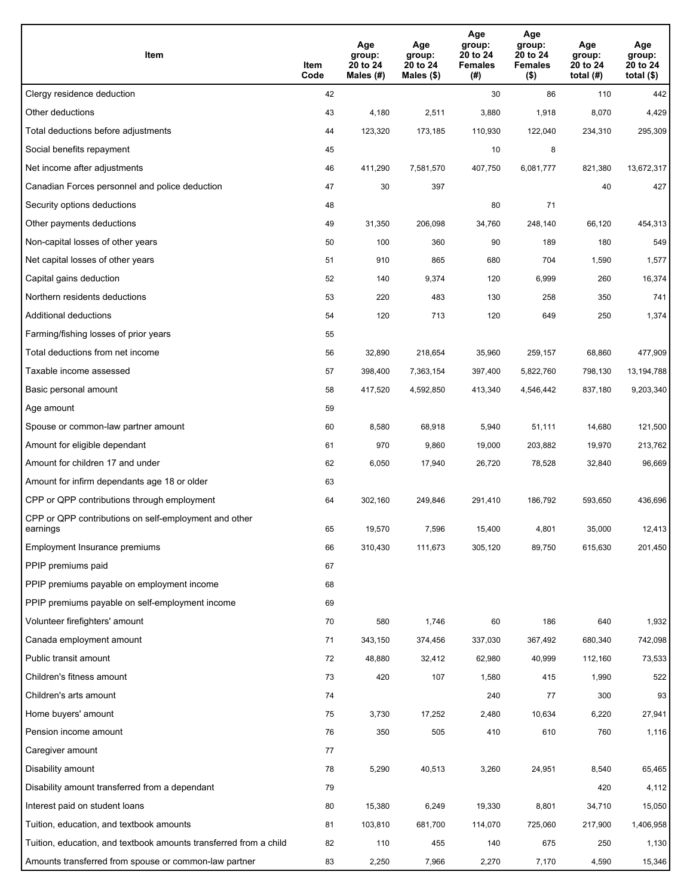| Item                                                              | Item<br>Code | Age<br>group:<br>20 to 24<br>Males (#) | Age<br>group:<br>20 to 24<br>Males (\$) | Age<br>group:<br>20 to 24<br><b>Females</b><br>(#) | Age<br>group:<br>20 to 24<br><b>Females</b><br>$($ \$) | Age<br>group:<br>20 to 24<br>total $(H)$ | Age<br>group:<br>20 to 24<br>total $($)$ |
|-------------------------------------------------------------------|--------------|----------------------------------------|-----------------------------------------|----------------------------------------------------|--------------------------------------------------------|------------------------------------------|------------------------------------------|
| Clergy residence deduction                                        | 42           |                                        |                                         | 30                                                 | 86                                                     | 110                                      | 442                                      |
| Other deductions                                                  | 43           | 4,180                                  | 2,511                                   | 3,880                                              | 1,918                                                  | 8,070                                    | 4,429                                    |
| Total deductions before adjustments                               | 44           | 123,320                                | 173,185                                 | 110,930                                            | 122,040                                                | 234,310                                  | 295,309                                  |
| Social benefits repayment                                         | 45           |                                        |                                         | 10                                                 | 8                                                      |                                          |                                          |
| Net income after adjustments                                      | 46           | 411,290                                | 7,581,570                               | 407,750                                            | 6,081,777                                              | 821,380                                  | 13,672,317                               |
| Canadian Forces personnel and police deduction                    | 47           | 30                                     | 397                                     |                                                    |                                                        | 40                                       | 427                                      |
| Security options deductions                                       | 48           |                                        |                                         | 80                                                 | 71                                                     |                                          |                                          |
| Other payments deductions                                         | 49           | 31,350                                 | 206,098                                 | 34,760                                             | 248,140                                                | 66,120                                   | 454,313                                  |
| Non-capital losses of other years                                 | 50           | 100                                    | 360                                     | 90                                                 | 189                                                    | 180                                      | 549                                      |
| Net capital losses of other years                                 | 51           | 910                                    | 865                                     | 680                                                | 704                                                    | 1,590                                    | 1,577                                    |
| Capital gains deduction                                           | 52           | 140                                    | 9,374                                   | 120                                                | 6,999                                                  | 260                                      | 16,374                                   |
| Northern residents deductions                                     | 53           | 220                                    | 483                                     | 130                                                | 258                                                    | 350                                      | 741                                      |
| Additional deductions                                             | 54           | 120                                    | 713                                     | 120                                                | 649                                                    | 250                                      | 1,374                                    |
| Farming/fishing losses of prior years                             | 55           |                                        |                                         |                                                    |                                                        |                                          |                                          |
| Total deductions from net income                                  | 56           | 32,890                                 | 218,654                                 | 35,960                                             | 259,157                                                | 68,860                                   | 477,909                                  |
| Taxable income assessed                                           | 57           | 398,400                                | 7,363,154                               | 397,400                                            | 5,822,760                                              | 798,130                                  | 13,194,788                               |
| Basic personal amount                                             | 58           | 417,520                                | 4,592,850                               | 413,340                                            | 4,546,442                                              | 837,180                                  | 9,203,340                                |
| Age amount                                                        | 59           |                                        |                                         |                                                    |                                                        |                                          |                                          |
| Spouse or common-law partner amount                               | 60           | 8,580                                  | 68,918                                  | 5,940                                              | 51,111                                                 | 14,680                                   | 121,500                                  |
| Amount for eligible dependant                                     | 61           | 970                                    | 9,860                                   | 19,000                                             | 203,882                                                | 19,970                                   | 213,762                                  |
| Amount for children 17 and under                                  | 62           | 6,050                                  | 17,940                                  | 26,720                                             | 78,528                                                 | 32,840                                   | 96,669                                   |
| Amount for infirm dependants age 18 or older                      | 63           |                                        |                                         |                                                    |                                                        |                                          |                                          |
| CPP or QPP contributions through employment                       | 64           | 302,160                                | 249,846                                 | 291,410                                            | 186,792                                                | 593,650                                  | 436,696                                  |
| CPP or QPP contributions on self-employment and other<br>earnings | 65           | 19,570                                 | 7,596                                   | 15,400                                             | 4,801                                                  | 35,000                                   | 12,413                                   |
| Employment Insurance premiums                                     | 66           | 310,430                                | 111,673                                 | 305,120                                            | 89,750                                                 | 615,630                                  | 201,450                                  |
| PPIP premiums paid                                                | 67           |                                        |                                         |                                                    |                                                        |                                          |                                          |
| PPIP premiums payable on employment income                        | 68           |                                        |                                         |                                                    |                                                        |                                          |                                          |
| PPIP premiums payable on self-employment income                   | 69           |                                        |                                         |                                                    |                                                        |                                          |                                          |
| Volunteer firefighters' amount                                    | 70           | 580                                    | 1,746                                   | 60                                                 | 186                                                    | 640                                      | 1,932                                    |
| Canada employment amount                                          | 71           | 343,150                                | 374,456                                 | 337,030                                            | 367,492                                                | 680,340                                  | 742,098                                  |
| Public transit amount                                             | 72           | 48,880                                 | 32,412                                  | 62,980                                             | 40,999                                                 | 112,160                                  | 73,533                                   |
| Children's fitness amount                                         | 73           | 420                                    | 107                                     | 1,580                                              | 415                                                    | 1,990                                    | 522                                      |
| Children's arts amount                                            | 74           |                                        |                                         | 240                                                | 77                                                     | 300                                      | 93                                       |
| Home buyers' amount                                               | 75           | 3,730                                  | 17,252                                  | 2,480                                              | 10,634                                                 | 6,220                                    | 27,941                                   |
| Pension income amount                                             | 76           | 350                                    | 505                                     | 410                                                | 610                                                    | 760                                      | 1,116                                    |
| Caregiver amount                                                  | 77           |                                        |                                         |                                                    |                                                        |                                          |                                          |
| Disability amount                                                 | 78           | 5,290                                  | 40,513                                  | 3,260                                              | 24,951                                                 | 8,540                                    | 65,465                                   |
| Disability amount transferred from a dependant                    | 79           |                                        |                                         |                                                    |                                                        | 420                                      | 4,112                                    |
| Interest paid on student loans                                    | 80           | 15,380                                 | 6,249                                   | 19,330                                             | 8,801                                                  | 34,710                                   | 15,050                                   |
| Tuition, education, and textbook amounts                          | 81           | 103,810                                | 681,700                                 | 114,070                                            | 725,060                                                | 217,900                                  | 1,406,958                                |
| Tuition, education, and textbook amounts transferred from a child | 82           | 110                                    | 455                                     | 140                                                | 675                                                    | 250                                      | 1,130                                    |
| Amounts transferred from spouse or common-law partner             | 83           | 2,250                                  | 7,966                                   | 2,270                                              | 7,170                                                  | 4,590                                    | 15,346                                   |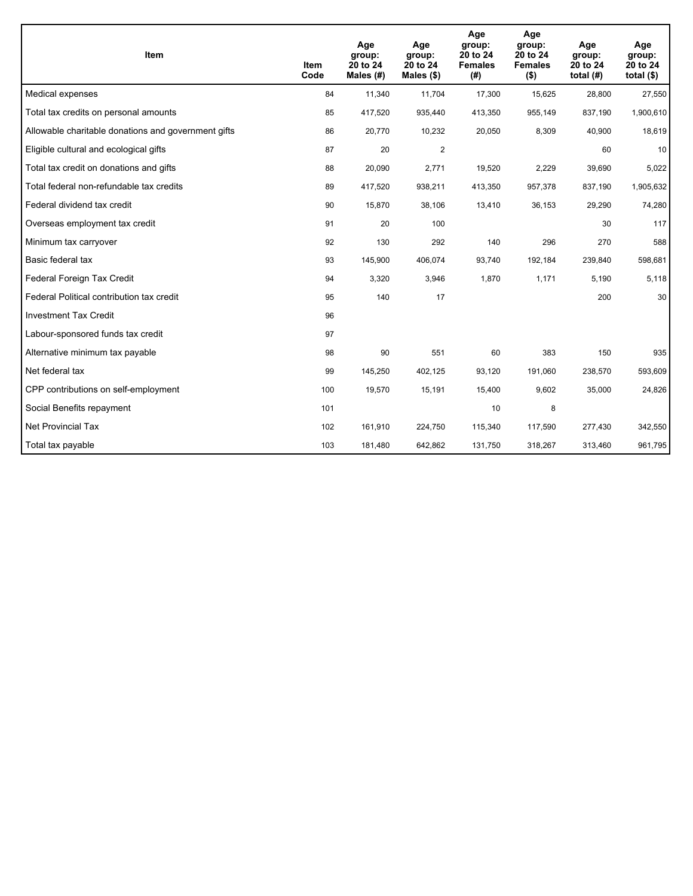| Item                                                | <b>Item</b><br>Code | Age<br>group:<br>20 to 24<br>Males (#) | Age<br>group:<br>20 to 24<br>Males $(\$)$ | Age<br>group:<br>20 to 24<br><b>Females</b><br>(#) | Age<br>group:<br>20 to 24<br><b>Females</b><br>$($ \$) | Age<br>group:<br>20 to 24<br>total $(H)$ | Age<br>group:<br>20 to 24<br>total $($)$ |
|-----------------------------------------------------|---------------------|----------------------------------------|-------------------------------------------|----------------------------------------------------|--------------------------------------------------------|------------------------------------------|------------------------------------------|
| Medical expenses                                    | 84                  | 11,340                                 | 11,704                                    | 17,300                                             | 15,625                                                 | 28,800                                   | 27,550                                   |
| Total tax credits on personal amounts               | 85                  | 417,520                                | 935,440                                   | 413,350                                            | 955,149                                                | 837,190                                  | 1,900,610                                |
| Allowable charitable donations and government gifts | 86                  | 20,770                                 | 10,232                                    | 20,050                                             | 8,309                                                  | 40,900                                   | 18,619                                   |
| Eligible cultural and ecological gifts              | 87                  | 20                                     | $\overline{2}$                            |                                                    |                                                        | 60                                       | 10                                       |
| Total tax credit on donations and gifts             | 88                  | 20,090                                 | 2,771                                     | 19,520                                             | 2,229                                                  | 39,690                                   | 5,022                                    |
| Total federal non-refundable tax credits            | 89                  | 417,520                                | 938,211                                   | 413,350                                            | 957,378                                                | 837,190                                  | 1,905,632                                |
| Federal dividend tax credit                         | 90                  | 15,870                                 | 38,106                                    | 13,410                                             | 36,153                                                 | 29,290                                   | 74,280                                   |
| Overseas employment tax credit                      | 91                  | 20                                     | 100                                       |                                                    |                                                        | 30                                       | 117                                      |
| Minimum tax carryover                               | 92                  | 130                                    | 292                                       | 140                                                | 296                                                    | 270                                      | 588                                      |
| Basic federal tax                                   | 93                  | 145,900                                | 406,074                                   | 93,740                                             | 192,184                                                | 239,840                                  | 598,681                                  |
| Federal Foreign Tax Credit                          | 94                  | 3,320                                  | 3,946                                     | 1,870                                              | 1,171                                                  | 5,190                                    | 5,118                                    |
| Federal Political contribution tax credit           | 95                  | 140                                    | 17                                        |                                                    |                                                        | 200                                      | 30                                       |
| <b>Investment Tax Credit</b>                        | 96                  |                                        |                                           |                                                    |                                                        |                                          |                                          |
| Labour-sponsored funds tax credit                   | 97                  |                                        |                                           |                                                    |                                                        |                                          |                                          |
| Alternative minimum tax payable                     | 98                  | 90                                     | 551                                       | 60                                                 | 383                                                    | 150                                      | 935                                      |
| Net federal tax                                     | 99                  | 145,250                                | 402,125                                   | 93,120                                             | 191,060                                                | 238,570                                  | 593,609                                  |
| CPP contributions on self-employment                | 100                 | 19,570                                 | 15,191                                    | 15,400                                             | 9,602                                                  | 35,000                                   | 24,826                                   |
| Social Benefits repayment                           | 101                 |                                        |                                           | 10                                                 | 8                                                      |                                          |                                          |
| Net Provincial Tax                                  | 102                 | 161,910                                | 224,750                                   | 115,340                                            | 117,590                                                | 277,430                                  | 342,550                                  |
| Total tax payable                                   | 103                 | 181,480                                | 642,862                                   | 131,750                                            | 318,267                                                | 313,460                                  | 961,795                                  |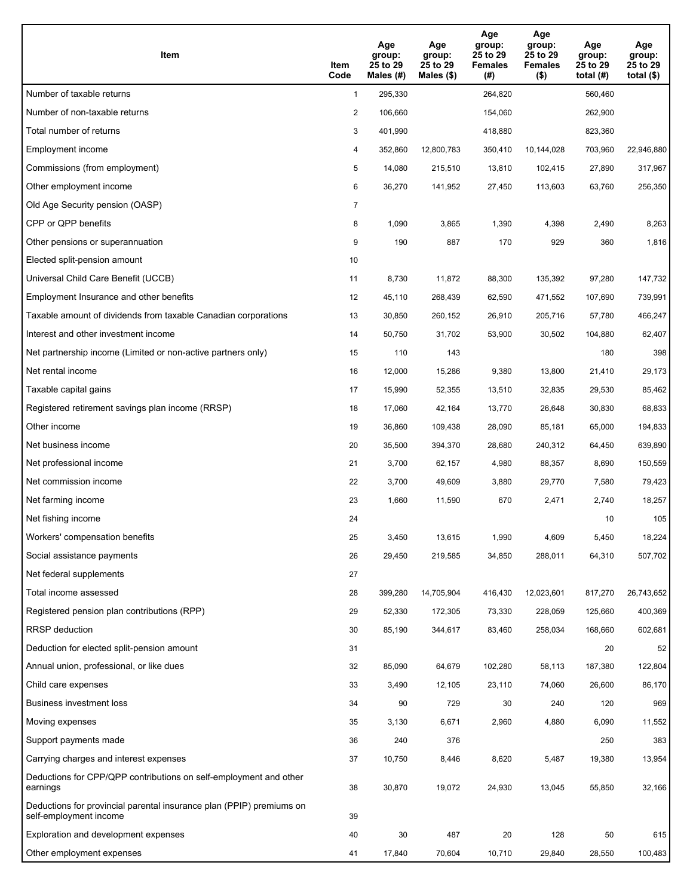| Item                                                                                           | Item<br>Code   | Age<br>group:<br>25 to 29<br>Males (#) | Age<br>group:<br>25 to 29<br>Males $(\$)$ | Age<br>group:<br>25 to 29<br><b>Females</b><br>(#) | Age<br>group:<br>25 to 29<br><b>Females</b><br>$($ \$) | Age<br>group:<br>25 to 29<br>total $(H)$ | Age<br>group:<br>25 to 29<br>total $(\$)$ |
|------------------------------------------------------------------------------------------------|----------------|----------------------------------------|-------------------------------------------|----------------------------------------------------|--------------------------------------------------------|------------------------------------------|-------------------------------------------|
| Number of taxable returns                                                                      | $\mathbf{1}$   | 295,330                                |                                           | 264,820                                            |                                                        | 560,460                                  |                                           |
| Number of non-taxable returns                                                                  | $\overline{2}$ | 106,660                                |                                           | 154,060                                            |                                                        | 262,900                                  |                                           |
| Total number of returns                                                                        | 3              | 401,990                                |                                           | 418,880                                            |                                                        | 823,360                                  |                                           |
| Employment income                                                                              | 4              | 352,860                                | 12,800,783                                | 350,410                                            | 10,144,028                                             | 703,960                                  | 22,946,880                                |
| Commissions (from employment)                                                                  | 5              | 14,080                                 | 215,510                                   | 13,810                                             | 102,415                                                | 27,890                                   | 317,967                                   |
| Other employment income                                                                        | 6              | 36,270                                 | 141,952                                   | 27,450                                             | 113,603                                                | 63,760                                   | 256,350                                   |
| Old Age Security pension (OASP)                                                                | $\overline{7}$ |                                        |                                           |                                                    |                                                        |                                          |                                           |
| CPP or QPP benefits                                                                            | 8              | 1,090                                  | 3,865                                     | 1,390                                              | 4,398                                                  | 2,490                                    | 8,263                                     |
| Other pensions or superannuation                                                               | 9              | 190                                    | 887                                       | 170                                                | 929                                                    | 360                                      | 1,816                                     |
| Elected split-pension amount                                                                   | 10             |                                        |                                           |                                                    |                                                        |                                          |                                           |
| Universal Child Care Benefit (UCCB)                                                            | 11             | 8,730                                  | 11,872                                    | 88,300                                             | 135,392                                                | 97,280                                   | 147,732                                   |
| Employment Insurance and other benefits                                                        | 12             | 45,110                                 | 268,439                                   | 62,590                                             | 471,552                                                | 107,690                                  | 739,991                                   |
| Taxable amount of dividends from taxable Canadian corporations                                 | 13             | 30,850                                 | 260,152                                   | 26,910                                             | 205,716                                                | 57,780                                   | 466,247                                   |
| Interest and other investment income                                                           | 14             | 50,750                                 | 31,702                                    | 53,900                                             | 30,502                                                 | 104,880                                  | 62,407                                    |
| Net partnership income (Limited or non-active partners only)                                   | 15             | 110                                    | 143                                       |                                                    |                                                        | 180                                      | 398                                       |
| Net rental income                                                                              | 16             | 12,000                                 | 15,286                                    | 9,380                                              | 13,800                                                 | 21,410                                   | 29,173                                    |
| Taxable capital gains                                                                          | 17             | 15,990                                 | 52,355                                    | 13,510                                             | 32,835                                                 | 29,530                                   | 85,462                                    |
| Registered retirement savings plan income (RRSP)                                               | 18             | 17,060                                 | 42,164                                    | 13,770                                             | 26,648                                                 | 30,830                                   | 68,833                                    |
| Other income                                                                                   | 19             | 36,860                                 | 109,438                                   | 28,090                                             | 85,181                                                 | 65,000                                   | 194,833                                   |
| Net business income                                                                            | 20             | 35,500                                 | 394,370                                   | 28,680                                             | 240,312                                                | 64,450                                   | 639,890                                   |
| Net professional income                                                                        | 21             | 3,700                                  | 62,157                                    | 4,980                                              | 88,357                                                 | 8,690                                    | 150,559                                   |
| Net commission income                                                                          | 22             | 3,700                                  | 49,609                                    | 3,880                                              | 29,770                                                 | 7,580                                    | 79,423                                    |
| Net farming income                                                                             | 23             | 1,660                                  | 11,590                                    | 670                                                | 2,471                                                  | 2,740                                    | 18,257                                    |
| Net fishing income                                                                             | 24             |                                        |                                           |                                                    |                                                        | 10                                       | 105                                       |
| Workers' compensation benefits                                                                 | 25             | 3,450                                  | 13,615                                    | 1,990                                              | 4,609                                                  | 5,450                                    | 18,224                                    |
| Social assistance payments                                                                     | 26             | 29,450                                 | 219,585                                   | 34,850                                             | 288,011                                                | 64,310                                   | 507,702                                   |
| Net federal supplements                                                                        | 27             |                                        |                                           |                                                    |                                                        |                                          |                                           |
| Total income assessed                                                                          | 28             | 399,280                                | 14,705,904                                | 416,430                                            | 12,023,601                                             | 817,270                                  | 26,743,652                                |
| Registered pension plan contributions (RPP)                                                    | 29             | 52,330                                 | 172,305                                   | 73,330                                             | 228,059                                                | 125,660                                  | 400,369                                   |
| RRSP deduction                                                                                 | 30             | 85,190                                 | 344,617                                   | 83,460                                             | 258,034                                                | 168,660                                  | 602,681                                   |
| Deduction for elected split-pension amount                                                     | 31             |                                        |                                           |                                                    |                                                        | 20                                       | 52                                        |
| Annual union, professional, or like dues                                                       | 32             | 85,090                                 | 64,679                                    | 102,280                                            | 58,113                                                 | 187,380                                  | 122,804                                   |
| Child care expenses                                                                            | 33             | 3,490                                  | 12,105                                    | 23,110                                             | 74,060                                                 | 26,600                                   | 86,170                                    |
| Business investment loss                                                                       | 34             | 90                                     | 729                                       | 30                                                 | 240                                                    | 120                                      | 969                                       |
| Moving expenses                                                                                | 35             | 3,130                                  | 6,671                                     | 2,960                                              | 4,880                                                  | 6,090                                    | 11,552                                    |
| Support payments made                                                                          | 36             | 240                                    | 376                                       |                                                    |                                                        | 250                                      | 383                                       |
| Carrying charges and interest expenses                                                         | 37             | 10,750                                 | 8,446                                     | 8,620                                              | 5,487                                                  | 19,380                                   | 13,954                                    |
| Deductions for CPP/QPP contributions on self-employment and other<br>earnings                  | 38             | 30,870                                 | 19,072                                    | 24,930                                             | 13,045                                                 | 55,850                                   | 32,166                                    |
| Deductions for provincial parental insurance plan (PPIP) premiums on<br>self-employment income | 39             |                                        |                                           |                                                    |                                                        |                                          |                                           |
| Exploration and development expenses                                                           | 40             | 30                                     | 487                                       | 20                                                 | 128                                                    | 50                                       | 615                                       |
| Other employment expenses                                                                      | 41             | 17,840                                 | 70,604                                    | 10,710                                             | 29,840                                                 | 28,550                                   | 100,483                                   |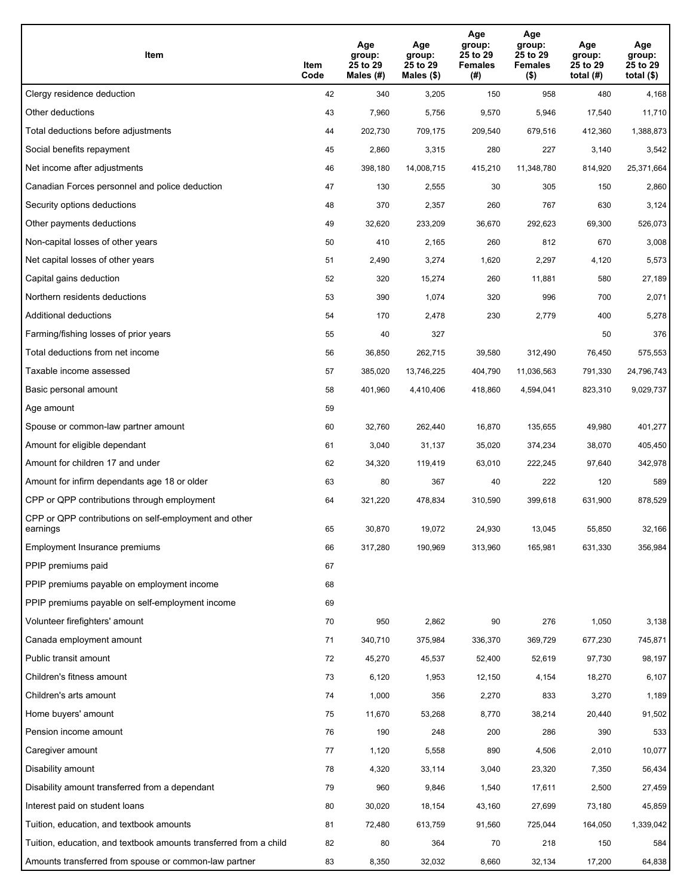| Item                                                              | Item<br>Code | Age<br>group:<br>25 to 29<br>Males (#) | Age<br>group:<br>25 to 29<br>Males (\$) | Age<br>group:<br>25 to 29<br><b>Females</b><br>(# ) | Age<br>group:<br>25 to 29<br><b>Females</b><br>$($ \$) | Age<br>group:<br>25 to 29<br>total $(H)$ | Age<br>group:<br>25 to 29<br>total $($)$ |
|-------------------------------------------------------------------|--------------|----------------------------------------|-----------------------------------------|-----------------------------------------------------|--------------------------------------------------------|------------------------------------------|------------------------------------------|
| Clergy residence deduction                                        | 42           | 340                                    | 3,205                                   | 150                                                 | 958                                                    | 480                                      | 4,168                                    |
| Other deductions                                                  | 43           | 7,960                                  | 5,756                                   | 9,570                                               | 5,946                                                  | 17,540                                   | 11,710                                   |
| Total deductions before adjustments                               | 44           | 202,730                                | 709,175                                 | 209,540                                             | 679,516                                                | 412,360                                  | 1,388,873                                |
| Social benefits repayment                                         | 45           | 2,860                                  | 3,315                                   | 280                                                 | 227                                                    | 3,140                                    | 3,542                                    |
| Net income after adjustments                                      | 46           | 398,180                                | 14,008,715                              | 415,210                                             | 11,348,780                                             | 814,920                                  | 25,371,664                               |
| Canadian Forces personnel and police deduction                    | 47           | 130                                    | 2,555                                   | 30                                                  | 305                                                    | 150                                      | 2,860                                    |
| Security options deductions                                       | 48           | 370                                    | 2,357                                   | 260                                                 | 767                                                    | 630                                      | 3,124                                    |
| Other payments deductions                                         | 49           | 32,620                                 | 233,209                                 | 36,670                                              | 292,623                                                | 69,300                                   | 526,073                                  |
| Non-capital losses of other years                                 | 50           | 410                                    | 2,165                                   | 260                                                 | 812                                                    | 670                                      | 3,008                                    |
| Net capital losses of other years                                 | 51           | 2,490                                  | 3,274                                   | 1,620                                               | 2,297                                                  | 4,120                                    | 5,573                                    |
| Capital gains deduction                                           | 52           | 320                                    | 15,274                                  | 260                                                 | 11,881                                                 | 580                                      | 27,189                                   |
| Northern residents deductions                                     | 53           | 390                                    | 1,074                                   | 320                                                 | 996                                                    | 700                                      | 2,071                                    |
| Additional deductions                                             | 54           | 170                                    | 2,478                                   | 230                                                 | 2,779                                                  | 400                                      | 5,278                                    |
| Farming/fishing losses of prior years                             | 55           | 40                                     | 327                                     |                                                     |                                                        | 50                                       | 376                                      |
| Total deductions from net income                                  | 56           | 36,850                                 | 262,715                                 | 39,580                                              | 312,490                                                | 76,450                                   | 575,553                                  |
| Taxable income assessed                                           | 57           | 385,020                                | 13,746,225                              | 404,790                                             | 11,036,563                                             | 791,330                                  | 24,796,743                               |
| Basic personal amount                                             | 58           | 401,960                                | 4,410,406                               | 418,860                                             | 4,594,041                                              | 823,310                                  | 9,029,737                                |
| Age amount                                                        | 59           |                                        |                                         |                                                     |                                                        |                                          |                                          |
| Spouse or common-law partner amount                               | 60           | 32,760                                 | 262,440                                 | 16,870                                              | 135,655                                                | 49,980                                   | 401,277                                  |
| Amount for eligible dependant                                     | 61           | 3,040                                  | 31,137                                  | 35,020                                              | 374,234                                                | 38,070                                   | 405,450                                  |
| Amount for children 17 and under                                  | 62           | 34,320                                 | 119,419                                 | 63,010                                              | 222,245                                                | 97,640                                   | 342,978                                  |
| Amount for infirm dependants age 18 or older                      | 63           | 80                                     | 367                                     | 40                                                  | 222                                                    | 120                                      | 589                                      |
| CPP or QPP contributions through employment                       | 64           | 321,220                                | 478,834                                 | 310,590                                             | 399,618                                                | 631,900                                  | 878,529                                  |
| CPP or QPP contributions on self-employment and other<br>earnings | 65           | 30,870                                 | 19,072                                  | 24,930                                              | 13,045                                                 | 55,850                                   | 32,166                                   |
| Employment Insurance premiums                                     | 66           | 317,280                                | 190,969                                 | 313,960                                             | 165,981                                                | 631,330                                  | 356,984                                  |
| PPIP premiums paid                                                | 67           |                                        |                                         |                                                     |                                                        |                                          |                                          |
| PPIP premiums payable on employment income                        | 68           |                                        |                                         |                                                     |                                                        |                                          |                                          |
| PPIP premiums payable on self-employment income                   | 69           |                                        |                                         |                                                     |                                                        |                                          |                                          |
| Volunteer firefighters' amount                                    | 70           | 950                                    | 2,862                                   | 90                                                  | 276                                                    | 1,050                                    | 3,138                                    |
| Canada employment amount                                          | 71           | 340,710                                | 375,984                                 | 336,370                                             | 369,729                                                | 677,230                                  | 745,871                                  |
| Public transit amount                                             | 72           | 45,270                                 | 45,537                                  | 52,400                                              | 52,619                                                 | 97,730                                   | 98,197                                   |
| Children's fitness amount                                         | 73           | 6,120                                  | 1,953                                   | 12,150                                              | 4,154                                                  | 18,270                                   | 6,107                                    |
| Children's arts amount                                            | 74           | 1,000                                  | 356                                     | 2,270                                               | 833                                                    | 3,270                                    | 1,189                                    |
| Home buyers' amount                                               | 75           | 11,670                                 | 53,268                                  | 8,770                                               | 38,214                                                 | 20,440                                   | 91,502                                   |
| Pension income amount                                             | 76           | 190                                    | 248                                     | 200                                                 | 286                                                    | 390                                      | 533                                      |
| Caregiver amount                                                  | 77           | 1,120                                  | 5,558                                   | 890                                                 | 4,506                                                  | 2,010                                    | 10,077                                   |
| Disability amount                                                 | 78           | 4,320                                  | 33,114                                  | 3,040                                               | 23,320                                                 | 7,350                                    | 56,434                                   |
| Disability amount transferred from a dependant                    | 79           | 960                                    | 9,846                                   | 1,540                                               | 17,611                                                 | 2,500                                    | 27,459                                   |
| Interest paid on student loans                                    | 80           | 30,020                                 | 18,154                                  | 43,160                                              | 27,699                                                 | 73,180                                   | 45,859                                   |
| Tuition, education, and textbook amounts                          | 81           | 72,480                                 | 613,759                                 | 91,560                                              | 725,044                                                | 164,050                                  | 1,339,042                                |
| Tuition, education, and textbook amounts transferred from a child | 82           | 80                                     | 364                                     | 70                                                  | 218                                                    | 150                                      | 584                                      |
| Amounts transferred from spouse or common-law partner             | 83           | 8,350                                  | 32,032                                  | 8,660                                               | 32,134                                                 | 17,200                                   | 64,838                                   |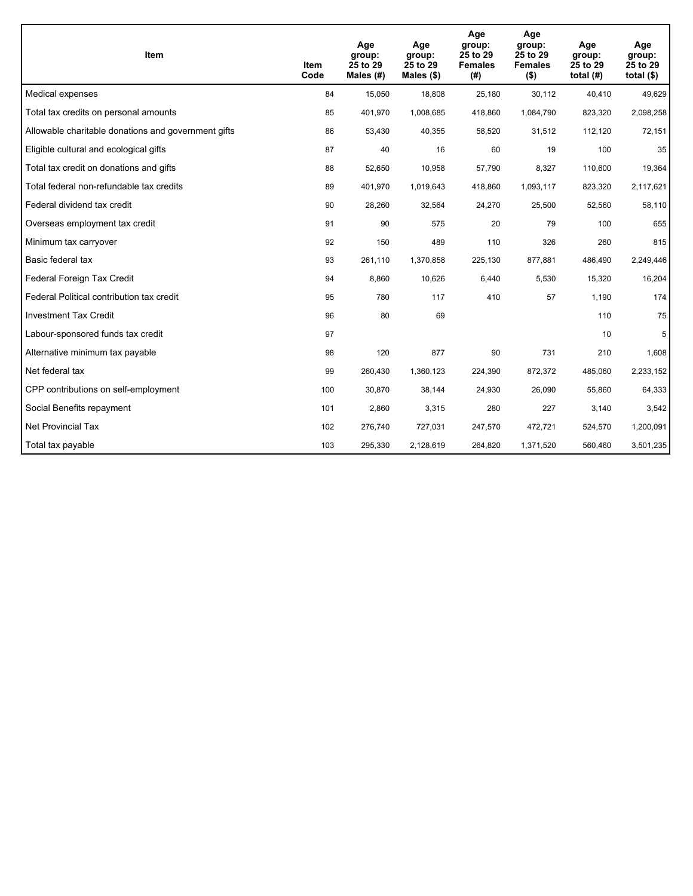| <b>Item</b>                                         | Item<br>Code | Age<br>group:<br>25 to 29<br>Males $(H)$ | Age<br>group:<br>25 to 29<br>Males $(\$)$ | Age<br>group:<br>25 to 29<br><b>Females</b><br>(#) | Age<br>group:<br>25 to 29<br><b>Females</b><br>$($ \$) | Age<br>group:<br>25 to 29<br>total $(H)$ | Age<br>group:<br>25 to 29<br>total $($)$ |
|-----------------------------------------------------|--------------|------------------------------------------|-------------------------------------------|----------------------------------------------------|--------------------------------------------------------|------------------------------------------|------------------------------------------|
| Medical expenses                                    | 84           | 15,050                                   | 18,808                                    | 25,180                                             | 30,112                                                 | 40,410                                   | 49,629                                   |
| Total tax credits on personal amounts               | 85           | 401,970                                  | 1,008,685                                 | 418,860                                            | 1,084,790                                              | 823,320                                  | 2,098,258                                |
| Allowable charitable donations and government gifts | 86           | 53,430                                   | 40,355                                    | 58,520                                             | 31,512                                                 | 112,120                                  | 72,151                                   |
| Eligible cultural and ecological gifts              | 87           | 40                                       | 16                                        | 60                                                 | 19                                                     | 100                                      | 35                                       |
| Total tax credit on donations and gifts             | 88           | 52,650                                   | 10,958                                    | 57,790                                             | 8,327                                                  | 110,600                                  | 19,364                                   |
| Total federal non-refundable tax credits            | 89           | 401,970                                  | 1,019,643                                 | 418,860                                            | 1,093,117                                              | 823,320                                  | 2,117,621                                |
| Federal dividend tax credit                         | 90           | 28,260                                   | 32,564                                    | 24,270                                             | 25,500                                                 | 52,560                                   | 58,110                                   |
| Overseas employment tax credit                      | 91           | 90                                       | 575                                       | 20                                                 | 79                                                     | 100                                      | 655                                      |
| Minimum tax carryover                               | 92           | 150                                      | 489                                       | 110                                                | 326                                                    | 260                                      | 815                                      |
| Basic federal tax                                   | 93           | 261,110                                  | 1,370,858                                 | 225,130                                            | 877,881                                                | 486,490                                  | 2,249,446                                |
| Federal Foreign Tax Credit                          | 94           | 8,860                                    | 10,626                                    | 6,440                                              | 5,530                                                  | 15,320                                   | 16,204                                   |
| Federal Political contribution tax credit           | 95           | 780                                      | 117                                       | 410                                                | 57                                                     | 1,190                                    | 174                                      |
| <b>Investment Tax Credit</b>                        | 96           | 80                                       | 69                                        |                                                    |                                                        | 110                                      | 75                                       |
| Labour-sponsored funds tax credit                   | 97           |                                          |                                           |                                                    |                                                        | 10                                       | 5                                        |
| Alternative minimum tax payable                     | 98           | 120                                      | 877                                       | 90                                                 | 731                                                    | 210                                      | 1,608                                    |
| Net federal tax                                     | 99           | 260,430                                  | 1,360,123                                 | 224,390                                            | 872,372                                                | 485,060                                  | 2,233,152                                |
| CPP contributions on self-employment                | 100          | 30,870                                   | 38,144                                    | 24,930                                             | 26,090                                                 | 55,860                                   | 64,333                                   |
| Social Benefits repayment                           | 101          | 2,860                                    | 3,315                                     | 280                                                | 227                                                    | 3,140                                    | 3,542                                    |
| <b>Net Provincial Tax</b>                           | 102          | 276,740                                  | 727,031                                   | 247,570                                            | 472,721                                                | 524,570                                  | 1,200,091                                |
| Total tax payable                                   | 103          | 295,330                                  | 2,128,619                                 | 264,820                                            | 1,371,520                                              | 560,460                                  | 3,501,235                                |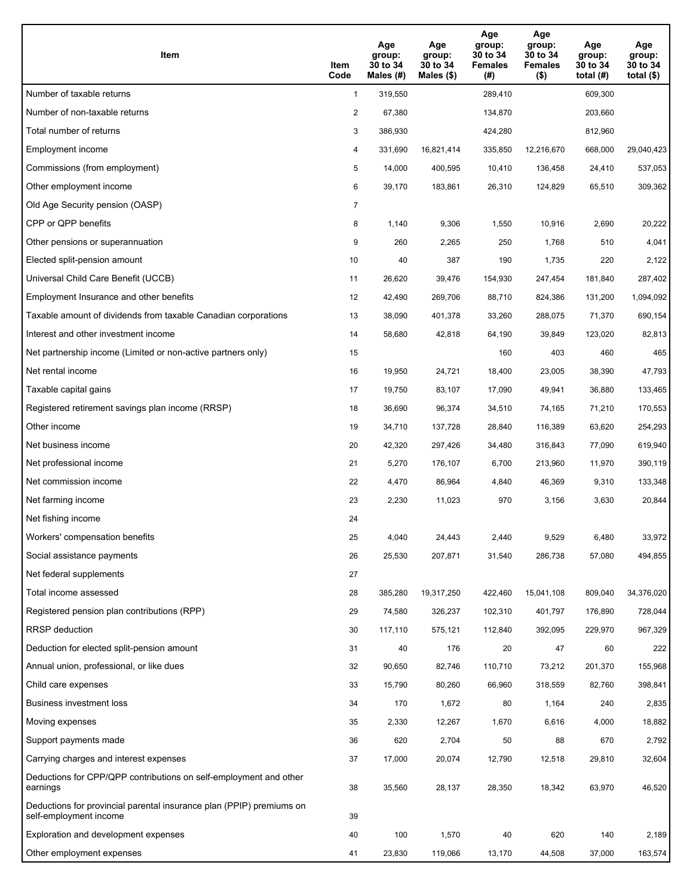| Item                                                                                           | Item<br>Code   | Age<br>group:<br>30 to 34<br>Males $(H)$ | Age<br>group:<br>30 to 34<br>Males $(\$)$ | Age<br>group:<br>30 to 34<br><b>Females</b><br>(#) | Age<br>group:<br>30 to 34<br><b>Females</b><br>$($ \$) | Age<br>group:<br>30 to 34<br>total $(H)$ | Age<br>group:<br>30 to 34<br>total $($)$ |
|------------------------------------------------------------------------------------------------|----------------|------------------------------------------|-------------------------------------------|----------------------------------------------------|--------------------------------------------------------|------------------------------------------|------------------------------------------|
| Number of taxable returns                                                                      | $\mathbf{1}$   | 319,550                                  |                                           | 289,410                                            |                                                        | 609,300                                  |                                          |
| Number of non-taxable returns                                                                  | $\overline{2}$ | 67,380                                   |                                           | 134,870                                            |                                                        | 203,660                                  |                                          |
| Total number of returns                                                                        | 3              | 386,930                                  |                                           | 424,280                                            |                                                        | 812,960                                  |                                          |
| Employment income                                                                              | 4              | 331,690                                  | 16,821,414                                | 335,850                                            | 12,216,670                                             | 668,000                                  | 29,040,423                               |
| Commissions (from employment)                                                                  | 5              | 14,000                                   | 400,595                                   | 10,410                                             | 136,458                                                | 24,410                                   | 537,053                                  |
| Other employment income                                                                        | 6              | 39,170                                   | 183,861                                   | 26,310                                             | 124,829                                                | 65,510                                   | 309,362                                  |
| Old Age Security pension (OASP)                                                                | $\overline{7}$ |                                          |                                           |                                                    |                                                        |                                          |                                          |
| CPP or QPP benefits                                                                            | 8              | 1,140                                    | 9,306                                     | 1,550                                              | 10,916                                                 | 2,690                                    | 20,222                                   |
| Other pensions or superannuation                                                               | 9              | 260                                      | 2,265                                     | 250                                                | 1,768                                                  | 510                                      | 4,041                                    |
| Elected split-pension amount                                                                   | 10             | 40                                       | 387                                       | 190                                                | 1,735                                                  | 220                                      | 2,122                                    |
| Universal Child Care Benefit (UCCB)                                                            | 11             | 26,620                                   | 39,476                                    | 154,930                                            | 247,454                                                | 181,840                                  | 287,402                                  |
| Employment Insurance and other benefits                                                        | 12             | 42,490                                   | 269,706                                   | 88,710                                             | 824,386                                                | 131,200                                  | 1,094,092                                |
| Taxable amount of dividends from taxable Canadian corporations                                 | 13             | 38,090                                   | 401,378                                   | 33,260                                             | 288,075                                                | 71,370                                   | 690,154                                  |
| Interest and other investment income                                                           | 14             | 58,680                                   | 42,818                                    | 64,190                                             | 39,849                                                 | 123,020                                  | 82,813                                   |
| Net partnership income (Limited or non-active partners only)                                   | 15             |                                          |                                           | 160                                                | 403                                                    | 460                                      | 465                                      |
| Net rental income                                                                              | 16             | 19,950                                   | 24,721                                    | 18,400                                             | 23,005                                                 | 38,390                                   | 47,793                                   |
| Taxable capital gains                                                                          | 17             | 19,750                                   | 83,107                                    | 17,090                                             | 49,941                                                 | 36,880                                   | 133,465                                  |
| Registered retirement savings plan income (RRSP)                                               | 18             | 36,690                                   | 96,374                                    | 34,510                                             | 74,165                                                 | 71,210                                   | 170,553                                  |
| Other income                                                                                   | 19             | 34,710                                   | 137,728                                   | 28,840                                             | 116,389                                                | 63,620                                   | 254,293                                  |
| Net business income                                                                            | 20             | 42,320                                   | 297,426                                   | 34,480                                             | 316,843                                                | 77,090                                   | 619,940                                  |
| Net professional income                                                                        | 21             | 5,270                                    | 176,107                                   | 6,700                                              | 213,960                                                | 11,970                                   | 390,119                                  |
| Net commission income                                                                          | 22             | 4,470                                    | 86,964                                    | 4,840                                              | 46,369                                                 | 9,310                                    | 133,348                                  |
| Net farming income                                                                             | 23             | 2,230                                    | 11,023                                    | 970                                                | 3,156                                                  | 3,630                                    | 20,844                                   |
| Net fishing income                                                                             | 24             |                                          |                                           |                                                    |                                                        |                                          |                                          |
| Workers' compensation benefits                                                                 | 25             | 4,040                                    | 24,443                                    | 2,440                                              | 9,529                                                  | 6,480                                    | 33,972                                   |
| Social assistance payments                                                                     | 26             | 25,530                                   | 207,871                                   | 31,540                                             | 286,738                                                | 57,080                                   | 494,855                                  |
| Net federal supplements                                                                        | 27             |                                          |                                           |                                                    |                                                        |                                          |                                          |
| Total income assessed                                                                          | 28             | 385,280                                  | 19,317,250                                | 422,460                                            | 15,041,108                                             | 809,040                                  | 34,376,020                               |
| Registered pension plan contributions (RPP)                                                    | 29             | 74,580                                   | 326,237                                   | 102,310                                            | 401,797                                                | 176,890                                  | 728,044                                  |
| RRSP deduction                                                                                 | 30             | 117,110                                  | 575,121                                   | 112,840                                            | 392,095                                                | 229,970                                  | 967,329                                  |
| Deduction for elected split-pension amount                                                     | 31             | 40                                       | 176                                       | 20                                                 | 47                                                     | 60                                       | 222                                      |
| Annual union, professional, or like dues                                                       | 32             | 90,650                                   | 82,746                                    | 110,710                                            | 73,212                                                 | 201,370                                  | 155,968                                  |
| Child care expenses                                                                            | 33             | 15,790                                   | 80,260                                    | 66,960                                             | 318,559                                                | 82,760                                   | 398,841                                  |
| <b>Business investment loss</b>                                                                | 34             | 170                                      | 1,672                                     | 80                                                 | 1,164                                                  | 240                                      | 2,835                                    |
| Moving expenses                                                                                | 35             | 2,330                                    | 12,267                                    | 1,670                                              | 6,616                                                  | 4,000                                    | 18,882                                   |
| Support payments made                                                                          | 36             | 620                                      | 2,704                                     | 50                                                 | 88                                                     | 670                                      | 2,792                                    |
| Carrying charges and interest expenses                                                         | 37             | 17,000                                   | 20,074                                    | 12,790                                             | 12,518                                                 | 29,810                                   | 32,604                                   |
| Deductions for CPP/QPP contributions on self-employment and other<br>earnings                  | 38             | 35,560                                   | 28,137                                    | 28,350                                             | 18,342                                                 | 63,970                                   | 46,520                                   |
| Deductions for provincial parental insurance plan (PPIP) premiums on<br>self-employment income | 39             |                                          |                                           |                                                    |                                                        |                                          |                                          |
| Exploration and development expenses                                                           | 40             | 100                                      | 1,570                                     | 40                                                 | 620                                                    | 140                                      | 2,189                                    |
| Other employment expenses                                                                      | 41             | 23,830                                   | 119,066                                   | 13,170                                             | 44,508                                                 | 37,000                                   | 163,574                                  |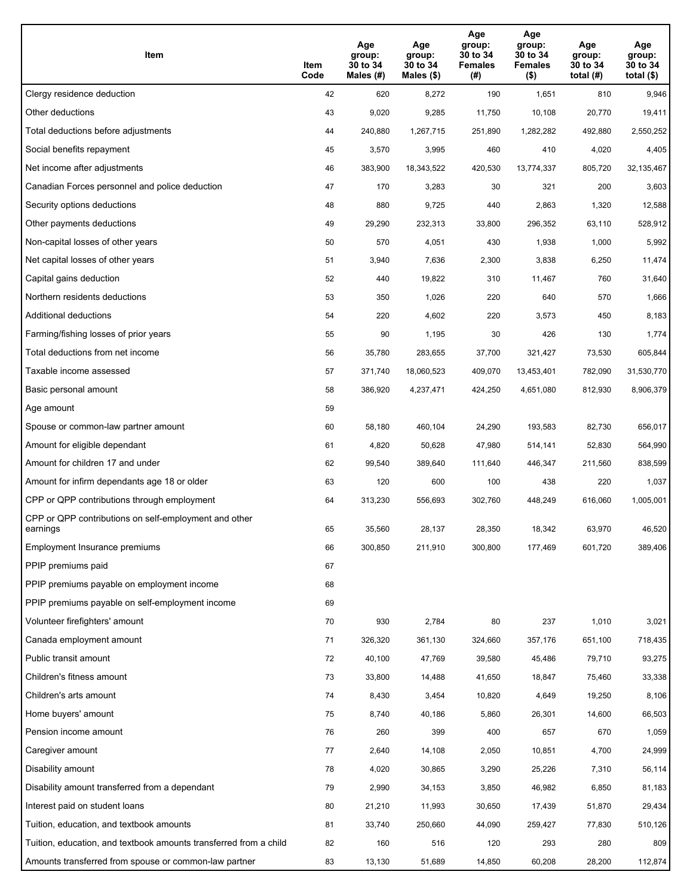| Item                                                              | Item<br>Code | Age<br>group:<br>30 to 34<br>Males (#) | Age<br>group:<br>30 to 34<br>Males (\$) | Age<br>group:<br>30 to 34<br><b>Females</b><br>(# ) | Age<br>group:<br>30 to 34<br><b>Females</b><br>$($ \$) | Age<br>group:<br>30 to 34<br>total $(H)$ | Age<br>group:<br>30 to 34<br>total $($)$ |
|-------------------------------------------------------------------|--------------|----------------------------------------|-----------------------------------------|-----------------------------------------------------|--------------------------------------------------------|------------------------------------------|------------------------------------------|
| Clergy residence deduction                                        | 42           | 620                                    | 8,272                                   | 190                                                 | 1,651                                                  | 810                                      | 9,946                                    |
| Other deductions                                                  | 43           | 9,020                                  | 9,285                                   | 11,750                                              | 10,108                                                 | 20,770                                   | 19,411                                   |
| Total deductions before adjustments                               | 44           | 240,880                                | 1,267,715                               | 251,890                                             | 1,282,282                                              | 492,880                                  | 2,550,252                                |
| Social benefits repayment                                         | 45           | 3,570                                  | 3,995                                   | 460                                                 | 410                                                    | 4,020                                    | 4,405                                    |
| Net income after adjustments                                      | 46           | 383,900                                | 18,343,522                              | 420,530                                             | 13,774,337                                             | 805,720                                  | 32,135,467                               |
| Canadian Forces personnel and police deduction                    | 47           | 170                                    | 3,283                                   | 30                                                  | 321                                                    | 200                                      | 3,603                                    |
| Security options deductions                                       | 48           | 880                                    | 9,725                                   | 440                                                 | 2,863                                                  | 1,320                                    | 12,588                                   |
| Other payments deductions                                         | 49           | 29,290                                 | 232,313                                 | 33,800                                              | 296,352                                                | 63,110                                   | 528,912                                  |
| Non-capital losses of other years                                 | 50           | 570                                    | 4,051                                   | 430                                                 | 1,938                                                  | 1,000                                    | 5,992                                    |
| Net capital losses of other years                                 | 51           | 3,940                                  | 7,636                                   | 2,300                                               | 3,838                                                  | 6,250                                    | 11,474                                   |
| Capital gains deduction                                           | 52           | 440                                    | 19,822                                  | 310                                                 | 11,467                                                 | 760                                      | 31,640                                   |
| Northern residents deductions                                     | 53           | 350                                    | 1,026                                   | 220                                                 | 640                                                    | 570                                      | 1,666                                    |
| Additional deductions                                             | 54           | 220                                    | 4,602                                   | 220                                                 | 3,573                                                  | 450                                      | 8,183                                    |
| Farming/fishing losses of prior years                             | 55           | 90                                     | 1,195                                   | 30                                                  | 426                                                    | 130                                      | 1,774                                    |
| Total deductions from net income                                  | 56           | 35,780                                 | 283,655                                 | 37,700                                              | 321,427                                                | 73,530                                   | 605,844                                  |
| Taxable income assessed                                           | 57           | 371,740                                | 18,060,523                              | 409,070                                             | 13,453,401                                             | 782,090                                  | 31,530,770                               |
| Basic personal amount                                             | 58           | 386,920                                | 4,237,471                               | 424,250                                             | 4,651,080                                              | 812,930                                  | 8,906,379                                |
| Age amount                                                        | 59           |                                        |                                         |                                                     |                                                        |                                          |                                          |
| Spouse or common-law partner amount                               | 60           | 58,180                                 | 460,104                                 | 24,290                                              | 193,583                                                | 82,730                                   | 656,017                                  |
| Amount for eligible dependant                                     | 61           | 4,820                                  | 50,628                                  | 47,980                                              | 514,141                                                | 52,830                                   | 564,990                                  |
| Amount for children 17 and under                                  | 62           | 99,540                                 | 389,640                                 | 111,640                                             | 446,347                                                | 211,560                                  | 838,599                                  |
| Amount for infirm dependants age 18 or older                      | 63           | 120                                    | 600                                     | 100                                                 | 438                                                    | 220                                      | 1,037                                    |
| CPP or QPP contributions through employment                       | 64           | 313,230                                | 556,693                                 | 302,760                                             | 448,249                                                | 616,060                                  | 1,005,001                                |
| CPP or QPP contributions on self-employment and other<br>earnings | 65           | 35,560                                 | 28,137                                  | 28,350                                              | 18,342                                                 | 63,970                                   | 46,520                                   |
| Employment Insurance premiums                                     | 66           | 300,850                                | 211,910                                 | 300,800                                             | 177,469                                                | 601,720                                  | 389,406                                  |
| PPIP premiums paid                                                | 67           |                                        |                                         |                                                     |                                                        |                                          |                                          |
| PPIP premiums payable on employment income                        | 68           |                                        |                                         |                                                     |                                                        |                                          |                                          |
| PPIP premiums payable on self-employment income                   | 69           |                                        |                                         |                                                     |                                                        |                                          |                                          |
| Volunteer firefighters' amount                                    | 70           | 930                                    | 2,784                                   | 80                                                  | 237                                                    | 1,010                                    | 3,021                                    |
| Canada employment amount                                          | 71           | 326,320                                | 361,130                                 | 324,660                                             | 357,176                                                | 651,100                                  | 718,435                                  |
| Public transit amount                                             | 72           | 40,100                                 | 47,769                                  | 39,580                                              | 45,486                                                 | 79,710                                   | 93,275                                   |
| Children's fitness amount                                         | 73           | 33,800                                 | 14,488                                  | 41,650                                              | 18,847                                                 | 75,460                                   | 33,338                                   |
| Children's arts amount                                            | 74           | 8,430                                  | 3,454                                   | 10,820                                              | 4,649                                                  | 19,250                                   | 8,106                                    |
| Home buyers' amount                                               | 75           | 8,740                                  | 40,186                                  | 5,860                                               | 26,301                                                 | 14,600                                   | 66,503                                   |
| Pension income amount                                             | 76           | 260                                    | 399                                     | 400                                                 | 657                                                    | 670                                      | 1,059                                    |
| Caregiver amount                                                  | 77           | 2,640                                  | 14,108                                  | 2,050                                               | 10,851                                                 | 4,700                                    | 24,999                                   |
| Disability amount                                                 | 78           | 4,020                                  | 30,865                                  | 3,290                                               | 25,226                                                 | 7,310                                    | 56,114                                   |
| Disability amount transferred from a dependant                    | 79           | 2,990                                  | 34,153                                  | 3,850                                               | 46,982                                                 | 6,850                                    | 81,183                                   |
| Interest paid on student loans                                    | 80           | 21,210                                 | 11,993                                  | 30,650                                              | 17,439                                                 | 51,870                                   | 29,434                                   |
| Tuition, education, and textbook amounts                          | 81           | 33,740                                 | 250,660                                 | 44,090                                              | 259,427                                                | 77,830                                   | 510,126                                  |
| Tuition, education, and textbook amounts transferred from a child | 82           | 160                                    | 516                                     | 120                                                 | 293                                                    | 280                                      | 809                                      |
| Amounts transferred from spouse or common-law partner             | 83           | 13,130                                 | 51,689                                  | 14,850                                              | 60,208                                                 | 28,200                                   | 112,874                                  |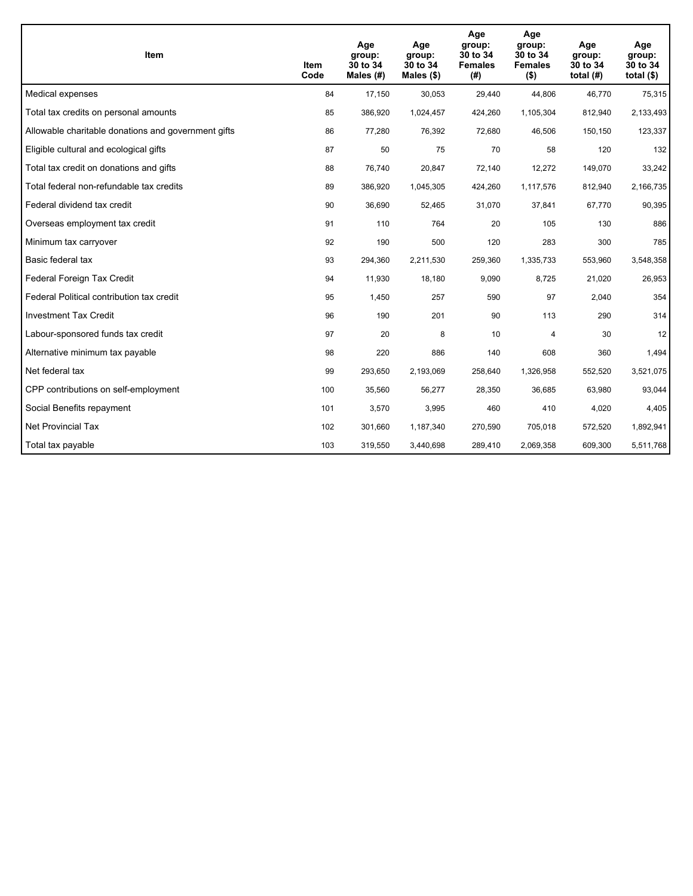| Item                                                | Item<br>Code | Age<br>group:<br>30 to 34<br>Males $(H)$ | Age<br>group:<br>30 to 34<br>Males $(\$)$ | Age<br>group:<br>30 to 34<br><b>Females</b><br>(#) | Age<br>group:<br>30 to 34<br><b>Females</b><br>$($ \$) | Age<br>group:<br>30 to 34<br>total $(H)$ | Age<br>group:<br>30 to 34<br>total $($)$ |
|-----------------------------------------------------|--------------|------------------------------------------|-------------------------------------------|----------------------------------------------------|--------------------------------------------------------|------------------------------------------|------------------------------------------|
| Medical expenses                                    | 84           | 17,150                                   | 30,053                                    | 29,440                                             | 44,806                                                 | 46,770                                   | 75,315                                   |
| Total tax credits on personal amounts               | 85           | 386,920                                  | 1,024,457                                 | 424,260                                            | 1,105,304                                              | 812,940                                  | 2,133,493                                |
| Allowable charitable donations and government gifts | 86           | 77,280                                   | 76,392                                    | 72,680                                             | 46,506                                                 | 150,150                                  | 123,337                                  |
| Eligible cultural and ecological gifts              | 87           | 50                                       | 75                                        | 70                                                 | 58                                                     | 120                                      | 132                                      |
| Total tax credit on donations and gifts             | 88           | 76,740                                   | 20,847                                    | 72,140                                             | 12,272                                                 | 149,070                                  | 33,242                                   |
| Total federal non-refundable tax credits            | 89           | 386,920                                  | 1,045,305                                 | 424,260                                            | 1,117,576                                              | 812,940                                  | 2,166,735                                |
| Federal dividend tax credit                         | 90           | 36,690                                   | 52,465                                    | 31,070                                             | 37,841                                                 | 67,770                                   | 90,395                                   |
| Overseas employment tax credit                      | 91           | 110                                      | 764                                       | 20                                                 | 105                                                    | 130                                      | 886                                      |
| Minimum tax carryover                               | 92           | 190                                      | 500                                       | 120                                                | 283                                                    | 300                                      | 785                                      |
| Basic federal tax                                   | 93           | 294,360                                  | 2,211,530                                 | 259,360                                            | 1,335,733                                              | 553,960                                  | 3,548,358                                |
| Federal Foreign Tax Credit                          | 94           | 11,930                                   | 18,180                                    | 9,090                                              | 8,725                                                  | 21,020                                   | 26,953                                   |
| Federal Political contribution tax credit           | 95           | 1,450                                    | 257                                       | 590                                                | 97                                                     | 2,040                                    | 354                                      |
| <b>Investment Tax Credit</b>                        | 96           | 190                                      | 201                                       | 90                                                 | 113                                                    | 290                                      | 314                                      |
| Labour-sponsored funds tax credit                   | 97           | 20                                       | 8                                         | 10                                                 | 4                                                      | 30                                       | 12                                       |
| Alternative minimum tax payable                     | 98           | 220                                      | 886                                       | 140                                                | 608                                                    | 360                                      | 1,494                                    |
| Net federal tax                                     | 99           | 293,650                                  | 2,193,069                                 | 258,640                                            | 1,326,958                                              | 552,520                                  | 3,521,075                                |
| CPP contributions on self-employment                | 100          | 35,560                                   | 56,277                                    | 28,350                                             | 36,685                                                 | 63,980                                   | 93,044                                   |
| Social Benefits repayment                           | 101          | 3,570                                    | 3,995                                     | 460                                                | 410                                                    | 4,020                                    | 4,405                                    |
| Net Provincial Tax                                  | 102          | 301,660                                  | 1,187,340                                 | 270,590                                            | 705,018                                                | 572,520                                  | 1,892,941                                |
| Total tax payable                                   | 103          | 319,550                                  | 3,440,698                                 | 289,410                                            | 2,069,358                                              | 609,300                                  | 5,511,768                                |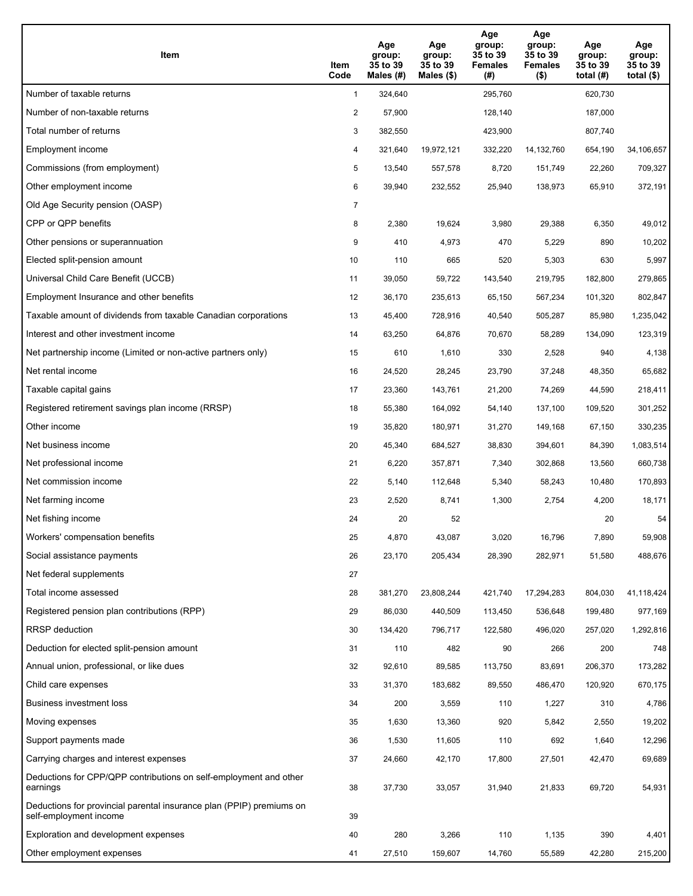| Item                                                                                           | Item<br>Code   | Age<br>group:<br>35 to 39<br>Males $(H)$ | Age<br>group:<br>35 to 39<br>Males $(\$)$ | Age<br>group:<br>35 to 39<br><b>Females</b><br>(#) | Age<br>group:<br>35 to 39<br><b>Females</b><br>$($ \$) | Age<br>group:<br>35 to 39<br>total $(H)$ | Age<br>group:<br>35 to 39<br>total $($)$ |
|------------------------------------------------------------------------------------------------|----------------|------------------------------------------|-------------------------------------------|----------------------------------------------------|--------------------------------------------------------|------------------------------------------|------------------------------------------|
| Number of taxable returns                                                                      | $\mathbf{1}$   | 324,640                                  |                                           | 295,760                                            |                                                        | 620,730                                  |                                          |
| Number of non-taxable returns                                                                  | $\overline{2}$ | 57,900                                   |                                           | 128,140                                            |                                                        | 187,000                                  |                                          |
| Total number of returns                                                                        | 3              | 382,550                                  |                                           | 423,900                                            |                                                        | 807,740                                  |                                          |
| Employment income                                                                              | 4              | 321,640                                  | 19,972,121                                | 332,220                                            | 14, 132, 760                                           | 654,190                                  | 34,106,657                               |
| Commissions (from employment)                                                                  | 5              | 13,540                                   | 557,578                                   | 8,720                                              | 151,749                                                | 22,260                                   | 709,327                                  |
| Other employment income                                                                        | 6              | 39,940                                   | 232,552                                   | 25,940                                             | 138,973                                                | 65,910                                   | 372,191                                  |
| Old Age Security pension (OASP)                                                                | $\overline{7}$ |                                          |                                           |                                                    |                                                        |                                          |                                          |
| CPP or QPP benefits                                                                            | 8              | 2,380                                    | 19,624                                    | 3,980                                              | 29,388                                                 | 6,350                                    | 49,012                                   |
| Other pensions or superannuation                                                               | 9              | 410                                      | 4,973                                     | 470                                                | 5,229                                                  | 890                                      | 10,202                                   |
| Elected split-pension amount                                                                   | 10             | 110                                      | 665                                       | 520                                                | 5,303                                                  | 630                                      | 5,997                                    |
| Universal Child Care Benefit (UCCB)                                                            | 11             | 39,050                                   | 59.722                                    | 143,540                                            | 219,795                                                | 182,800                                  | 279,865                                  |
| Employment Insurance and other benefits                                                        | 12             | 36,170                                   | 235,613                                   | 65,150                                             | 567,234                                                | 101,320                                  | 802,847                                  |
| Taxable amount of dividends from taxable Canadian corporations                                 | 13             | 45,400                                   | 728,916                                   | 40,540                                             | 505,287                                                | 85,980                                   | 1,235,042                                |
| Interest and other investment income                                                           | 14             | 63,250                                   | 64,876                                    | 70,670                                             | 58,289                                                 | 134,090                                  | 123,319                                  |
| Net partnership income (Limited or non-active partners only)                                   | 15             | 610                                      | 1,610                                     | 330                                                | 2,528                                                  | 940                                      | 4,138                                    |
| Net rental income                                                                              | 16             | 24,520                                   | 28,245                                    | 23,790                                             | 37,248                                                 | 48,350                                   | 65,682                                   |
| Taxable capital gains                                                                          | 17             | 23,360                                   | 143,761                                   | 21,200                                             | 74,269                                                 | 44,590                                   | 218,411                                  |
| Registered retirement savings plan income (RRSP)                                               | 18             | 55,380                                   | 164,092                                   | 54,140                                             | 137,100                                                | 109,520                                  | 301,252                                  |
| Other income                                                                                   | 19             | 35,820                                   | 180,971                                   | 31,270                                             | 149,168                                                | 67,150                                   | 330,235                                  |
| Net business income                                                                            | 20             | 45,340                                   | 684,527                                   | 38,830                                             | 394,601                                                | 84,390                                   | 1,083,514                                |
| Net professional income                                                                        | 21             | 6,220                                    | 357,871                                   | 7,340                                              | 302,868                                                | 13,560                                   | 660,738                                  |
| Net commission income                                                                          | 22             | 5,140                                    | 112,648                                   | 5,340                                              | 58,243                                                 | 10,480                                   | 170,893                                  |
| Net farming income                                                                             | 23             | 2,520                                    | 8,741                                     | 1,300                                              | 2,754                                                  | 4,200                                    | 18,171                                   |
| Net fishing income                                                                             | 24             | 20                                       | 52                                        |                                                    |                                                        | 20                                       | 54                                       |
| Workers' compensation benefits                                                                 | 25             | 4,870                                    | 43,087                                    | 3,020                                              | 16,796                                                 | 7,890                                    | 59,908                                   |
| Social assistance payments                                                                     | 26             | 23,170                                   | 205,434                                   | 28,390                                             | 282,971                                                | 51,580                                   | 488,676                                  |
| Net federal supplements                                                                        | 27             |                                          |                                           |                                                    |                                                        |                                          |                                          |
| Total income assessed                                                                          | 28             | 381,270                                  | 23,808,244                                | 421,740                                            | 17,294,283                                             | 804,030                                  | 41,118,424                               |
| Registered pension plan contributions (RPP)                                                    | 29             | 86,030                                   | 440,509                                   | 113,450                                            | 536,648                                                | 199,480                                  | 977,169                                  |
| RRSP deduction                                                                                 | 30             | 134,420                                  | 796,717                                   | 122,580                                            | 496,020                                                | 257,020                                  | 1,292,816                                |
| Deduction for elected split-pension amount                                                     | 31             | 110                                      | 482                                       | 90                                                 | 266                                                    | 200                                      | 748                                      |
| Annual union, professional, or like dues                                                       | 32             | 92,610                                   | 89,585                                    | 113,750                                            | 83,691                                                 | 206,370                                  | 173,282                                  |
| Child care expenses                                                                            | 33             | 31,370                                   | 183,682                                   | 89,550                                             | 486,470                                                | 120,920                                  | 670,175                                  |
| Business investment loss                                                                       | 34             | 200                                      | 3,559                                     | 110                                                | 1,227                                                  | 310                                      | 4,786                                    |
| Moving expenses                                                                                | 35             | 1,630                                    | 13,360                                    | 920                                                | 5,842                                                  | 2,550                                    | 19,202                                   |
| Support payments made                                                                          | 36             | 1,530                                    | 11,605                                    | 110                                                | 692                                                    | 1,640                                    | 12,296                                   |
| Carrying charges and interest expenses                                                         | 37             | 24,660                                   | 42,170                                    | 17,800                                             | 27,501                                                 | 42,470                                   | 69,689                                   |
| Deductions for CPP/QPP contributions on self-employment and other<br>earnings                  | 38             | 37,730                                   | 33,057                                    | 31,940                                             | 21,833                                                 | 69,720                                   | 54,931                                   |
| Deductions for provincial parental insurance plan (PPIP) premiums on<br>self-employment income | 39             |                                          |                                           |                                                    |                                                        |                                          |                                          |
| Exploration and development expenses                                                           | 40             | 280                                      | 3,266                                     | 110                                                | 1,135                                                  | 390                                      | 4,401                                    |
| Other employment expenses                                                                      | 41             | 27,510                                   | 159,607                                   | 14,760                                             | 55,589                                                 | 42,280                                   | 215,200                                  |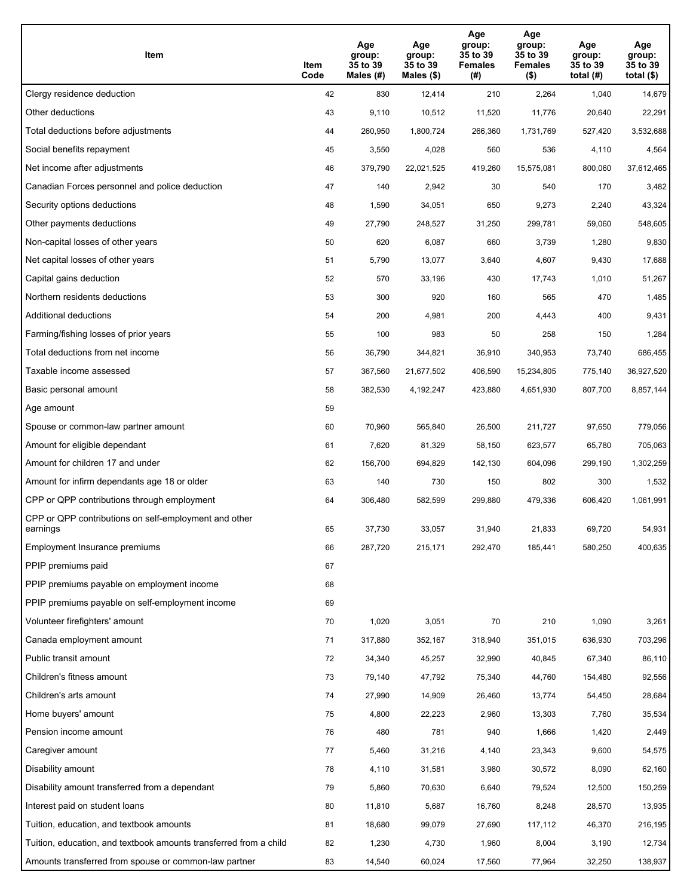| Item                                                              | Item<br>Code | Age<br>group:<br>35 to 39<br>Males (#) | Age<br>group:<br>35 to 39<br>Males (\$) | Age<br>group:<br>35 to 39<br><b>Females</b><br>(#) | Age<br>group:<br>35 to 39<br><b>Females</b><br>$($ \$) | Age<br>group:<br>35 to 39<br>total $(H)$ | Age<br>group:<br>35 to 39<br>total $($)$ |
|-------------------------------------------------------------------|--------------|----------------------------------------|-----------------------------------------|----------------------------------------------------|--------------------------------------------------------|------------------------------------------|------------------------------------------|
| Clergy residence deduction                                        | 42           | 830                                    | 12,414                                  | 210                                                | 2,264                                                  | 1,040                                    | 14,679                                   |
| Other deductions                                                  | 43           | 9,110                                  | 10,512                                  | 11,520                                             | 11,776                                                 | 20,640                                   | 22,291                                   |
| Total deductions before adjustments                               | 44           | 260,950                                | 1,800,724                               | 266,360                                            | 1,731,769                                              | 527,420                                  | 3,532,688                                |
| Social benefits repayment                                         | 45           | 3,550                                  | 4,028                                   | 560                                                | 536                                                    | 4,110                                    | 4,564                                    |
| Net income after adjustments                                      | 46           | 379,790                                | 22,021,525                              | 419,260                                            | 15,575,081                                             | 800,060                                  | 37,612,465                               |
| Canadian Forces personnel and police deduction                    | 47           | 140                                    | 2,942                                   | 30                                                 | 540                                                    | 170                                      | 3,482                                    |
| Security options deductions                                       | 48           | 1,590                                  | 34,051                                  | 650                                                | 9,273                                                  | 2,240                                    | 43,324                                   |
| Other payments deductions                                         | 49           | 27,790                                 | 248,527                                 | 31,250                                             | 299,781                                                | 59,060                                   | 548,605                                  |
| Non-capital losses of other years                                 | 50           | 620                                    | 6,087                                   | 660                                                | 3,739                                                  | 1,280                                    | 9,830                                    |
| Net capital losses of other years                                 | 51           | 5,790                                  | 13,077                                  | 3,640                                              | 4,607                                                  | 9,430                                    | 17,688                                   |
| Capital gains deduction                                           | 52           | 570                                    | 33,196                                  | 430                                                | 17,743                                                 | 1,010                                    | 51,267                                   |
| Northern residents deductions                                     | 53           | 300                                    | 920                                     | 160                                                | 565                                                    | 470                                      | 1,485                                    |
| Additional deductions                                             | 54           | 200                                    | 4,981                                   | 200                                                | 4,443                                                  | 400                                      | 9,431                                    |
| Farming/fishing losses of prior years                             | 55           | 100                                    | 983                                     | 50                                                 | 258                                                    | 150                                      | 1,284                                    |
| Total deductions from net income                                  | 56           | 36,790                                 | 344,821                                 | 36,910                                             | 340,953                                                | 73,740                                   | 686,455                                  |
| Taxable income assessed                                           | 57           | 367,560                                | 21,677,502                              | 406,590                                            | 15,234,805                                             | 775,140                                  | 36,927,520                               |
| Basic personal amount                                             | 58           | 382,530                                | 4,192,247                               | 423,880                                            | 4,651,930                                              | 807,700                                  | 8,857,144                                |
| Age amount                                                        | 59           |                                        |                                         |                                                    |                                                        |                                          |                                          |
| Spouse or common-law partner amount                               | 60           | 70,960                                 | 565,840                                 | 26,500                                             | 211,727                                                | 97,650                                   | 779,056                                  |
| Amount for eligible dependant                                     | 61           | 7,620                                  | 81,329                                  | 58,150                                             | 623,577                                                | 65,780                                   | 705,063                                  |
| Amount for children 17 and under                                  | 62           | 156,700                                | 694,829                                 | 142,130                                            | 604,096                                                | 299,190                                  | 1,302,259                                |
| Amount for infirm dependants age 18 or older                      | 63           | 140                                    | 730                                     | 150                                                | 802                                                    | 300                                      | 1,532                                    |
| CPP or QPP contributions through employment                       | 64           | 306,480                                | 582,599                                 | 299,880                                            | 479,336                                                | 606,420                                  | 1,061,991                                |
| CPP or QPP contributions on self-employment and other<br>earnings | 65           | 37,730                                 | 33,057                                  | 31,940                                             | 21,833                                                 | 69,720                                   | 54,931                                   |
| Employment Insurance premiums                                     | 66           | 287,720                                | 215,171                                 | 292,470                                            | 185,441                                                | 580,250                                  | 400,635                                  |
| PPIP premiums paid                                                | 67           |                                        |                                         |                                                    |                                                        |                                          |                                          |
| PPIP premiums payable on employment income                        | 68           |                                        |                                         |                                                    |                                                        |                                          |                                          |
| PPIP premiums payable on self-employment income                   | 69           |                                        |                                         |                                                    |                                                        |                                          |                                          |
| Volunteer firefighters' amount                                    | 70           | 1,020                                  | 3,051                                   | 70                                                 | 210                                                    | 1,090                                    | 3,261                                    |
| Canada employment amount                                          | 71           | 317,880                                | 352,167                                 | 318,940                                            | 351,015                                                | 636,930                                  | 703,296                                  |
| Public transit amount                                             | 72           | 34,340                                 | 45,257                                  | 32,990                                             | 40,845                                                 | 67,340                                   | 86,110                                   |
| Children's fitness amount                                         | 73           | 79,140                                 | 47,792                                  | 75,340                                             | 44,760                                                 | 154,480                                  | 92,556                                   |
| Children's arts amount                                            | 74           | 27,990                                 | 14,909                                  | 26,460                                             | 13,774                                                 | 54,450                                   | 28,684                                   |
| Home buyers' amount                                               | 75           | 4,800                                  | 22,223                                  | 2,960                                              | 13,303                                                 | 7,760                                    | 35,534                                   |
| Pension income amount                                             | 76           | 480                                    | 781                                     | 940                                                | 1,666                                                  | 1,420                                    | 2,449                                    |
| Caregiver amount                                                  | 77           | 5,460                                  | 31,216                                  | 4,140                                              | 23,343                                                 | 9,600                                    | 54,575                                   |
| Disability amount                                                 | 78           | 4,110                                  | 31,581                                  | 3,980                                              | 30,572                                                 | 8,090                                    | 62,160                                   |
| Disability amount transferred from a dependant                    | 79           | 5,860                                  | 70,630                                  | 6,640                                              | 79,524                                                 | 12,500                                   | 150,259                                  |
| Interest paid on student loans                                    | 80           | 11,810                                 | 5,687                                   | 16,760                                             | 8,248                                                  | 28,570                                   | 13,935                                   |
| Tuition, education, and textbook amounts                          | 81           | 18,680                                 | 99,079                                  | 27,690                                             | 117,112                                                | 46,370                                   | 216,195                                  |
| Tuition, education, and textbook amounts transferred from a child | 82           | 1,230                                  | 4,730                                   | 1,960                                              | 8,004                                                  | 3,190                                    | 12,734                                   |
| Amounts transferred from spouse or common-law partner             | 83           | 14,540                                 | 60,024                                  | 17,560                                             | 77,964                                                 | 32,250                                   | 138,937                                  |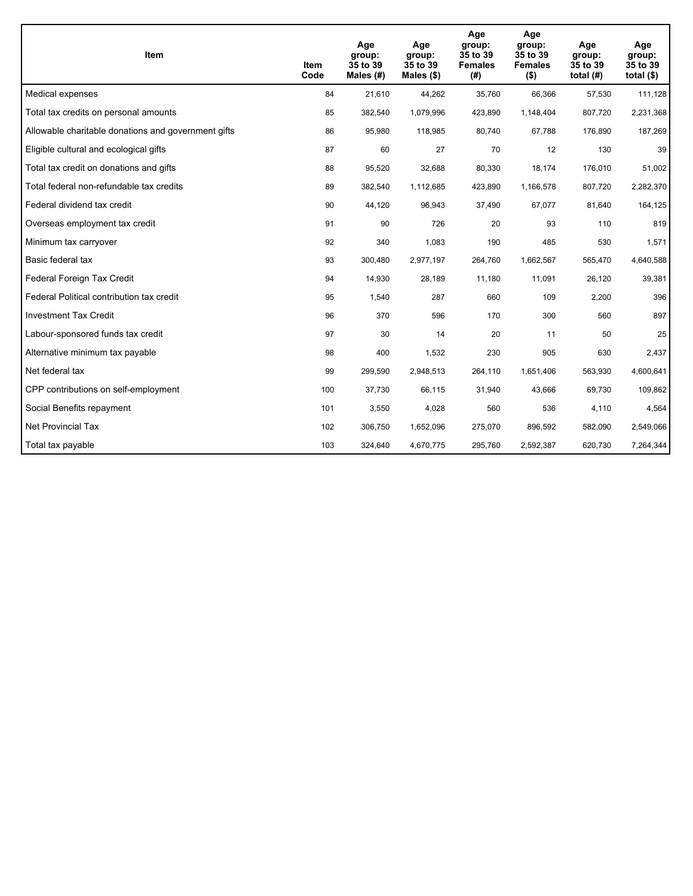| Item                                                | <b>Item</b><br>Code | Age<br>group:<br>35 to 39<br>Males $(H)$ | Age<br>group:<br>35 to 39<br>Males $(\$)$ | Age<br>group:<br>35 to 39<br><b>Females</b><br>(# ) | Age<br>group:<br>35 to 39<br><b>Females</b><br>$($ \$) | Age<br>group:<br>35 to 39<br>total $(H)$ | Age<br>group:<br>35 to 39<br>total $($)$ |
|-----------------------------------------------------|---------------------|------------------------------------------|-------------------------------------------|-----------------------------------------------------|--------------------------------------------------------|------------------------------------------|------------------------------------------|
| Medical expenses                                    | 84                  | 21,610                                   | 44,262                                    | 35,760                                              | 66,366                                                 | 57,530                                   | 111,128                                  |
| Total tax credits on personal amounts               | 85                  | 382,540                                  | 1,079,996                                 | 423,890                                             | 1,148,404                                              | 807,720                                  | 2,231,368                                |
| Allowable charitable donations and government gifts | 86                  | 95,980                                   | 118,985                                   | 80,740                                              | 67,788                                                 | 176,890                                  | 187,269                                  |
| Eligible cultural and ecological gifts              | 87                  | 60                                       | 27                                        | 70                                                  | 12                                                     | 130                                      | 39                                       |
| Total tax credit on donations and gifts             | 88                  | 95,520                                   | 32,688                                    | 80,330                                              | 18,174                                                 | 176,010                                  | 51,002                                   |
| Total federal non-refundable tax credits            | 89                  | 382,540                                  | 1,112,685                                 | 423,890                                             | 1,166,578                                              | 807,720                                  | 2,282,370                                |
| Federal dividend tax credit                         | 90                  | 44,120                                   | 96,943                                    | 37,490                                              | 67,077                                                 | 81,640                                   | 164,125                                  |
| Overseas employment tax credit                      | 91                  | 90                                       | 726                                       | 20                                                  | 93                                                     | 110                                      | 819                                      |
| Minimum tax carryover                               | 92                  | 340                                      | 1,083                                     | 190                                                 | 485                                                    | 530                                      | 1,571                                    |
| Basic federal tax                                   | 93                  | 300,480                                  | 2,977,197                                 | 264,760                                             | 1,662,567                                              | 565,470                                  | 4,640,588                                |
| Federal Foreign Tax Credit                          | 94                  | 14,930                                   | 28,189                                    | 11,180                                              | 11,091                                                 | 26,120                                   | 39,381                                   |
| Federal Political contribution tax credit           | 95                  | 1,540                                    | 287                                       | 660                                                 | 109                                                    | 2,200                                    | 396                                      |
| <b>Investment Tax Credit</b>                        | 96                  | 370                                      | 596                                       | 170                                                 | 300                                                    | 560                                      | 897                                      |
| Labour-sponsored funds tax credit                   | 97                  | 30                                       | 14                                        | 20                                                  | 11                                                     | 50                                       | 25                                       |
| Alternative minimum tax payable                     | 98                  | 400                                      | 1,532                                     | 230                                                 | 905                                                    | 630                                      | 2,437                                    |
| Net federal tax                                     | 99                  | 299,590                                  | 2,948,513                                 | 264,110                                             | 1,651,406                                              | 563,930                                  | 4,600,641                                |
| CPP contributions on self-employment                | 100                 | 37,730                                   | 66,115                                    | 31,940                                              | 43,666                                                 | 69,730                                   | 109,862                                  |
| Social Benefits repayment                           | 101                 | 3,550                                    | 4,028                                     | 560                                                 | 536                                                    | 4,110                                    | 4,564                                    |
| Net Provincial Tax                                  | 102                 | 306,750                                  | 1,652,096                                 | 275,070                                             | 896,592                                                | 582,090                                  | 2,549,066                                |
| Total tax payable                                   | 103                 | 324,640                                  | 4,670,775                                 | 295,760                                             | 2,592,387                                              | 620,730                                  | 7,264,344                                |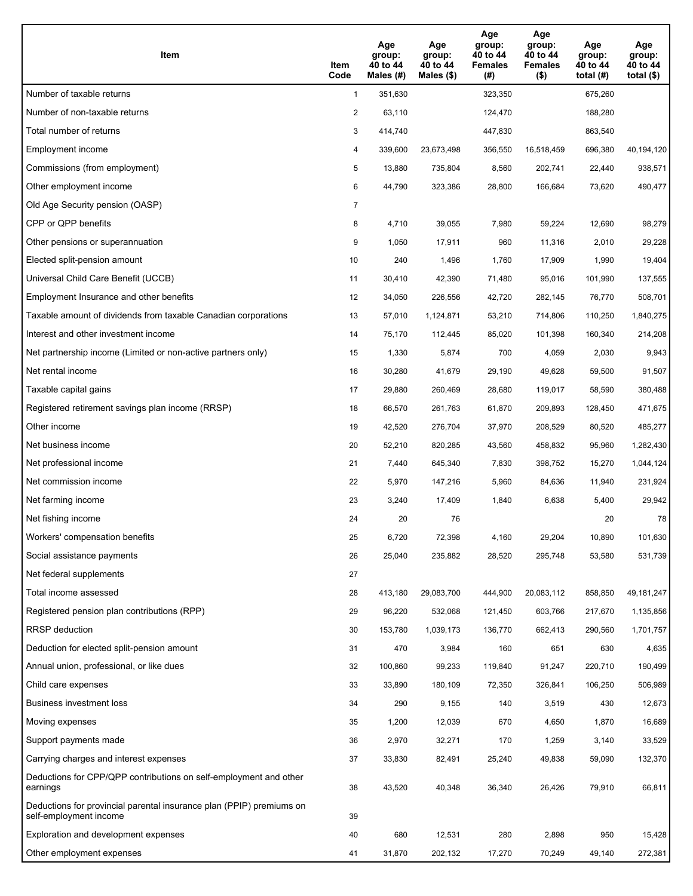| Item                                                                                           | Item<br>Code   | Age<br>group:<br>40 to 44<br>Males $(H)$ | Age<br>group:<br>40 to 44<br>Males $(\$)$ | Age<br>group:<br>40 to 44<br><b>Females</b><br>(#) | Age<br>group:<br>40 to 44<br><b>Females</b><br>$($ \$) | Age<br>group:<br>40 to 44<br>total $(H)$ | Age<br>group:<br>40 to 44<br>total $($ |
|------------------------------------------------------------------------------------------------|----------------|------------------------------------------|-------------------------------------------|----------------------------------------------------|--------------------------------------------------------|------------------------------------------|----------------------------------------|
| Number of taxable returns                                                                      | $\mathbf{1}$   | 351,630                                  |                                           | 323,350                                            |                                                        | 675,260                                  |                                        |
| Number of non-taxable returns                                                                  | $\overline{2}$ | 63,110                                   |                                           | 124,470                                            |                                                        | 188,280                                  |                                        |
| Total number of returns                                                                        | 3              | 414,740                                  |                                           | 447,830                                            |                                                        | 863,540                                  |                                        |
| Employment income                                                                              | 4              | 339,600                                  | 23,673,498                                | 356,550                                            | 16,518,459                                             | 696,380                                  | 40,194,120                             |
| Commissions (from employment)                                                                  | 5              | 13,880                                   | 735,804                                   | 8,560                                              | 202,741                                                | 22,440                                   | 938,571                                |
| Other employment income                                                                        | 6              | 44,790                                   | 323,386                                   | 28,800                                             | 166,684                                                | 73,620                                   | 490,477                                |
| Old Age Security pension (OASP)                                                                | $\overline{7}$ |                                          |                                           |                                                    |                                                        |                                          |                                        |
| CPP or QPP benefits                                                                            | 8              | 4,710                                    | 39,055                                    | 7,980                                              | 59,224                                                 | 12,690                                   | 98,279                                 |
| Other pensions or superannuation                                                               | 9              | 1,050                                    | 17,911                                    | 960                                                | 11,316                                                 | 2,010                                    | 29,228                                 |
| Elected split-pension amount                                                                   | 10             | 240                                      | 1,496                                     | 1,760                                              | 17,909                                                 | 1,990                                    | 19,404                                 |
| Universal Child Care Benefit (UCCB)                                                            | 11             | 30,410                                   | 42,390                                    | 71,480                                             | 95,016                                                 | 101,990                                  | 137,555                                |
| Employment Insurance and other benefits                                                        | 12             | 34,050                                   | 226,556                                   | 42,720                                             | 282,145                                                | 76,770                                   | 508,701                                |
| Taxable amount of dividends from taxable Canadian corporations                                 | 13             | 57,010                                   | 1,124,871                                 | 53,210                                             | 714,806                                                | 110,250                                  | 1,840,275                              |
| Interest and other investment income                                                           | 14             | 75,170                                   | 112,445                                   | 85,020                                             | 101,398                                                | 160,340                                  | 214,208                                |
| Net partnership income (Limited or non-active partners only)                                   | 15             | 1,330                                    | 5,874                                     | 700                                                | 4,059                                                  | 2,030                                    | 9,943                                  |
| Net rental income                                                                              | 16             | 30,280                                   | 41,679                                    | 29,190                                             | 49,628                                                 | 59,500                                   | 91,507                                 |
| Taxable capital gains                                                                          | 17             | 29,880                                   | 260,469                                   | 28,680                                             | 119,017                                                | 58,590                                   | 380,488                                |
| Registered retirement savings plan income (RRSP)                                               | 18             | 66,570                                   | 261,763                                   | 61,870                                             | 209,893                                                | 128,450                                  | 471,675                                |
| Other income                                                                                   | 19             | 42,520                                   | 276,704                                   | 37,970                                             | 208,529                                                | 80,520                                   | 485,277                                |
| Net business income                                                                            | 20             | 52,210                                   | 820,285                                   | 43,560                                             | 458,832                                                | 95,960                                   | 1,282,430                              |
| Net professional income                                                                        | 21             | 7,440                                    | 645,340                                   | 7,830                                              | 398,752                                                | 15,270                                   | 1,044,124                              |
| Net commission income                                                                          | 22             | 5,970                                    | 147,216                                   | 5,960                                              | 84,636                                                 | 11,940                                   | 231,924                                |
| Net farming income                                                                             | 23             | 3,240                                    | 17,409                                    | 1,840                                              | 6,638                                                  | 5,400                                    | 29,942                                 |
| Net fishing income                                                                             | 24             | 20                                       | 76                                        |                                                    |                                                        | 20                                       | 78                                     |
| Workers' compensation benefits                                                                 | 25             | 6,720                                    | 72,398                                    | 4,160                                              | 29,204                                                 | 10,890                                   | 101,630                                |
| Social assistance payments                                                                     | 26             | 25,040                                   | 235,882                                   | 28,520                                             | 295,748                                                | 53,580                                   | 531,739                                |
| Net federal supplements                                                                        | 27             |                                          |                                           |                                                    |                                                        |                                          |                                        |
| Total income assessed                                                                          | 28             | 413,180                                  | 29,083,700                                | 444,900                                            | 20,083,112                                             | 858,850                                  | 49, 181, 247                           |
| Registered pension plan contributions (RPP)                                                    | 29             | 96,220                                   | 532,068                                   | 121,450                                            | 603,766                                                | 217,670                                  | 1,135,856                              |
| RRSP deduction                                                                                 | 30             | 153,780                                  | 1,039,173                                 | 136,770                                            | 662,413                                                | 290,560                                  | 1,701,757                              |
| Deduction for elected split-pension amount                                                     | 31             | 470                                      | 3,984                                     | 160                                                | 651                                                    | 630                                      | 4,635                                  |
| Annual union, professional, or like dues                                                       | 32             | 100,860                                  | 99,233                                    | 119,840                                            | 91,247                                                 | 220,710                                  | 190,499                                |
| Child care expenses                                                                            | 33             | 33,890                                   | 180,109                                   | 72,350                                             | 326,841                                                | 106,250                                  | 506,989                                |
| Business investment loss                                                                       | 34             | 290                                      | 9,155                                     | 140                                                | 3,519                                                  | 430                                      | 12,673                                 |
| Moving expenses                                                                                | 35             | 1,200                                    | 12,039                                    | 670                                                | 4,650                                                  | 1,870                                    | 16,689                                 |
| Support payments made                                                                          | 36             | 2,970                                    | 32,271                                    | 170                                                | 1,259                                                  | 3,140                                    | 33,529                                 |
| Carrying charges and interest expenses                                                         | 37             | 33,830                                   | 82,491                                    | 25,240                                             | 49,838                                                 | 59,090                                   | 132,370                                |
| Deductions for CPP/QPP contributions on self-employment and other<br>earnings                  | 38             | 43,520                                   | 40,348                                    | 36,340                                             | 26,426                                                 | 79,910                                   | 66,811                                 |
| Deductions for provincial parental insurance plan (PPIP) premiums on<br>self-employment income | 39             |                                          |                                           |                                                    |                                                        |                                          |                                        |
| Exploration and development expenses                                                           | 40             | 680                                      | 12,531                                    | 280                                                | 2,898                                                  | 950                                      | 15,428                                 |
| Other employment expenses                                                                      | 41             | 31,870                                   | 202,132                                   | 17,270                                             | 70,249                                                 | 49,140                                   | 272,381                                |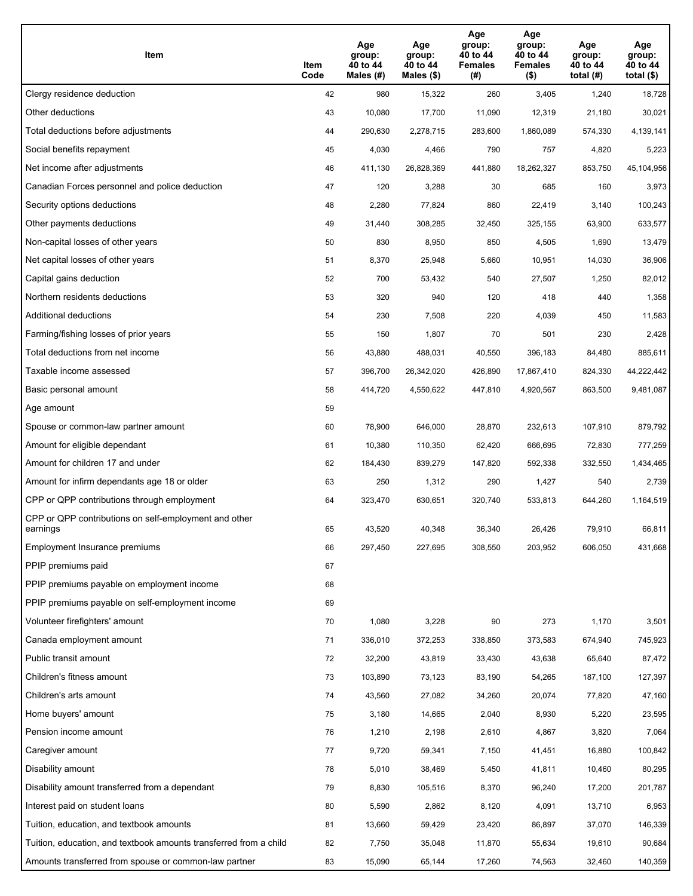| Item                                                              | Item<br>Code | Age<br>group:<br>40 to 44<br>Males (#) | Age<br>group:<br>40 to 44<br>Males (\$) | Age<br>group:<br>40 to 44<br><b>Females</b><br>(# ) | Age<br>group:<br>40 to 44<br><b>Females</b><br>$($ \$) | Age<br>group:<br>40 to 44<br>total $(H)$ | Age<br>group:<br>40 to 44<br>total $($)$ |
|-------------------------------------------------------------------|--------------|----------------------------------------|-----------------------------------------|-----------------------------------------------------|--------------------------------------------------------|------------------------------------------|------------------------------------------|
| Clergy residence deduction                                        | 42           | 980                                    | 15,322                                  | 260                                                 | 3,405                                                  | 1,240                                    | 18,728                                   |
| Other deductions                                                  | 43           | 10,080                                 | 17,700                                  | 11,090                                              | 12,319                                                 | 21,180                                   | 30,021                                   |
| Total deductions before adjustments                               | 44           | 290,630                                | 2,278,715                               | 283,600                                             | 1,860,089                                              | 574,330                                  | 4,139,141                                |
| Social benefits repayment                                         | 45           | 4,030                                  | 4,466                                   | 790                                                 | 757                                                    | 4,820                                    | 5,223                                    |
| Net income after adjustments                                      | 46           | 411,130                                | 26,828,369                              | 441,880                                             | 18,262,327                                             | 853,750                                  | 45,104,956                               |
| Canadian Forces personnel and police deduction                    | 47           | 120                                    | 3,288                                   | 30                                                  | 685                                                    | 160                                      | 3,973                                    |
| Security options deductions                                       | 48           | 2,280                                  | 77,824                                  | 860                                                 | 22,419                                                 | 3,140                                    | 100,243                                  |
| Other payments deductions                                         | 49           | 31,440                                 | 308,285                                 | 32,450                                              | 325,155                                                | 63,900                                   | 633,577                                  |
| Non-capital losses of other years                                 | 50           | 830                                    | 8,950                                   | 850                                                 | 4,505                                                  | 1,690                                    | 13,479                                   |
| Net capital losses of other years                                 | 51           | 8,370                                  | 25,948                                  | 5,660                                               | 10,951                                                 | 14,030                                   | 36,906                                   |
| Capital gains deduction                                           | 52           | 700                                    | 53,432                                  | 540                                                 | 27,507                                                 | 1,250                                    | 82,012                                   |
| Northern residents deductions                                     | 53           | 320                                    | 940                                     | 120                                                 | 418                                                    | 440                                      | 1,358                                    |
| Additional deductions                                             | 54           | 230                                    | 7,508                                   | 220                                                 | 4,039                                                  | 450                                      | 11,583                                   |
| Farming/fishing losses of prior years                             | 55           | 150                                    | 1,807                                   | 70                                                  | 501                                                    | 230                                      | 2,428                                    |
| Total deductions from net income                                  | 56           | 43,880                                 | 488,031                                 | 40,550                                              | 396,183                                                | 84,480                                   | 885,611                                  |
| Taxable income assessed                                           | 57           | 396,700                                | 26,342,020                              | 426,890                                             | 17,867,410                                             | 824,330                                  | 44,222,442                               |
| Basic personal amount                                             | 58           | 414,720                                | 4,550,622                               | 447,810                                             | 4,920,567                                              | 863,500                                  | 9,481,087                                |
| Age amount                                                        | 59           |                                        |                                         |                                                     |                                                        |                                          |                                          |
| Spouse or common-law partner amount                               | 60           | 78,900                                 | 646,000                                 | 28,870                                              | 232,613                                                | 107,910                                  | 879,792                                  |
| Amount for eligible dependant                                     | 61           | 10,380                                 | 110,350                                 | 62,420                                              | 666,695                                                | 72,830                                   | 777,259                                  |
| Amount for children 17 and under                                  | 62           | 184,430                                | 839,279                                 | 147,820                                             | 592,338                                                | 332,550                                  | 1,434,465                                |
| Amount for infirm dependants age 18 or older                      | 63           | 250                                    | 1,312                                   | 290                                                 | 1,427                                                  | 540                                      | 2,739                                    |
| CPP or QPP contributions through employment                       | 64           | 323,470                                | 630,651                                 | 320,740                                             | 533,813                                                | 644,260                                  | 1,164,519                                |
| CPP or QPP contributions on self-employment and other<br>earnings | 65           | 43,520                                 | 40,348                                  | 36,340                                              | 26,426                                                 | 79.910                                   | 66,811                                   |
| Employment Insurance premiums                                     | 66           | 297,450                                | 227,695                                 | 308,550                                             | 203,952                                                | 606,050                                  | 431,668                                  |
| PPIP premiums paid                                                | 67           |                                        |                                         |                                                     |                                                        |                                          |                                          |
| PPIP premiums payable on employment income                        | 68           |                                        |                                         |                                                     |                                                        |                                          |                                          |
| PPIP premiums payable on self-employment income                   | 69           |                                        |                                         |                                                     |                                                        |                                          |                                          |
| Volunteer firefighters' amount                                    | 70           | 1,080                                  | 3,228                                   | 90                                                  | 273                                                    | 1,170                                    | 3,501                                    |
| Canada employment amount                                          | 71           | 336,010                                | 372,253                                 | 338,850                                             | 373,583                                                | 674,940                                  | 745,923                                  |
| Public transit amount                                             | 72           | 32,200                                 | 43,819                                  | 33,430                                              | 43,638                                                 | 65,640                                   | 87,472                                   |
| Children's fitness amount                                         | 73           | 103,890                                | 73,123                                  | 83,190                                              | 54,265                                                 | 187,100                                  | 127,397                                  |
| Children's arts amount                                            | 74           | 43,560                                 | 27,082                                  | 34,260                                              | 20,074                                                 | 77,820                                   | 47,160                                   |
| Home buyers' amount                                               | 75           | 3,180                                  | 14,665                                  | 2,040                                               | 8,930                                                  | 5,220                                    | 23,595                                   |
| Pension income amount                                             | 76           | 1,210                                  | 2,198                                   | 2,610                                               | 4,867                                                  | 3,820                                    | 7,064                                    |
| Caregiver amount                                                  | $77\,$       | 9,720                                  | 59,341                                  | 7,150                                               | 41,451                                                 | 16,880                                   | 100,842                                  |
| Disability amount                                                 | 78           | 5,010                                  | 38,469                                  | 5,450                                               | 41,811                                                 | 10,460                                   | 80,295                                   |
| Disability amount transferred from a dependant                    | 79           | 8,830                                  | 105,516                                 | 8,370                                               | 96,240                                                 | 17,200                                   | 201,787                                  |
| Interest paid on student loans                                    | 80           | 5,590                                  | 2,862                                   | 8,120                                               | 4,091                                                  | 13,710                                   | 6,953                                    |
| Tuition, education, and textbook amounts                          | 81           | 13,660                                 | 59,429                                  | 23,420                                              | 86,897                                                 | 37,070                                   | 146,339                                  |
| Tuition, education, and textbook amounts transferred from a child | 82           | 7,750                                  | 35,048                                  | 11,870                                              | 55,634                                                 | 19,610                                   | 90,684                                   |
| Amounts transferred from spouse or common-law partner             | 83           | 15,090                                 | 65,144                                  | 17,260                                              | 74,563                                                 | 32,460                                   | 140,359                                  |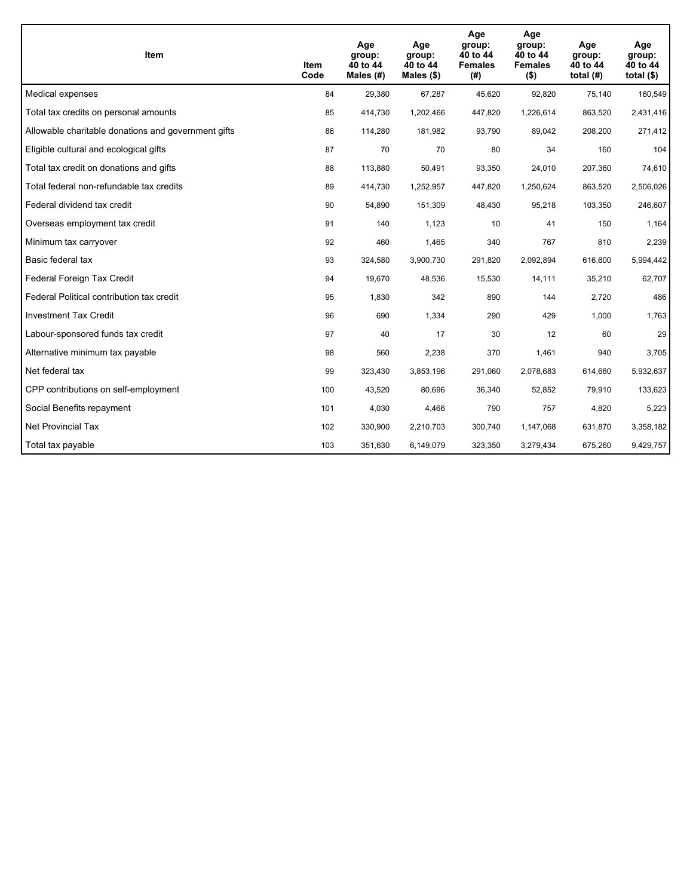| Item                                                | <b>Item</b><br>Code | Age<br>group:<br>40 to 44<br>Males (#) | Age<br>group:<br>40 to 44<br>Males $(\$)$ | Age<br>group:<br>40 to 44<br><b>Females</b><br>(#) | Age<br>group:<br>40 to 44<br><b>Females</b><br>$($ \$) | Age<br>group:<br>40 to 44<br>total $(H)$ | Age<br>group:<br>40 to 44<br>total $($)$ |
|-----------------------------------------------------|---------------------|----------------------------------------|-------------------------------------------|----------------------------------------------------|--------------------------------------------------------|------------------------------------------|------------------------------------------|
| Medical expenses                                    | 84                  | 29,380                                 | 67,287                                    | 45,620                                             | 92,820                                                 | 75,140                                   | 160,549                                  |
| Total tax credits on personal amounts               | 85                  | 414,730                                | 1,202,466                                 | 447,820                                            | 1,226,614                                              | 863,520                                  | 2,431,416                                |
| Allowable charitable donations and government gifts | 86                  | 114,280                                | 181,982                                   | 93,790                                             | 89,042                                                 | 208,200                                  | 271,412                                  |
| Eligible cultural and ecological gifts              | 87                  | 70                                     | 70                                        | 80                                                 | 34                                                     | 160                                      | 104                                      |
| Total tax credit on donations and gifts             | 88                  | 113,880                                | 50,491                                    | 93,350                                             | 24,010                                                 | 207,360                                  | 74,610                                   |
| Total federal non-refundable tax credits            | 89                  | 414,730                                | 1,252,957                                 | 447,820                                            | 1,250,624                                              | 863,520                                  | 2,506,026                                |
| Federal dividend tax credit                         | 90                  | 54,890                                 | 151,309                                   | 48,430                                             | 95,218                                                 | 103,350                                  | 246,607                                  |
| Overseas employment tax credit                      | 91                  | 140                                    | 1,123                                     | 10                                                 | 41                                                     | 150                                      | 1,164                                    |
| Minimum tax carryover                               | 92                  | 460                                    | 1,465                                     | 340                                                | 767                                                    | 810                                      | 2,239                                    |
| Basic federal tax                                   | 93                  | 324,580                                | 3,900,730                                 | 291,820                                            | 2,092,894                                              | 616,600                                  | 5,994,442                                |
| Federal Foreign Tax Credit                          | 94                  | 19,670                                 | 48,536                                    | 15,530                                             | 14,111                                                 | 35,210                                   | 62,707                                   |
| Federal Political contribution tax credit           | 95                  | 1,830                                  | 342                                       | 890                                                | 144                                                    | 2,720                                    | 486                                      |
| <b>Investment Tax Credit</b>                        | 96                  | 690                                    | 1,334                                     | 290                                                | 429                                                    | 1,000                                    | 1,763                                    |
| Labour-sponsored funds tax credit                   | 97                  | 40                                     | 17                                        | 30                                                 | 12                                                     | 60                                       | 29                                       |
| Alternative minimum tax payable                     | 98                  | 560                                    | 2,238                                     | 370                                                | 1,461                                                  | 940                                      | 3,705                                    |
| Net federal tax                                     | 99                  | 323,430                                | 3,853,196                                 | 291,060                                            | 2,078,683                                              | 614,680                                  | 5,932,637                                |
| CPP contributions on self-employment                | 100                 | 43,520                                 | 80,696                                    | 36,340                                             | 52,852                                                 | 79,910                                   | 133,623                                  |
| Social Benefits repayment                           | 101                 | 4,030                                  | 4,466                                     | 790                                                | 757                                                    | 4,820                                    | 5,223                                    |
| Net Provincial Tax                                  | 102                 | 330,900                                | 2,210,703                                 | 300,740                                            | 1,147,068                                              | 631,870                                  | 3,358,182                                |
| Total tax payable                                   | 103                 | 351,630                                | 6,149,079                                 | 323,350                                            | 3,279,434                                              | 675,260                                  | 9,429,757                                |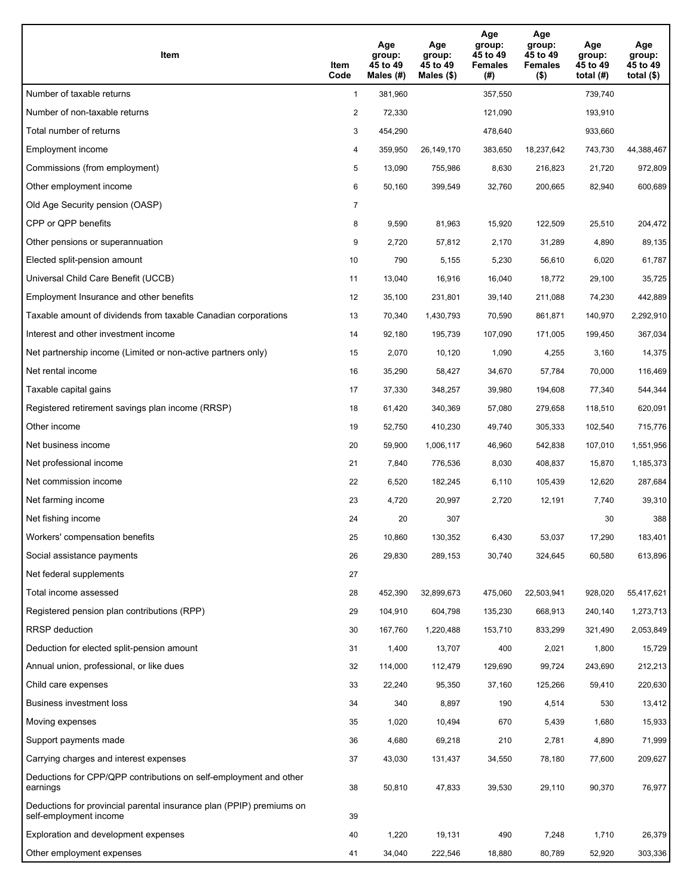| Item                                                                                           | Item<br>Code   | Age<br>group:<br>45 to 49<br>Males $(H)$ | Age<br>group:<br>45 to 49<br>Males $(\$)$ | Age<br>group:<br>45 to 49<br><b>Females</b><br>(#) | Age<br>group:<br>45 to 49<br><b>Females</b><br>$($ \$) | Age<br>group:<br>45 to 49<br>total $(H)$ | Age<br>group:<br>45 to 49<br>total $($ |
|------------------------------------------------------------------------------------------------|----------------|------------------------------------------|-------------------------------------------|----------------------------------------------------|--------------------------------------------------------|------------------------------------------|----------------------------------------|
| Number of taxable returns                                                                      | $\mathbf{1}$   | 381,960                                  |                                           | 357,550                                            |                                                        | 739,740                                  |                                        |
| Number of non-taxable returns                                                                  | $\overline{2}$ | 72,330                                   |                                           | 121,090                                            |                                                        | 193,910                                  |                                        |
| Total number of returns                                                                        | 3              | 454,290                                  |                                           | 478,640                                            |                                                        | 933,660                                  |                                        |
| Employment income                                                                              | 4              | 359,950                                  | 26,149,170                                | 383,650                                            | 18,237,642                                             | 743,730                                  | 44,388,467                             |
| Commissions (from employment)                                                                  | 5              | 13,090                                   | 755,986                                   | 8,630                                              | 216,823                                                | 21,720                                   | 972,809                                |
| Other employment income                                                                        | 6              | 50,160                                   | 399,549                                   | 32,760                                             | 200,665                                                | 82,940                                   | 600,689                                |
| Old Age Security pension (OASP)                                                                | $\overline{7}$ |                                          |                                           |                                                    |                                                        |                                          |                                        |
| CPP or QPP benefits                                                                            | 8              | 9,590                                    | 81,963                                    | 15,920                                             | 122,509                                                | 25,510                                   | 204,472                                |
| Other pensions or superannuation                                                               | 9              | 2,720                                    | 57,812                                    | 2,170                                              | 31,289                                                 | 4,890                                    | 89,135                                 |
| Elected split-pension amount                                                                   | 10             | 790                                      | 5,155                                     | 5,230                                              | 56,610                                                 | 6,020                                    | 61,787                                 |
| Universal Child Care Benefit (UCCB)                                                            | 11             | 13,040                                   | 16,916                                    | 16,040                                             | 18,772                                                 | 29,100                                   | 35,725                                 |
| Employment Insurance and other benefits                                                        | 12             | 35,100                                   | 231,801                                   | 39,140                                             | 211,088                                                | 74,230                                   | 442,889                                |
| Taxable amount of dividends from taxable Canadian corporations                                 | 13             | 70,340                                   | 1,430,793                                 | 70,590                                             | 861,871                                                | 140,970                                  | 2,292,910                              |
| Interest and other investment income                                                           | 14             | 92,180                                   | 195,739                                   | 107,090                                            | 171,005                                                | 199,450                                  | 367,034                                |
| Net partnership income (Limited or non-active partners only)                                   | 15             | 2,070                                    | 10,120                                    | 1,090                                              | 4,255                                                  | 3,160                                    | 14,375                                 |
| Net rental income                                                                              | 16             | 35,290                                   | 58,427                                    | 34,670                                             | 57,784                                                 | 70,000                                   | 116,469                                |
| Taxable capital gains                                                                          | 17             | 37,330                                   | 348,257                                   | 39,980                                             | 194,608                                                | 77,340                                   | 544,344                                |
| Registered retirement savings plan income (RRSP)                                               | 18             | 61,420                                   | 340,369                                   | 57,080                                             | 279,658                                                | 118,510                                  | 620,091                                |
| Other income                                                                                   | 19             | 52,750                                   | 410,230                                   | 49,740                                             | 305,333                                                | 102,540                                  | 715,776                                |
| Net business income                                                                            | 20             | 59,900                                   | 1,006,117                                 | 46,960                                             | 542,838                                                | 107,010                                  | 1,551,956                              |
| Net professional income                                                                        | 21             | 7,840                                    | 776,536                                   | 8,030                                              | 408,837                                                | 15,870                                   | 1,185,373                              |
| Net commission income                                                                          | 22             | 6,520                                    | 182,245                                   | 6,110                                              | 105,439                                                | 12,620                                   | 287,684                                |
| Net farming income                                                                             | 23             | 4,720                                    | 20,997                                    | 2,720                                              | 12,191                                                 | 7,740                                    | 39,310                                 |
| Net fishing income                                                                             | 24             | 20                                       | 307                                       |                                                    |                                                        | 30                                       | 388                                    |
| Workers' compensation benefits                                                                 | 25             | 10,860                                   | 130,352                                   | 6,430                                              | 53,037                                                 | 17,290                                   | 183,401                                |
| Social assistance payments                                                                     | 26             | 29,830                                   | 289,153                                   | 30,740                                             | 324,645                                                | 60,580                                   | 613,896                                |
| Net federal supplements                                                                        | 27             |                                          |                                           |                                                    |                                                        |                                          |                                        |
| Total income assessed                                                                          | 28             | 452,390                                  | 32,899,673                                | 475,060                                            | 22,503,941                                             | 928,020                                  | 55,417,621                             |
| Registered pension plan contributions (RPP)                                                    | 29             | 104,910                                  | 604,798                                   | 135,230                                            | 668,913                                                | 240,140                                  | 1,273,713                              |
| <b>RRSP</b> deduction                                                                          | 30             | 167,760                                  | 1,220,488                                 | 153,710                                            | 833,299                                                | 321,490                                  | 2,053,849                              |
| Deduction for elected split-pension amount                                                     | 31             | 1,400                                    | 13,707                                    | 400                                                | 2,021                                                  | 1,800                                    | 15,729                                 |
| Annual union, professional, or like dues                                                       | 32             | 114,000                                  | 112,479                                   | 129,690                                            | 99,724                                                 | 243,690                                  | 212,213                                |
| Child care expenses                                                                            | 33             | 22,240                                   | 95,350                                    | 37,160                                             | 125,266                                                | 59,410                                   | 220,630                                |
| Business investment loss                                                                       | 34             | 340                                      | 8,897                                     | 190                                                | 4,514                                                  | 530                                      | 13,412                                 |
| Moving expenses                                                                                | 35             | 1,020                                    | 10,494                                    | 670                                                | 5,439                                                  | 1,680                                    | 15,933                                 |
| Support payments made                                                                          | 36             | 4,680                                    | 69,218                                    | 210                                                | 2,781                                                  | 4,890                                    | 71,999                                 |
| Carrying charges and interest expenses                                                         | 37             | 43,030                                   | 131,437                                   | 34,550                                             | 78,180                                                 | 77,600                                   | 209,627                                |
| Deductions for CPP/QPP contributions on self-employment and other<br>earnings                  | 38             | 50,810                                   | 47,833                                    | 39,530                                             | 29,110                                                 | 90,370                                   | 76,977                                 |
| Deductions for provincial parental insurance plan (PPIP) premiums on<br>self-employment income | 39             |                                          |                                           |                                                    |                                                        |                                          |                                        |
| Exploration and development expenses                                                           | 40             | 1,220                                    | 19,131                                    | 490                                                | 7,248                                                  | 1,710                                    | 26,379                                 |
| Other employment expenses                                                                      | 41             | 34,040                                   | 222,546                                   | 18,880                                             | 80,789                                                 | 52,920                                   | 303,336                                |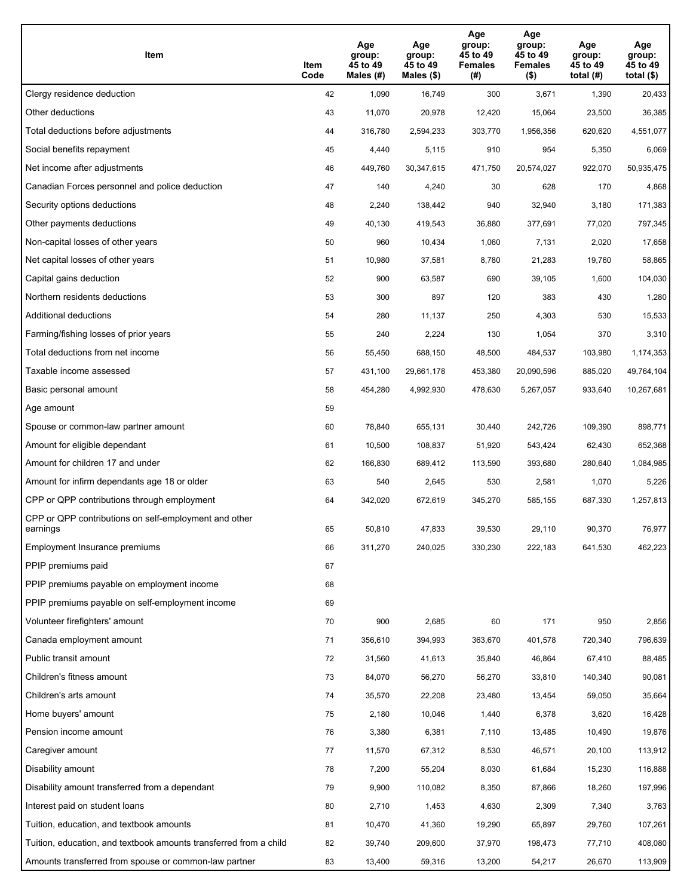| Item                                                              | Item<br>Code | Age<br>group:<br>45 to 49<br>Males (#) | Age<br>group:<br>45 to 49<br>Males (\$) | Age<br>group:<br>45 to 49<br><b>Females</b><br>(#) | Age<br>group:<br>45 to 49<br><b>Females</b><br>$($ \$) | Age<br>group:<br>45 to 49<br>total (#) | Age<br>group:<br>45 to 49<br>total $($)$ |
|-------------------------------------------------------------------|--------------|----------------------------------------|-----------------------------------------|----------------------------------------------------|--------------------------------------------------------|----------------------------------------|------------------------------------------|
| Clergy residence deduction                                        | 42           | 1,090                                  | 16,749                                  | 300                                                | 3,671                                                  | 1,390                                  | 20,433                                   |
| Other deductions                                                  | 43           | 11,070                                 | 20,978                                  | 12,420                                             | 15,064                                                 | 23,500                                 | 36,385                                   |
| Total deductions before adjustments                               | 44           | 316,780                                | 2,594,233                               | 303,770                                            | 1,956,356                                              | 620,620                                | 4,551,077                                |
| Social benefits repayment                                         | 45           | 4,440                                  | 5,115                                   | 910                                                | 954                                                    | 5,350                                  | 6,069                                    |
| Net income after adjustments                                      | 46           | 449,760                                | 30,347,615                              | 471,750                                            | 20,574,027                                             | 922,070                                | 50,935,475                               |
| Canadian Forces personnel and police deduction                    | 47           | 140                                    | 4,240                                   | 30                                                 | 628                                                    | 170                                    | 4,868                                    |
| Security options deductions                                       | 48           | 2,240                                  | 138,442                                 | 940                                                | 32,940                                                 | 3,180                                  | 171,383                                  |
| Other payments deductions                                         | 49           | 40,130                                 | 419,543                                 | 36,880                                             | 377,691                                                | 77,020                                 | 797,345                                  |
| Non-capital losses of other years                                 | 50           | 960                                    | 10,434                                  | 1,060                                              | 7,131                                                  | 2,020                                  | 17,658                                   |
| Net capital losses of other years                                 | 51           | 10,980                                 | 37,581                                  | 8,780                                              | 21,283                                                 | 19,760                                 | 58,865                                   |
| Capital gains deduction                                           | 52           | 900                                    | 63,587                                  | 690                                                | 39,105                                                 | 1,600                                  | 104,030                                  |
| Northern residents deductions                                     | 53           | 300                                    | 897                                     | 120                                                | 383                                                    | 430                                    | 1,280                                    |
| Additional deductions                                             | 54           | 280                                    | 11,137                                  | 250                                                | 4,303                                                  | 530                                    | 15,533                                   |
| Farming/fishing losses of prior years                             | 55           | 240                                    | 2,224                                   | 130                                                | 1,054                                                  | 370                                    | 3,310                                    |
| Total deductions from net income                                  | 56           | 55,450                                 | 688,150                                 | 48,500                                             | 484,537                                                | 103,980                                | 1,174,353                                |
| Taxable income assessed                                           | 57           | 431,100                                | 29,661,178                              | 453,380                                            | 20,090,596                                             | 885,020                                | 49,764,104                               |
| Basic personal amount                                             | 58           | 454,280                                | 4,992,930                               | 478,630                                            | 5,267,057                                              | 933,640                                | 10,267,681                               |
| Age amount                                                        | 59           |                                        |                                         |                                                    |                                                        |                                        |                                          |
| Spouse or common-law partner amount                               | 60           | 78,840                                 | 655,131                                 | 30,440                                             | 242,726                                                | 109,390                                | 898,771                                  |
| Amount for eligible dependant                                     | 61           | 10,500                                 | 108,837                                 | 51,920                                             | 543,424                                                | 62,430                                 | 652,368                                  |
| Amount for children 17 and under                                  | 62           | 166,830                                | 689,412                                 | 113,590                                            | 393,680                                                | 280,640                                | 1,084,985                                |
| Amount for infirm dependants age 18 or older                      | 63           | 540                                    | 2,645                                   | 530                                                | 2,581                                                  | 1,070                                  | 5,226                                    |
| CPP or QPP contributions through employment                       | 64           | 342,020                                | 672,619                                 | 345,270                                            | 585,155                                                | 687,330                                | 1,257,813                                |
| CPP or QPP contributions on self-employment and other<br>earnings | 65           | 50,810                                 | 47,833                                  | 39,530                                             | 29,110                                                 | 90,370                                 | 76,977                                   |
| Employment Insurance premiums                                     | 66           | 311,270                                | 240,025                                 | 330,230                                            | 222,183                                                | 641,530                                | 462,223                                  |
| PPIP premiums paid                                                | 67           |                                        |                                         |                                                    |                                                        |                                        |                                          |
| PPIP premiums payable on employment income                        | 68           |                                        |                                         |                                                    |                                                        |                                        |                                          |
| PPIP premiums payable on self-employment income                   | 69           |                                        |                                         |                                                    |                                                        |                                        |                                          |
| Volunteer firefighters' amount                                    | 70           | 900                                    | 2,685                                   | 60                                                 | 171                                                    | 950                                    | 2,856                                    |
| Canada employment amount                                          | 71           | 356,610                                | 394,993                                 | 363,670                                            | 401,578                                                | 720,340                                | 796,639                                  |
| Public transit amount                                             | 72           | 31,560                                 | 41,613                                  | 35,840                                             | 46,864                                                 | 67,410                                 | 88,485                                   |
| Children's fitness amount                                         | 73           | 84,070                                 | 56,270                                  | 56,270                                             | 33,810                                                 | 140,340                                | 90,081                                   |
| Children's arts amount                                            | 74           | 35,570                                 | 22,208                                  | 23,480                                             | 13,454                                                 | 59,050                                 | 35,664                                   |
| Home buyers' amount                                               | 75           | 2,180                                  | 10,046                                  | 1,440                                              | 6,378                                                  | 3,620                                  | 16,428                                   |
| Pension income amount                                             | 76           | 3,380                                  | 6,381                                   | 7,110                                              | 13,485                                                 | 10,490                                 | 19,876                                   |
| Caregiver amount                                                  | 77           | 11,570                                 | 67,312                                  | 8,530                                              | 46,571                                                 | 20,100                                 | 113,912                                  |
| Disability amount                                                 | 78           | 7,200                                  | 55,204                                  | 8,030                                              | 61,684                                                 | 15,230                                 | 116,888                                  |
| Disability amount transferred from a dependant                    | 79           | 9,900                                  | 110,082                                 | 8,350                                              | 87,866                                                 | 18,260                                 | 197,996                                  |
| Interest paid on student loans                                    | 80           | 2,710                                  | 1,453                                   | 4,630                                              | 2,309                                                  | 7,340                                  | 3,763                                    |
| Tuition, education, and textbook amounts                          | 81           | 10,470                                 | 41,360                                  | 19,290                                             | 65,897                                                 | 29,760                                 | 107,261                                  |
| Tuition, education, and textbook amounts transferred from a child | 82           | 39,740                                 | 209,600                                 | 37,970                                             | 198,473                                                | 77,710                                 | 408,080                                  |
| Amounts transferred from spouse or common-law partner             | 83           | 13,400                                 | 59,316                                  | 13,200                                             | 54,217                                                 | 26,670                                 | 113,909                                  |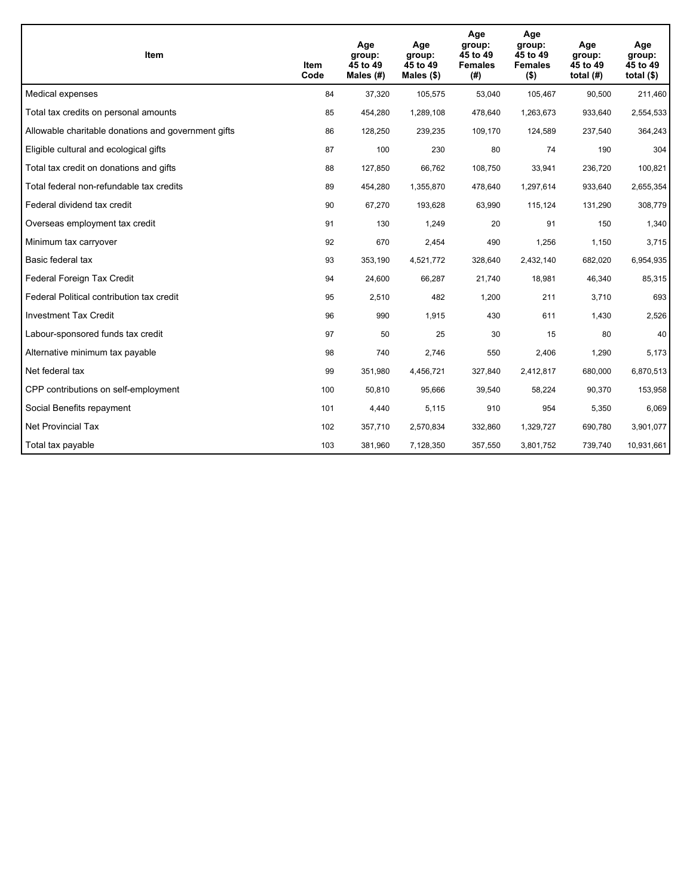| Item                                                | Item<br>Code | Age<br>group:<br>45 to 49<br>Males $(H)$ | Age<br>group:<br>45 to 49<br>Males $(\$)$ | Age<br>group:<br>45 to 49<br><b>Females</b><br>(#) | Age<br>group:<br>45 to 49<br><b>Females</b><br>$($ \$) | Age<br>group:<br>45 to 49<br>total $(H)$ | Age<br>group:<br>45 to 49<br>total $($)$ |
|-----------------------------------------------------|--------------|------------------------------------------|-------------------------------------------|----------------------------------------------------|--------------------------------------------------------|------------------------------------------|------------------------------------------|
| Medical expenses                                    | 84           | 37,320                                   | 105,575                                   | 53,040                                             | 105,467                                                | 90,500                                   | 211,460                                  |
| Total tax credits on personal amounts               | 85           | 454,280                                  | 1,289,108                                 | 478,640                                            | 1,263,673                                              | 933,640                                  | 2,554,533                                |
| Allowable charitable donations and government gifts | 86           | 128,250                                  | 239,235                                   | 109,170                                            | 124,589                                                | 237,540                                  | 364,243                                  |
| Eligible cultural and ecological gifts              | 87           | 100                                      | 230                                       | 80                                                 | 74                                                     | 190                                      | 304                                      |
| Total tax credit on donations and gifts             | 88           | 127,850                                  | 66,762                                    | 108,750                                            | 33,941                                                 | 236,720                                  | 100,821                                  |
| Total federal non-refundable tax credits            | 89           | 454,280                                  | 1,355,870                                 | 478,640                                            | 1,297,614                                              | 933,640                                  | 2,655,354                                |
| Federal dividend tax credit                         | 90           | 67,270                                   | 193,628                                   | 63,990                                             | 115,124                                                | 131,290                                  | 308,779                                  |
| Overseas employment tax credit                      | 91           | 130                                      | 1,249                                     | 20                                                 | 91                                                     | 150                                      | 1,340                                    |
| Minimum tax carryover                               | 92           | 670                                      | 2,454                                     | 490                                                | 1,256                                                  | 1,150                                    | 3,715                                    |
| Basic federal tax                                   | 93           | 353,190                                  | 4,521,772                                 | 328,640                                            | 2,432,140                                              | 682,020                                  | 6,954,935                                |
| Federal Foreign Tax Credit                          | 94           | 24,600                                   | 66,287                                    | 21,740                                             | 18,981                                                 | 46,340                                   | 85,315                                   |
| Federal Political contribution tax credit           | 95           | 2,510                                    | 482                                       | 1,200                                              | 211                                                    | 3,710                                    | 693                                      |
| <b>Investment Tax Credit</b>                        | 96           | 990                                      | 1,915                                     | 430                                                | 611                                                    | 1,430                                    | 2,526                                    |
| Labour-sponsored funds tax credit                   | 97           | 50                                       | 25                                        | 30                                                 | 15                                                     | 80                                       | 40                                       |
| Alternative minimum tax payable                     | 98           | 740                                      | 2,746                                     | 550                                                | 2,406                                                  | 1,290                                    | 5,173                                    |
| Net federal tax                                     | 99           | 351,980                                  | 4,456,721                                 | 327,840                                            | 2,412,817                                              | 680,000                                  | 6,870,513                                |
| CPP contributions on self-employment                | 100          | 50,810                                   | 95,666                                    | 39,540                                             | 58,224                                                 | 90,370                                   | 153,958                                  |
| Social Benefits repayment                           | 101          | 4,440                                    | 5,115                                     | 910                                                | 954                                                    | 5,350                                    | 6,069                                    |
| <b>Net Provincial Tax</b>                           | 102          | 357,710                                  | 2,570,834                                 | 332,860                                            | 1,329,727                                              | 690,780                                  | 3,901,077                                |
| Total tax payable                                   | 103          | 381,960                                  | 7,128,350                                 | 357,550                                            | 3,801,752                                              | 739,740                                  | 10,931,661                               |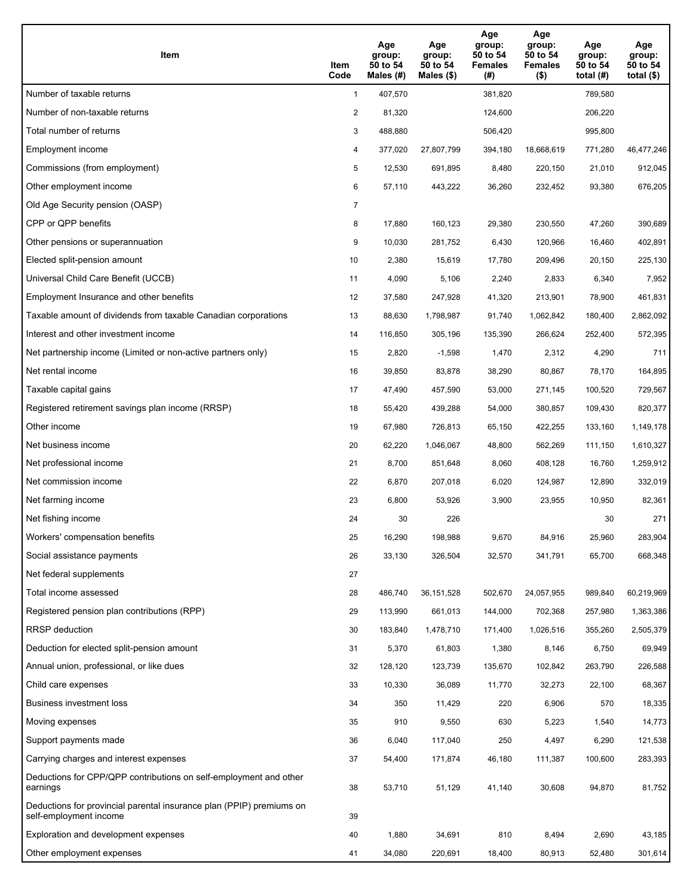| Item                                                                                           | Item<br>Code   | Age<br>group:<br>50 to 54<br>Males (#) | Age<br>group:<br>50 to 54<br>Males (\$) | Age<br>group:<br>50 to 54<br><b>Females</b><br>(#) | Age<br>group:<br>50 to 54<br><b>Females</b><br>$($ \$) | Age<br>group:<br>50 to 54<br>total $(H)$ | Age<br>group:<br>50 to 54<br>total $($)$ |
|------------------------------------------------------------------------------------------------|----------------|----------------------------------------|-----------------------------------------|----------------------------------------------------|--------------------------------------------------------|------------------------------------------|------------------------------------------|
| Number of taxable returns                                                                      | $\mathbf{1}$   | 407,570                                |                                         | 381,820                                            |                                                        | 789,580                                  |                                          |
| Number of non-taxable returns                                                                  | $\overline{2}$ | 81,320                                 |                                         | 124,600                                            |                                                        | 206,220                                  |                                          |
| Total number of returns                                                                        | 3              | 488,880                                |                                         | 506,420                                            |                                                        | 995,800                                  |                                          |
| Employment income                                                                              | 4              | 377,020                                | 27,807,799                              | 394,180                                            | 18,668,619                                             | 771,280                                  | 46,477,246                               |
| Commissions (from employment)                                                                  | 5              | 12,530                                 | 691,895                                 | 8,480                                              | 220,150                                                | 21,010                                   | 912,045                                  |
| Other employment income                                                                        | 6              | 57,110                                 | 443,222                                 | 36,260                                             | 232,452                                                | 93,380                                   | 676,205                                  |
| Old Age Security pension (OASP)                                                                | $\overline{7}$ |                                        |                                         |                                                    |                                                        |                                          |                                          |
| CPP or QPP benefits                                                                            | 8              | 17,880                                 | 160,123                                 | 29,380                                             | 230,550                                                | 47,260                                   | 390,689                                  |
| Other pensions or superannuation                                                               | 9              | 10,030                                 | 281,752                                 | 6,430                                              | 120,966                                                | 16,460                                   | 402,891                                  |
| Elected split-pension amount                                                                   | 10             | 2,380                                  | 15,619                                  | 17,780                                             | 209,496                                                | 20,150                                   | 225,130                                  |
| Universal Child Care Benefit (UCCB)                                                            | 11             | 4,090                                  | 5,106                                   | 2,240                                              | 2,833                                                  | 6,340                                    | 7,952                                    |
| Employment Insurance and other benefits                                                        | 12             | 37,580                                 | 247,928                                 | 41,320                                             | 213,901                                                | 78,900                                   | 461,831                                  |
| Taxable amount of dividends from taxable Canadian corporations                                 | 13             | 88,630                                 | 1,798,987                               | 91,740                                             | 1,062,842                                              | 180,400                                  | 2,862,092                                |
| Interest and other investment income                                                           | 14             | 116,850                                | 305,196                                 | 135,390                                            | 266,624                                                | 252,400                                  | 572,395                                  |
| Net partnership income (Limited or non-active partners only)                                   | 15             | 2,820                                  | $-1,598$                                | 1,470                                              | 2,312                                                  | 4,290                                    | 711                                      |
| Net rental income                                                                              | 16             | 39,850                                 | 83,878                                  | 38,290                                             | 80,867                                                 | 78,170                                   | 164,895                                  |
| Taxable capital gains                                                                          | 17             | 47,490                                 | 457,590                                 | 53,000                                             | 271,145                                                | 100,520                                  | 729,567                                  |
| Registered retirement savings plan income (RRSP)                                               | 18             | 55,420                                 | 439,288                                 | 54,000                                             | 380,857                                                | 109,430                                  | 820,377                                  |
| Other income                                                                                   | 19             | 67,980                                 | 726,813                                 | 65,150                                             | 422,255                                                | 133,160                                  | 1,149,178                                |
| Net business income                                                                            | 20             | 62,220                                 | 1,046,067                               | 48,800                                             | 562,269                                                | 111,150                                  | 1,610,327                                |
| Net professional income                                                                        | 21             | 8,700                                  | 851,648                                 | 8,060                                              | 408,128                                                | 16,760                                   | 1,259,912                                |
| Net commission income                                                                          | 22             | 6,870                                  | 207,018                                 | 6,020                                              | 124,987                                                | 12,890                                   | 332,019                                  |
| Net farming income                                                                             | 23             | 6,800                                  | 53,926                                  | 3,900                                              | 23,955                                                 | 10,950                                   | 82,361                                   |
| Net fishing income                                                                             | 24             | 30                                     | 226                                     |                                                    |                                                        | 30                                       | 271                                      |
| Workers' compensation benefits                                                                 | 25             | 16,290                                 | 198,988                                 | 9,670                                              | 84,916                                                 | 25,960                                   | 283,904                                  |
| Social assistance payments                                                                     | 26             | 33,130                                 | 326,504                                 | 32,570                                             | 341,791                                                | 65,700                                   | 668,348                                  |
| Net federal supplements                                                                        | 27             |                                        |                                         |                                                    |                                                        |                                          |                                          |
| Total income assessed                                                                          | 28             | 486,740                                | 36, 151, 528                            | 502,670                                            | 24,057,955                                             | 989,840                                  | 60,219,969                               |
| Registered pension plan contributions (RPP)                                                    | 29             | 113,990                                | 661,013                                 | 144,000                                            | 702,368                                                | 257,980                                  | 1,363,386                                |
| RRSP deduction                                                                                 | 30             | 183,840                                | 1,478,710                               | 171,400                                            | 1,026,516                                              | 355,260                                  | 2,505,379                                |
| Deduction for elected split-pension amount                                                     | 31             | 5,370                                  | 61,803                                  | 1,380                                              | 8,146                                                  | 6,750                                    | 69,949                                   |
| Annual union, professional, or like dues                                                       | 32             | 128,120                                | 123,739                                 | 135,670                                            | 102,842                                                | 263,790                                  | 226,588                                  |
| Child care expenses                                                                            | 33             | 10,330                                 | 36,089                                  | 11,770                                             | 32,273                                                 | 22,100                                   | 68,367                                   |
| Business investment loss                                                                       | 34             | 350                                    | 11,429                                  | 220                                                | 6,906                                                  | 570                                      | 18,335                                   |
| Moving expenses                                                                                | 35             | 910                                    | 9,550                                   | 630                                                | 5,223                                                  | 1,540                                    | 14,773                                   |
| Support payments made                                                                          | 36             | 6,040                                  | 117,040                                 | 250                                                | 4,497                                                  | 6,290                                    | 121,538                                  |
| Carrying charges and interest expenses                                                         | 37             | 54,400                                 | 171,874                                 | 46,180                                             | 111,387                                                | 100,600                                  | 283,393                                  |
| Deductions for CPP/QPP contributions on self-employment and other<br>earnings                  | 38             | 53,710                                 | 51,129                                  | 41,140                                             | 30,608                                                 | 94,870                                   | 81,752                                   |
| Deductions for provincial parental insurance plan (PPIP) premiums on<br>self-employment income | 39             |                                        |                                         |                                                    |                                                        |                                          |                                          |
| Exploration and development expenses                                                           | 40             | 1,880                                  | 34,691                                  | 810                                                | 8,494                                                  | 2,690                                    | 43,185                                   |
| Other employment expenses                                                                      | 41             | 34,080                                 | 220,691                                 | 18,400                                             | 80,913                                                 | 52,480                                   | 301,614                                  |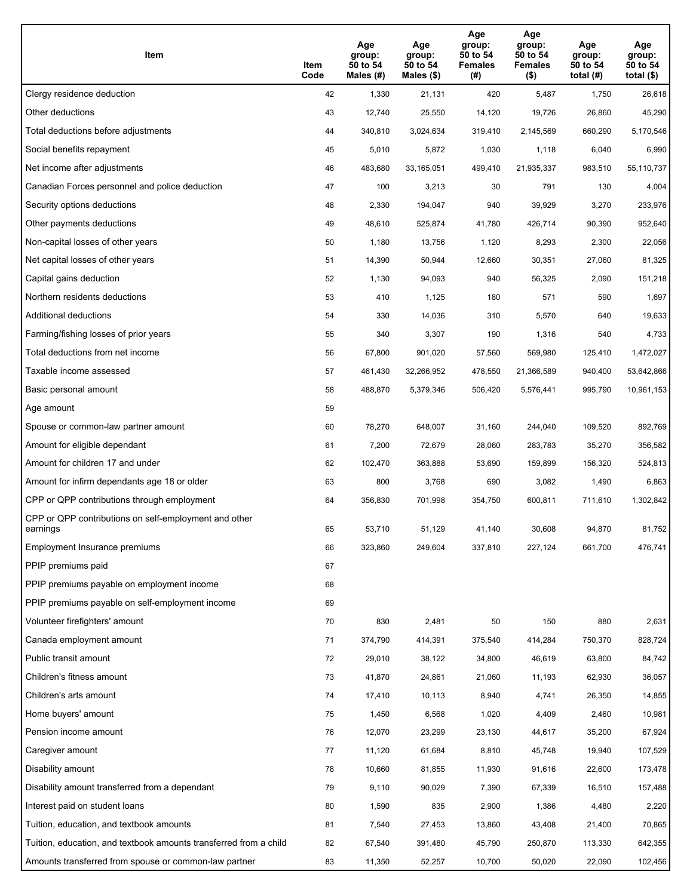| Item                                                              | Item<br>Code | Age<br>group:<br>50 to 54<br>Males (#) | Age<br>group:<br>50 to 54<br>Males (\$) | Age<br>group:<br>50 to 54<br><b>Females</b><br>(#) | Age<br>group:<br>50 to 54<br><b>Females</b><br>$($ \$) | Age<br>group:<br>50 to 54<br>total $(H)$ | Age<br>group:<br>50 to 54<br>total $($)$ |
|-------------------------------------------------------------------|--------------|----------------------------------------|-----------------------------------------|----------------------------------------------------|--------------------------------------------------------|------------------------------------------|------------------------------------------|
| Clergy residence deduction                                        | 42           | 1,330                                  | 21,131                                  | 420                                                | 5,487                                                  | 1,750                                    | 26,618                                   |
| Other deductions                                                  | 43           | 12,740                                 | 25,550                                  | 14,120                                             | 19,726                                                 | 26,860                                   | 45,290                                   |
| Total deductions before adjustments                               | 44           | 340,810                                | 3,024,634                               | 319,410                                            | 2,145,569                                              | 660,290                                  | 5,170,546                                |
| Social benefits repayment                                         | 45           | 5,010                                  | 5,872                                   | 1,030                                              | 1,118                                                  | 6,040                                    | 6,990                                    |
| Net income after adjustments                                      | 46           | 483,680                                | 33,165,051                              | 499,410                                            | 21,935,337                                             | 983,510                                  | 55,110,737                               |
| Canadian Forces personnel and police deduction                    | 47           | 100                                    | 3,213                                   | 30                                                 | 791                                                    | 130                                      | 4,004                                    |
| Security options deductions                                       | 48           | 2,330                                  | 194,047                                 | 940                                                | 39,929                                                 | 3,270                                    | 233,976                                  |
| Other payments deductions                                         | 49           | 48,610                                 | 525,874                                 | 41,780                                             | 426,714                                                | 90,390                                   | 952,640                                  |
| Non-capital losses of other years                                 | 50           | 1,180                                  | 13,756                                  | 1,120                                              | 8,293                                                  | 2,300                                    | 22,056                                   |
| Net capital losses of other years                                 | 51           | 14,390                                 | 50,944                                  | 12,660                                             | 30,351                                                 | 27,060                                   | 81,325                                   |
| Capital gains deduction                                           | 52           | 1,130                                  | 94,093                                  | 940                                                | 56,325                                                 | 2,090                                    | 151,218                                  |
| Northern residents deductions                                     | 53           | 410                                    | 1,125                                   | 180                                                | 571                                                    | 590                                      | 1,697                                    |
| Additional deductions                                             | 54           | 330                                    | 14,036                                  | 310                                                | 5,570                                                  | 640                                      | 19,633                                   |
| Farming/fishing losses of prior years                             | 55           | 340                                    | 3,307                                   | 190                                                | 1,316                                                  | 540                                      | 4,733                                    |
| Total deductions from net income                                  | 56           | 67,800                                 | 901,020                                 | 57,560                                             | 569,980                                                | 125,410                                  | 1,472,027                                |
| Taxable income assessed                                           | 57           | 461,430                                | 32,266,952                              | 478,550                                            | 21,366,589                                             | 940,400                                  | 53,642,866                               |
| Basic personal amount                                             | 58           | 488,870                                | 5,379,346                               | 506,420                                            | 5,576,441                                              | 995,790                                  | 10,961,153                               |
| Age amount                                                        | 59           |                                        |                                         |                                                    |                                                        |                                          |                                          |
| Spouse or common-law partner amount                               | 60           | 78,270                                 | 648,007                                 | 31,160                                             | 244,040                                                | 109,520                                  | 892,769                                  |
| Amount for eligible dependant                                     | 61           | 7,200                                  | 72,679                                  | 28,060                                             | 283,783                                                | 35,270                                   | 356,582                                  |
| Amount for children 17 and under                                  | 62           | 102,470                                | 363,888                                 | 53,690                                             | 159,899                                                | 156,320                                  | 524,813                                  |
| Amount for infirm dependants age 18 or older                      | 63           | 800                                    | 3,768                                   | 690                                                | 3,082                                                  | 1,490                                    | 6,863                                    |
| CPP or QPP contributions through employment                       | 64           | 356,830                                | 701,998                                 | 354,750                                            | 600,811                                                | 711,610                                  | 1,302,842                                |
| CPP or QPP contributions on self-employment and other<br>earnings | 65           | 53,710                                 | 51,129                                  | 41,140                                             | 30,608                                                 | 94,870                                   | 81,752                                   |
| Employment Insurance premiums                                     | 66           | 323,860                                | 249,604                                 | 337,810                                            | 227,124                                                | 661,700                                  | 476,741                                  |
| PPIP premiums paid                                                | 67           |                                        |                                         |                                                    |                                                        |                                          |                                          |
| PPIP premiums payable on employment income                        | 68           |                                        |                                         |                                                    |                                                        |                                          |                                          |
| PPIP premiums payable on self-employment income                   | 69           |                                        |                                         |                                                    |                                                        |                                          |                                          |
| Volunteer firefighters' amount                                    | 70           | 830                                    | 2,481                                   | 50                                                 | 150                                                    | 880                                      | 2,631                                    |
| Canada employment amount                                          | 71           | 374,790                                | 414,391                                 | 375,540                                            | 414,284                                                | 750,370                                  | 828,724                                  |
| Public transit amount                                             | 72           | 29,010                                 | 38,122                                  | 34,800                                             | 46,619                                                 | 63,800                                   | 84,742                                   |
| Children's fitness amount                                         | 73           | 41,870                                 | 24,861                                  | 21,060                                             | 11,193                                                 | 62,930                                   | 36,057                                   |
| Children's arts amount                                            | 74           | 17,410                                 | 10,113                                  | 8,940                                              | 4,741                                                  | 26,350                                   | 14,855                                   |
| Home buyers' amount                                               | 75           | 1,450                                  | 6,568                                   | 1,020                                              | 4,409                                                  | 2,460                                    | 10,981                                   |
| Pension income amount                                             | 76           | 12,070                                 | 23,299                                  | 23,130                                             | 44,617                                                 | 35,200                                   | 67,924                                   |
| Caregiver amount                                                  | 77           | 11,120                                 | 61,684                                  | 8,810                                              | 45,748                                                 | 19,940                                   | 107,529                                  |
| Disability amount                                                 | 78           | 10,660                                 | 81,855                                  | 11,930                                             | 91,616                                                 | 22,600                                   | 173,478                                  |
| Disability amount transferred from a dependant                    | 79           | 9,110                                  | 90,029                                  | 7,390                                              | 67,339                                                 | 16,510                                   | 157,488                                  |
| Interest paid on student loans                                    | 80           | 1,590                                  | 835                                     | 2,900                                              | 1,386                                                  | 4,480                                    | 2,220                                    |
| Tuition, education, and textbook amounts                          | 81           | 7,540                                  | 27,453                                  | 13,860                                             | 43,408                                                 | 21,400                                   | 70,865                                   |
| Tuition, education, and textbook amounts transferred from a child | 82           | 67,540                                 | 391,480                                 | 45,790                                             | 250,870                                                | 113,330                                  | 642,355                                  |
| Amounts transferred from spouse or common-law partner             | 83           | 11,350                                 | 52,257                                  | 10,700                                             | 50,020                                                 | 22,090                                   | 102,456                                  |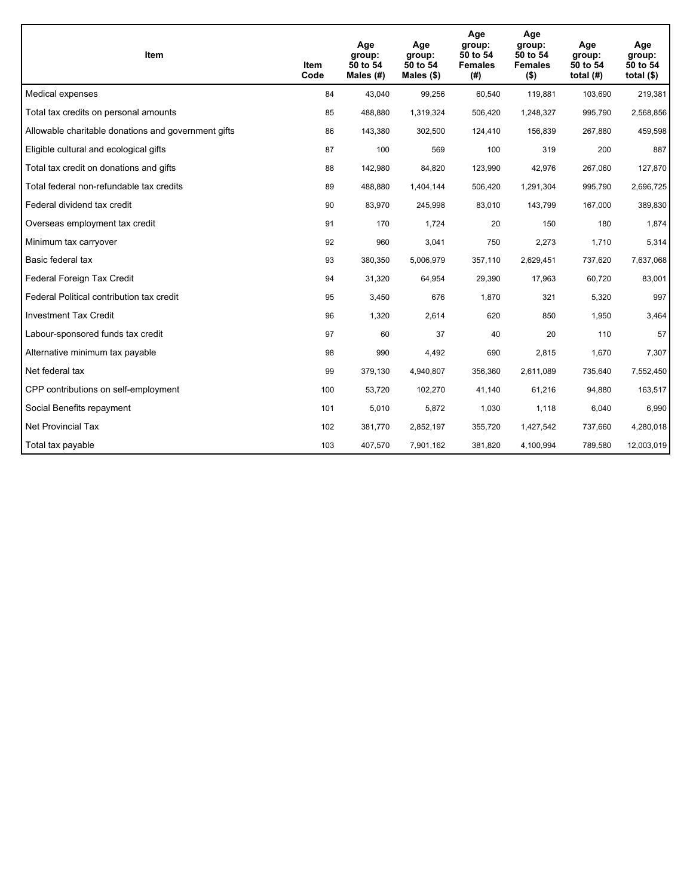| Item                                                | Item<br>Code | Age<br>group:<br>50 to 54<br>Males $(H)$ | Age<br>group:<br>50 to 54<br>Males $(\$)$ | Age<br>group:<br>50 to 54<br><b>Females</b><br>(#) | Age<br>group:<br>50 to 54<br><b>Females</b><br>$($ \$) | Age<br>group:<br>50 to 54<br>total $(H)$ | Age<br>group:<br>50 to 54<br>total $($)$ |
|-----------------------------------------------------|--------------|------------------------------------------|-------------------------------------------|----------------------------------------------------|--------------------------------------------------------|------------------------------------------|------------------------------------------|
| Medical expenses                                    | 84           | 43,040                                   | 99,256                                    | 60,540                                             | 119,881                                                | 103,690                                  | 219,381                                  |
| Total tax credits on personal amounts               | 85           | 488,880                                  | 1,319,324                                 | 506,420                                            | 1,248,327                                              | 995,790                                  | 2,568,856                                |
| Allowable charitable donations and government gifts | 86           | 143,380                                  | 302,500                                   | 124,410                                            | 156,839                                                | 267,880                                  | 459,598                                  |
| Eligible cultural and ecological gifts              | 87           | 100                                      | 569                                       | 100                                                | 319                                                    | 200                                      | 887                                      |
| Total tax credit on donations and gifts             | 88           | 142,980                                  | 84,820                                    | 123,990                                            | 42,976                                                 | 267,060                                  | 127,870                                  |
| Total federal non-refundable tax credits            | 89           | 488,880                                  | 1,404,144                                 | 506,420                                            | 1,291,304                                              | 995,790                                  | 2,696,725                                |
| Federal dividend tax credit                         | 90           | 83,970                                   | 245,998                                   | 83,010                                             | 143,799                                                | 167,000                                  | 389,830                                  |
| Overseas employment tax credit                      | 91           | 170                                      | 1,724                                     | 20                                                 | 150                                                    | 180                                      | 1,874                                    |
| Minimum tax carryover                               | 92           | 960                                      | 3,041                                     | 750                                                | 2,273                                                  | 1,710                                    | 5,314                                    |
| Basic federal tax                                   | 93           | 380,350                                  | 5,006,979                                 | 357,110                                            | 2,629,451                                              | 737,620                                  | 7,637,068                                |
| Federal Foreign Tax Credit                          | 94           | 31,320                                   | 64,954                                    | 29,390                                             | 17,963                                                 | 60,720                                   | 83,001                                   |
| Federal Political contribution tax credit           | 95           | 3,450                                    | 676                                       | 1,870                                              | 321                                                    | 5,320                                    | 997                                      |
| <b>Investment Tax Credit</b>                        | 96           | 1,320                                    | 2,614                                     | 620                                                | 850                                                    | 1,950                                    | 3,464                                    |
| Labour-sponsored funds tax credit                   | 97           | 60                                       | 37                                        | 40                                                 | 20                                                     | 110                                      | 57                                       |
| Alternative minimum tax payable                     | 98           | 990                                      | 4,492                                     | 690                                                | 2,815                                                  | 1,670                                    | 7,307                                    |
| Net federal tax                                     | 99           | 379,130                                  | 4,940,807                                 | 356,360                                            | 2,611,089                                              | 735,640                                  | 7,552,450                                |
| CPP contributions on self-employment                | 100          | 53,720                                   | 102,270                                   | 41,140                                             | 61,216                                                 | 94,880                                   | 163,517                                  |
| Social Benefits repayment                           | 101          | 5,010                                    | 5,872                                     | 1,030                                              | 1,118                                                  | 6,040                                    | 6,990                                    |
| <b>Net Provincial Tax</b>                           | 102          | 381,770                                  | 2,852,197                                 | 355,720                                            | 1,427,542                                              | 737.660                                  | 4,280,018                                |
| Total tax payable                                   | 103          | 407,570                                  | 7,901,162                                 | 381,820                                            | 4,100,994                                              | 789,580                                  | 12,003,019                               |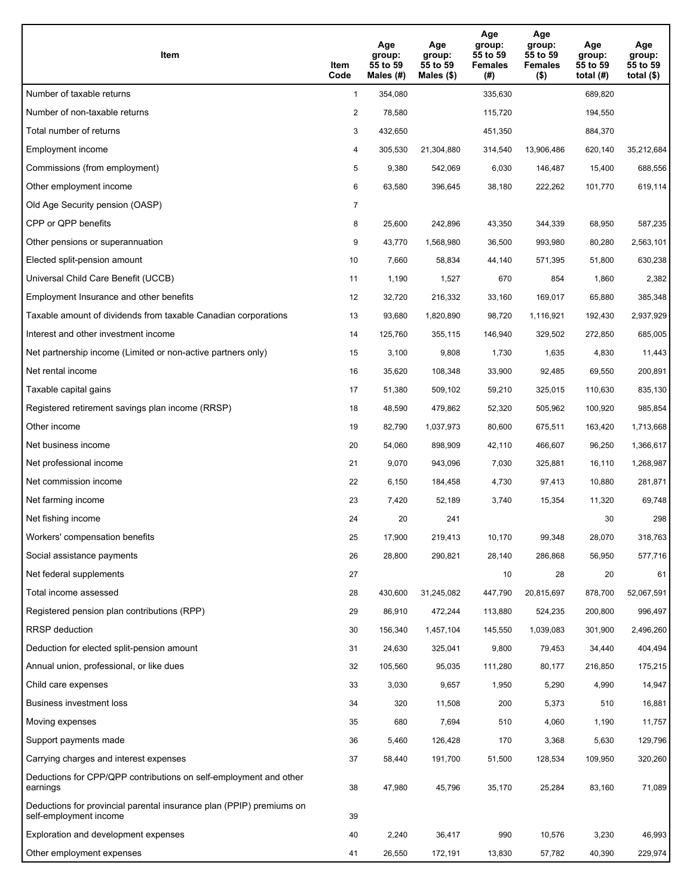| Item                                                                                           | Item<br>Code   | Age<br>group:<br>55 to 59<br>Males $(H)$ | Age<br>group:<br>55 to 59<br>Males $(\$)$ | Age<br>group:<br>55 to 59<br><b>Females</b><br>(#) | Age<br>group:<br>55 to 59<br><b>Females</b><br>$($ \$) | Age<br>group:<br>55 to 59<br>total $(H)$ | Age<br>group:<br>55 to 59<br>total $(\$)$ |
|------------------------------------------------------------------------------------------------|----------------|------------------------------------------|-------------------------------------------|----------------------------------------------------|--------------------------------------------------------|------------------------------------------|-------------------------------------------|
| Number of taxable returns                                                                      | $\mathbf{1}$   | 354,080                                  |                                           | 335,630                                            |                                                        | 689,820                                  |                                           |
| Number of non-taxable returns                                                                  | 2              | 78,580                                   |                                           | 115,720                                            |                                                        | 194,550                                  |                                           |
| Total number of returns                                                                        | 3              | 432,650                                  |                                           | 451,350                                            |                                                        | 884,370                                  |                                           |
| Employment income                                                                              | 4              | 305,530                                  | 21,304,880                                | 314,540                                            | 13,906,486                                             | 620,140                                  | 35,212,684                                |
| Commissions (from employment)                                                                  | 5              | 9,380                                    | 542,069                                   | 6,030                                              | 146,487                                                | 15,400                                   | 688,556                                   |
| Other employment income                                                                        | 6              | 63,580                                   | 396,645                                   | 38,180                                             | 222,262                                                | 101,770                                  | 619,114                                   |
| Old Age Security pension (OASP)                                                                | $\overline{7}$ |                                          |                                           |                                                    |                                                        |                                          |                                           |
| CPP or QPP benefits                                                                            | 8              | 25,600                                   | 242,896                                   | 43,350                                             | 344,339                                                | 68,950                                   | 587,235                                   |
| Other pensions or superannuation                                                               | 9              | 43,770                                   | 1,568,980                                 | 36,500                                             | 993,980                                                | 80,280                                   | 2,563,101                                 |
| Elected split-pension amount                                                                   | 10             | 7,660                                    | 58,834                                    | 44,140                                             | 571,395                                                | 51.800                                   | 630,238                                   |
| Universal Child Care Benefit (UCCB)                                                            | 11             | 1,190                                    | 1,527                                     | 670                                                | 854                                                    | 1,860                                    | 2,382                                     |
| Employment Insurance and other benefits                                                        | 12             | 32,720                                   | 216,332                                   | 33,160                                             | 169,017                                                | 65,880                                   | 385,348                                   |
| Taxable amount of dividends from taxable Canadian corporations                                 | 13             | 93,680                                   | 1,820,890                                 | 98,720                                             | 1,116,921                                              | 192,430                                  | 2,937,929                                 |
| Interest and other investment income                                                           | 14             | 125,760                                  | 355,115                                   | 146,940                                            | 329,502                                                | 272,850                                  | 685,005                                   |
| Net partnership income (Limited or non-active partners only)                                   | 15             | 3,100                                    | 9,808                                     | 1,730                                              | 1,635                                                  | 4,830                                    | 11,443                                    |
| Net rental income                                                                              | 16             | 35,620                                   | 108,348                                   | 33,900                                             | 92,485                                                 | 69,550                                   | 200,891                                   |
| Taxable capital gains                                                                          | 17             | 51,380                                   | 509,102                                   | 59,210                                             | 325,015                                                | 110,630                                  | 835,130                                   |
| Registered retirement savings plan income (RRSP)                                               | 18             | 48,590                                   | 479,862                                   | 52,320                                             | 505,962                                                | 100,920                                  | 985,854                                   |
| Other income                                                                                   | 19             | 82,790                                   | 1,037,973                                 | 80,600                                             | 675,511                                                | 163,420                                  | 1,713,668                                 |
| Net business income                                                                            | 20             | 54,060                                   | 898,909                                   | 42,110                                             | 466,607                                                | 96,250                                   | 1,366,617                                 |
| Net professional income                                                                        | 21             | 9,070                                    | 943,096                                   | 7,030                                              | 325,881                                                | 16,110                                   | 1,268,987                                 |
| Net commission income                                                                          | 22             | 6,150                                    | 184,458                                   | 4,730                                              | 97,413                                                 | 10,880                                   | 281,871                                   |
| Net farming income                                                                             | 23             | 7,420                                    | 52,189                                    | 3,740                                              | 15,354                                                 | 11,320                                   | 69,748                                    |
| Net fishing income                                                                             | 24             | 20                                       | 241                                       |                                                    |                                                        | 30                                       | 298                                       |
| Workers' compensation benefits                                                                 | 25             | 17,900                                   | 219,413                                   | 10,170                                             | 99,348                                                 | 28,070                                   | 318,763                                   |
| Social assistance payments                                                                     | 26             | 28,800                                   | 290,821                                   | 28,140                                             | 286,868                                                | 56,950                                   | 577,716                                   |
| Net federal supplements                                                                        | 27             |                                          |                                           | 10                                                 | 28                                                     | 20                                       | 61                                        |
| Total income assessed                                                                          | 28             | 430,600                                  | 31,245,082                                | 447,790                                            | 20,815,697                                             | 878,700                                  | 52,067,591                                |
| Registered pension plan contributions (RPP)                                                    | 29             | 86,910                                   | 472,244                                   | 113,880                                            | 524,235                                                | 200,800                                  | 996,497                                   |
| RRSP deduction                                                                                 | 30             | 156,340                                  | 1,457,104                                 | 145,550                                            | 1,039,083                                              | 301,900                                  | 2,496,260                                 |
| Deduction for elected split-pension amount                                                     | 31             | 24,630                                   | 325,041                                   | 9,800                                              | 79,453                                                 | 34,440                                   | 404,494                                   |
| Annual union, professional, or like dues                                                       | 32             | 105,560                                  | 95,035                                    | 111,280                                            | 80,177                                                 | 216,850                                  | 175,215                                   |
| Child care expenses                                                                            | 33             | 3,030                                    | 9,657                                     | 1,950                                              | 5,290                                                  | 4,990                                    | 14,947                                    |
| Business investment loss                                                                       | 34             | 320                                      | 11,508                                    | 200                                                | 5,373                                                  | 510                                      | 16,881                                    |
| Moving expenses                                                                                | 35             | 680                                      | 7,694                                     | 510                                                | 4,060                                                  | 1,190                                    | 11,757                                    |
| Support payments made                                                                          | 36             | 5,460                                    | 126,428                                   | 170                                                | 3,368                                                  | 5,630                                    | 129,796                                   |
| Carrying charges and interest expenses                                                         | 37             | 58,440                                   | 191,700                                   | 51,500                                             | 128,534                                                | 109,950                                  | 320,260                                   |
| Deductions for CPP/QPP contributions on self-employment and other<br>earnings                  | 38             | 47,980                                   | 45,796                                    | 35,170                                             | 25,284                                                 | 83,160                                   | 71,089                                    |
| Deductions for provincial parental insurance plan (PPIP) premiums on<br>self-employment income | 39             |                                          |                                           |                                                    |                                                        |                                          |                                           |
| Exploration and development expenses                                                           | 40             | 2,240                                    | 36,417                                    | 990                                                | 10,576                                                 | 3,230                                    | 46,993                                    |
| Other employment expenses                                                                      | 41             | 26,550                                   | 172,191                                   | 13,830                                             | 57,782                                                 | 40,390                                   | 229,974                                   |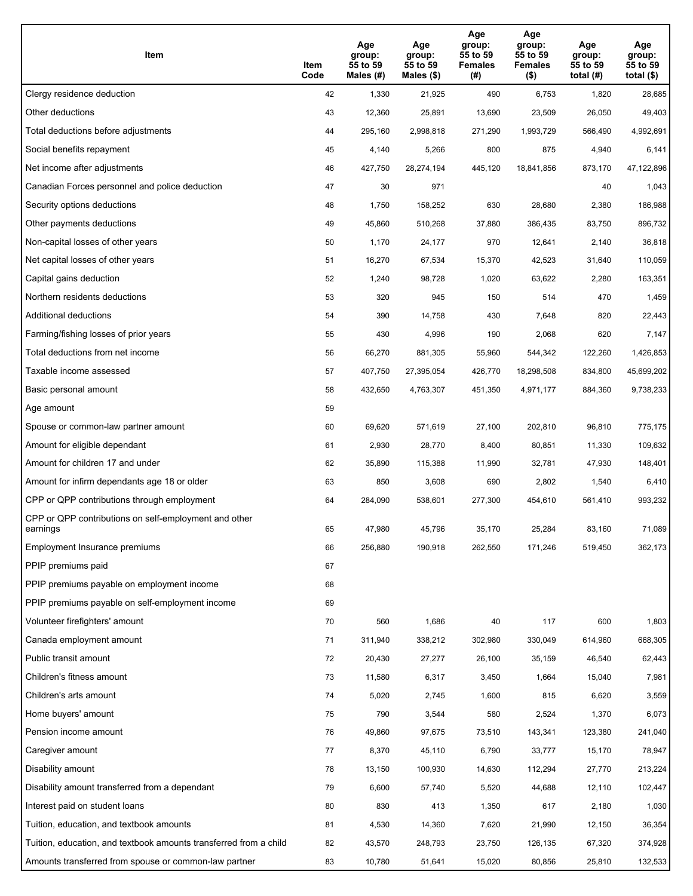| Item                                                              | Item<br>Code | Age<br>group:<br>55 to 59<br>Males (#) | Age<br>group:<br>55 to 59<br>Males (\$) | Age<br>group:<br>55 to 59<br><b>Females</b><br>(#) | Age<br>group:<br>55 to 59<br><b>Females</b><br>$($ \$) | Age<br>group:<br>55 to 59<br>total $(H)$ | Age<br>group:<br>55 to 59<br>total $($)$ |
|-------------------------------------------------------------------|--------------|----------------------------------------|-----------------------------------------|----------------------------------------------------|--------------------------------------------------------|------------------------------------------|------------------------------------------|
| Clergy residence deduction                                        | 42           | 1,330                                  | 21,925                                  | 490                                                | 6,753                                                  | 1,820                                    | 28,685                                   |
| Other deductions                                                  | 43           | 12,360                                 | 25,891                                  | 13,690                                             | 23,509                                                 | 26,050                                   | 49,403                                   |
| Total deductions before adjustments                               | 44           | 295,160                                | 2,998,818                               | 271,290                                            | 1,993,729                                              | 566,490                                  | 4,992,691                                |
| Social benefits repayment                                         | 45           | 4,140                                  | 5,266                                   | 800                                                | 875                                                    | 4,940                                    | 6,141                                    |
| Net income after adjustments                                      | 46           | 427,750                                | 28,274,194                              | 445,120                                            | 18,841,856                                             | 873,170                                  | 47,122,896                               |
| Canadian Forces personnel and police deduction                    | 47           | 30                                     | 971                                     |                                                    |                                                        | 40                                       | 1,043                                    |
| Security options deductions                                       | 48           | 1,750                                  | 158,252                                 | 630                                                | 28,680                                                 | 2,380                                    | 186,988                                  |
| Other payments deductions                                         | 49           | 45,860                                 | 510,268                                 | 37,880                                             | 386,435                                                | 83,750                                   | 896,732                                  |
| Non-capital losses of other years                                 | 50           | 1,170                                  | 24,177                                  | 970                                                | 12,641                                                 | 2,140                                    | 36,818                                   |
| Net capital losses of other years                                 | 51           | 16,270                                 | 67,534                                  | 15,370                                             | 42,523                                                 | 31,640                                   | 110,059                                  |
| Capital gains deduction                                           | 52           | 1,240                                  | 98,728                                  | 1,020                                              | 63,622                                                 | 2,280                                    | 163,351                                  |
| Northern residents deductions                                     | 53           | 320                                    | 945                                     | 150                                                | 514                                                    | 470                                      | 1,459                                    |
| Additional deductions                                             | 54           | 390                                    | 14,758                                  | 430                                                | 7,648                                                  | 820                                      | 22,443                                   |
| Farming/fishing losses of prior years                             | 55           | 430                                    | 4,996                                   | 190                                                | 2,068                                                  | 620                                      | 7,147                                    |
| Total deductions from net income                                  | 56           | 66,270                                 | 881,305                                 | 55,960                                             | 544,342                                                | 122,260                                  | 1,426,853                                |
| Taxable income assessed                                           | 57           | 407,750                                | 27,395,054                              | 426,770                                            | 18,298,508                                             | 834,800                                  | 45,699,202                               |
| Basic personal amount                                             | 58           | 432,650                                | 4,763,307                               | 451,350                                            | 4,971,177                                              | 884,360                                  | 9,738,233                                |
| Age amount                                                        | 59           |                                        |                                         |                                                    |                                                        |                                          |                                          |
| Spouse or common-law partner amount                               | 60           | 69,620                                 | 571,619                                 | 27,100                                             | 202,810                                                | 96,810                                   | 775,175                                  |
| Amount for eligible dependant                                     | 61           | 2,930                                  | 28,770                                  | 8,400                                              | 80,851                                                 | 11,330                                   | 109,632                                  |
| Amount for children 17 and under                                  | 62           | 35,890                                 | 115,388                                 | 11,990                                             | 32,781                                                 | 47,930                                   | 148,401                                  |
| Amount for infirm dependants age 18 or older                      | 63           | 850                                    | 3,608                                   | 690                                                | 2,802                                                  | 1,540                                    | 6,410                                    |
| CPP or QPP contributions through employment                       | 64           | 284,090                                | 538,601                                 | 277,300                                            | 454,610                                                | 561,410                                  | 993,232                                  |
| CPP or QPP contributions on self-employment and other<br>earnings | 65           | 47,980                                 | 45,796                                  | 35,170                                             | 25,284                                                 | 83,160                                   | 71,089                                   |
| Employment Insurance premiums                                     | 66           | 256,880                                | 190,918                                 | 262,550                                            | 171,246                                                | 519,450                                  | 362,173                                  |
| PPIP premiums paid                                                | 67           |                                        |                                         |                                                    |                                                        |                                          |                                          |
| PPIP premiums payable on employment income                        | 68           |                                        |                                         |                                                    |                                                        |                                          |                                          |
| PPIP premiums payable on self-employment income                   | 69           |                                        |                                         |                                                    |                                                        |                                          |                                          |
| Volunteer firefighters' amount                                    | 70           | 560                                    | 1,686                                   | 40                                                 | 117                                                    | 600                                      | 1,803                                    |
| Canada employment amount                                          | 71           | 311,940                                | 338,212                                 | 302,980                                            | 330,049                                                | 614,960                                  | 668,305                                  |
| Public transit amount                                             | 72           | 20,430                                 | 27,277                                  | 26,100                                             | 35,159                                                 | 46,540                                   | 62,443                                   |
| Children's fitness amount                                         | 73           | 11,580                                 | 6,317                                   | 3,450                                              | 1,664                                                  | 15,040                                   | 7,981                                    |
| Children's arts amount                                            | 74           | 5,020                                  | 2,745                                   | 1,600                                              | 815                                                    | 6,620                                    | 3,559                                    |
| Home buyers' amount                                               | 75           | 790                                    | 3,544                                   | 580                                                | 2,524                                                  | 1,370                                    | 6,073                                    |
| Pension income amount                                             | 76           | 49,860                                 | 97,675                                  | 73,510                                             | 143,341                                                | 123,380                                  | 241,040                                  |
| Caregiver amount                                                  | 77           | 8,370                                  | 45,110                                  | 6,790                                              | 33,777                                                 | 15,170                                   | 78,947                                   |
| Disability amount                                                 | 78           | 13,150                                 | 100,930                                 | 14,630                                             | 112,294                                                | 27,770                                   | 213,224                                  |
| Disability amount transferred from a dependant                    | 79           | 6,600                                  | 57,740                                  | 5,520                                              | 44,688                                                 | 12,110                                   | 102,447                                  |
| Interest paid on student loans                                    | 80           | 830                                    | 413                                     | 1,350                                              | 617                                                    | 2,180                                    | 1,030                                    |
| Tuition, education, and textbook amounts                          | 81           | 4,530                                  | 14,360                                  | 7,620                                              | 21,990                                                 | 12,150                                   | 36,354                                   |
| Tuition, education, and textbook amounts transferred from a child | 82           | 43,570                                 | 248,793                                 | 23,750                                             | 126,135                                                | 67,320                                   | 374,928                                  |
| Amounts transferred from spouse or common-law partner             | 83           | 10,780                                 | 51,641                                  | 15,020                                             | 80,856                                                 | 25,810                                   | 132,533                                  |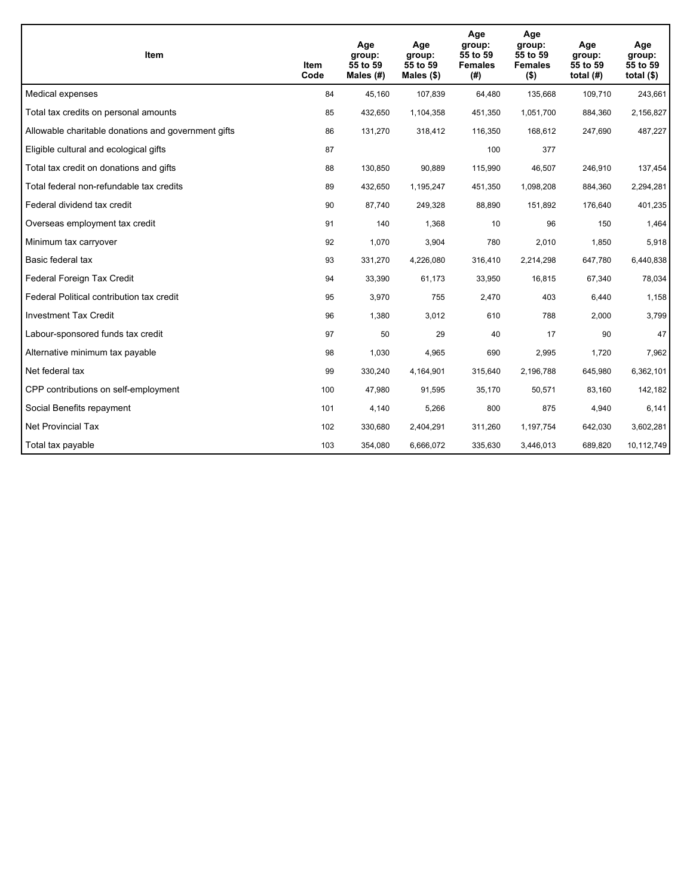| <b>Item</b>                                         | <b>Item</b><br>Code | Age<br>group:<br>55 to 59<br>Males (#) | Age<br>group:<br>55 to 59<br>Males (\$) | Age<br>group:<br>55 to 59<br><b>Females</b><br>(#) | Age<br>group:<br>55 to 59<br><b>Females</b><br>$($ \$) | Age<br>group:<br>55 to 59<br>total $(H)$ | Age<br>group:<br>55 to 59<br>total $($)$ |
|-----------------------------------------------------|---------------------|----------------------------------------|-----------------------------------------|----------------------------------------------------|--------------------------------------------------------|------------------------------------------|------------------------------------------|
| Medical expenses                                    | 84                  | 45,160                                 | 107,839                                 | 64,480                                             | 135,668                                                | 109,710                                  | 243,661                                  |
| Total tax credits on personal amounts               | 85                  | 432,650                                | 1,104,358                               | 451,350                                            | 1,051,700                                              | 884,360                                  | 2,156,827                                |
| Allowable charitable donations and government gifts | 86                  | 131,270                                | 318,412                                 | 116,350                                            | 168,612                                                | 247,690                                  | 487,227                                  |
| Eligible cultural and ecological gifts              | 87                  |                                        |                                         | 100                                                | 377                                                    |                                          |                                          |
| Total tax credit on donations and gifts             | 88                  | 130,850                                | 90.889                                  | 115,990                                            | 46,507                                                 | 246.910                                  | 137,454                                  |
| Total federal non-refundable tax credits            | 89                  | 432,650                                | 1,195,247                               | 451,350                                            | 1,098,208                                              | 884,360                                  | 2,294,281                                |
| Federal dividend tax credit                         | 90                  | 87,740                                 | 249,328                                 | 88,890                                             | 151,892                                                | 176,640                                  | 401,235                                  |
| Overseas employment tax credit                      | 91                  | 140                                    | 1,368                                   | 10                                                 | 96                                                     | 150                                      | 1,464                                    |
| Minimum tax carryover                               | 92                  | 1,070                                  | 3,904                                   | 780                                                | 2,010                                                  | 1,850                                    | 5,918                                    |
| Basic federal tax                                   | 93                  | 331,270                                | 4,226,080                               | 316,410                                            | 2,214,298                                              | 647,780                                  | 6,440,838                                |
| Federal Foreign Tax Credit                          | 94                  | 33,390                                 | 61,173                                  | 33,950                                             | 16,815                                                 | 67,340                                   | 78,034                                   |
| Federal Political contribution tax credit           | 95                  | 3,970                                  | 755                                     | 2,470                                              | 403                                                    | 6,440                                    | 1,158                                    |
| <b>Investment Tax Credit</b>                        | 96                  | 1,380                                  | 3,012                                   | 610                                                | 788                                                    | 2,000                                    | 3,799                                    |
| Labour-sponsored funds tax credit                   | 97                  | 50                                     | 29                                      | 40                                                 | 17                                                     | 90                                       | 47                                       |
| Alternative minimum tax payable                     | 98                  | 1,030                                  | 4,965                                   | 690                                                | 2,995                                                  | 1,720                                    | 7,962                                    |
| Net federal tax                                     | 99                  | 330,240                                | 4,164,901                               | 315,640                                            | 2,196,788                                              | 645,980                                  | 6,362,101                                |
| CPP contributions on self-employment                | 100                 | 47,980                                 | 91,595                                  | 35,170                                             | 50,571                                                 | 83,160                                   | 142,182                                  |
| Social Benefits repayment                           | 101                 | 4,140                                  | 5,266                                   | 800                                                | 875                                                    | 4,940                                    | 6,141                                    |
| Net Provincial Tax                                  | 102                 | 330,680                                | 2,404,291                               | 311,260                                            | 1,197,754                                              | 642,030                                  | 3,602,281                                |
| Total tax payable                                   | 103                 | 354,080                                | 6,666,072                               | 335,630                                            | 3,446,013                                              | 689,820                                  | 10,112,749                               |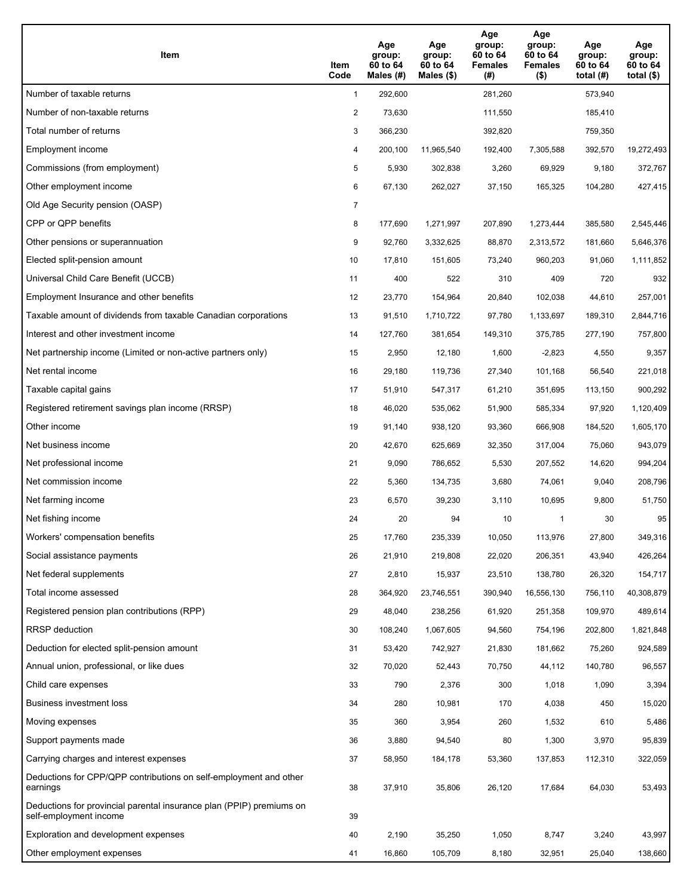| Item                                                                                           | Item<br>Code   | Age<br>group:<br>60 to 64<br>Males $(H)$ | Age<br>group:<br>60 to 64<br>Males $(\$)$ | Age<br>group:<br>60 to 64<br><b>Females</b><br>(#) | Age<br>group:<br>60 to 64<br><b>Females</b><br>$($ \$) | Age<br>group:<br>60 to 64<br>total $(H)$ | Age<br>group:<br>60 to 64<br>total $($ |
|------------------------------------------------------------------------------------------------|----------------|------------------------------------------|-------------------------------------------|----------------------------------------------------|--------------------------------------------------------|------------------------------------------|----------------------------------------|
| Number of taxable returns                                                                      | $\mathbf{1}$   | 292,600                                  |                                           | 281,260                                            |                                                        | 573,940                                  |                                        |
| Number of non-taxable returns                                                                  | $\overline{2}$ | 73,630                                   |                                           | 111,550                                            |                                                        | 185,410                                  |                                        |
| Total number of returns                                                                        | 3              | 366,230                                  |                                           | 392,820                                            |                                                        | 759,350                                  |                                        |
| Employment income                                                                              | 4              | 200,100                                  | 11,965,540                                | 192,400                                            | 7,305,588                                              | 392,570                                  | 19,272,493                             |
| Commissions (from employment)                                                                  | 5              | 5,930                                    | 302,838                                   | 3,260                                              | 69,929                                                 | 9,180                                    | 372,767                                |
| Other employment income                                                                        | 6              | 67,130                                   | 262,027                                   | 37,150                                             | 165,325                                                | 104,280                                  | 427,415                                |
| Old Age Security pension (OASP)                                                                | $\overline{7}$ |                                          |                                           |                                                    |                                                        |                                          |                                        |
| CPP or QPP benefits                                                                            | 8              | 177,690                                  | 1,271,997                                 | 207,890                                            | 1,273,444                                              | 385,580                                  | 2,545,446                              |
| Other pensions or superannuation                                                               | 9              | 92,760                                   | 3,332,625                                 | 88,870                                             | 2,313,572                                              | 181,660                                  | 5,646,376                              |
| Elected split-pension amount                                                                   | 10             | 17,810                                   | 151.605                                   | 73,240                                             | 960,203                                                | 91,060                                   | 1,111,852                              |
| Universal Child Care Benefit (UCCB)                                                            | 11             | 400                                      | 522                                       | 310                                                | 409                                                    | 720                                      | 932                                    |
| Employment Insurance and other benefits                                                        | 12             | 23,770                                   | 154,964                                   | 20,840                                             | 102,038                                                | 44,610                                   | 257,001                                |
| Taxable amount of dividends from taxable Canadian corporations                                 | 13             | 91,510                                   | 1,710,722                                 | 97,780                                             | 1,133,697                                              | 189,310                                  | 2,844,716                              |
| Interest and other investment income                                                           | 14             | 127,760                                  | 381,654                                   | 149,310                                            | 375,785                                                | 277,190                                  | 757,800                                |
| Net partnership income (Limited or non-active partners only)                                   | 15             | 2,950                                    | 12,180                                    | 1,600                                              | $-2,823$                                               | 4,550                                    | 9,357                                  |
| Net rental income                                                                              | 16             | 29,180                                   | 119,736                                   | 27,340                                             | 101,168                                                | 56,540                                   | 221,018                                |
| Taxable capital gains                                                                          | 17             | 51,910                                   | 547,317                                   | 61,210                                             | 351,695                                                | 113,150                                  | 900,292                                |
| Registered retirement savings plan income (RRSP)                                               | 18             | 46,020                                   | 535,062                                   | 51,900                                             | 585,334                                                | 97,920                                   | 1,120,409                              |
| Other income                                                                                   | 19             | 91,140                                   | 938,120                                   | 93,360                                             | 666,908                                                | 184,520                                  | 1,605,170                              |
| Net business income                                                                            | 20             | 42,670                                   | 625,669                                   | 32,350                                             | 317,004                                                | 75,060                                   | 943,079                                |
| Net professional income                                                                        | 21             | 9,090                                    | 786,652                                   | 5,530                                              | 207,552                                                | 14,620                                   | 994,204                                |
| Net commission income                                                                          | 22             | 5,360                                    | 134,735                                   | 3,680                                              | 74,061                                                 | 9,040                                    | 208,796                                |
| Net farming income                                                                             | 23             | 6,570                                    | 39,230                                    | 3,110                                              | 10,695                                                 | 9,800                                    | 51,750                                 |
| Net fishing income                                                                             | 24             | 20                                       | 94                                        | 10                                                 | 1                                                      | 30                                       | 95                                     |
| Workers' compensation benefits                                                                 | 25             | 17,760                                   | 235,339                                   | 10,050                                             | 113,976                                                | 27,800                                   | 349,316                                |
| Social assistance payments                                                                     | 26             | 21,910                                   | 219,808                                   | 22,020                                             | 206,351                                                | 43,940                                   | 426,264                                |
| Net federal supplements                                                                        | 27             | 2,810                                    | 15,937                                    | 23,510                                             | 138,780                                                | 26,320                                   | 154,717                                |
| Total income assessed                                                                          | 28             | 364,920                                  | 23,746,551                                | 390,940                                            | 16,556,130                                             | 756,110                                  | 40,308,879                             |
| Registered pension plan contributions (RPP)                                                    | 29             | 48,040                                   | 238,256                                   | 61,920                                             | 251,358                                                | 109,970                                  | 489,614                                |
| <b>RRSP</b> deduction                                                                          | 30             | 108,240                                  | 1,067,605                                 | 94,560                                             | 754,196                                                | 202,800                                  | 1,821,848                              |
| Deduction for elected split-pension amount                                                     | 31             | 53,420                                   | 742,927                                   | 21,830                                             | 181,662                                                | 75,260                                   | 924,589                                |
| Annual union, professional, or like dues                                                       | 32             | 70,020                                   | 52,443                                    | 70,750                                             | 44,112                                                 | 140,780                                  | 96,557                                 |
| Child care expenses                                                                            | 33             | 790                                      | 2,376                                     | 300                                                | 1,018                                                  | 1,090                                    | 3,394                                  |
| Business investment loss                                                                       | 34             | 280                                      | 10,981                                    | 170                                                | 4,038                                                  | 450                                      | 15,020                                 |
| Moving expenses                                                                                | 35             | 360                                      | 3,954                                     | 260                                                | 1,532                                                  | 610                                      | 5,486                                  |
| Support payments made                                                                          | 36             | 3,880                                    | 94,540                                    | 80                                                 | 1,300                                                  | 3,970                                    | 95,839                                 |
| Carrying charges and interest expenses                                                         | 37             | 58,950                                   | 184,178                                   | 53,360                                             | 137,853                                                | 112,310                                  | 322,059                                |
| Deductions for CPP/QPP contributions on self-employment and other<br>earnings                  | 38             | 37,910                                   | 35,806                                    | 26,120                                             | 17,684                                                 | 64,030                                   | 53,493                                 |
| Deductions for provincial parental insurance plan (PPIP) premiums on<br>self-employment income | 39             |                                          |                                           |                                                    |                                                        |                                          |                                        |
| Exploration and development expenses                                                           | 40             | 2,190                                    | 35,250                                    | 1,050                                              | 8,747                                                  | 3,240                                    | 43,997                                 |
| Other employment expenses                                                                      | 41             | 16,860                                   | 105,709                                   | 8,180                                              | 32,951                                                 | 25,040                                   | 138,660                                |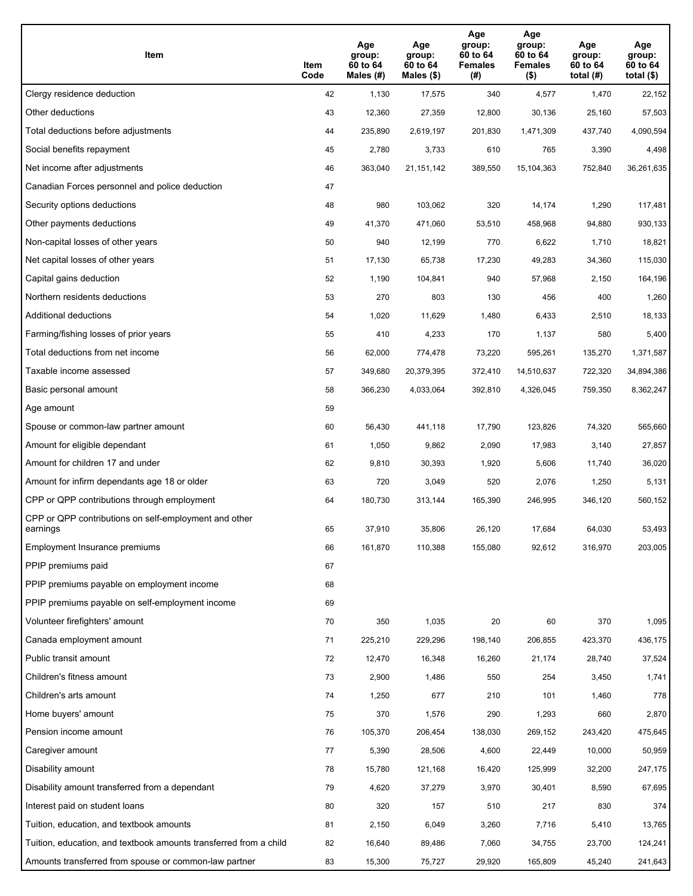| Item                                                              | Item<br>Code | Age<br>group:<br>60 to 64<br>Males (#) | Age<br>group:<br>60 to 64<br>Males (\$) | Age<br>group:<br>60 to 64<br><b>Females</b><br>(# ) | Age<br>group:<br>60 to 64<br><b>Females</b><br>$($ \$) | Age<br>group:<br>60 to 64<br>total $(H)$ | Age<br>group:<br>60 to 64<br>total $($)$ |
|-------------------------------------------------------------------|--------------|----------------------------------------|-----------------------------------------|-----------------------------------------------------|--------------------------------------------------------|------------------------------------------|------------------------------------------|
| Clergy residence deduction                                        | 42           | 1,130                                  | 17,575                                  | 340                                                 | 4,577                                                  | 1,470                                    | 22,152                                   |
| Other deductions                                                  | 43           | 12,360                                 | 27,359                                  | 12,800                                              | 30,136                                                 | 25,160                                   | 57,503                                   |
| Total deductions before adjustments                               | 44           | 235,890                                | 2,619,197                               | 201,830                                             | 1,471,309                                              | 437,740                                  | 4,090,594                                |
| Social benefits repayment                                         | 45           | 2,780                                  | 3,733                                   | 610                                                 | 765                                                    | 3,390                                    | 4,498                                    |
| Net income after adjustments                                      | 46           | 363,040                                | 21, 151, 142                            | 389,550                                             | 15,104,363                                             | 752,840                                  | 36,261,635                               |
| Canadian Forces personnel and police deduction                    | 47           |                                        |                                         |                                                     |                                                        |                                          |                                          |
| Security options deductions                                       | 48           | 980                                    | 103,062                                 | 320                                                 | 14,174                                                 | 1,290                                    | 117,481                                  |
| Other payments deductions                                         | 49           | 41,370                                 | 471,060                                 | 53,510                                              | 458,968                                                | 94,880                                   | 930,133                                  |
| Non-capital losses of other years                                 | 50           | 940                                    | 12,199                                  | 770                                                 | 6,622                                                  | 1,710                                    | 18,821                                   |
| Net capital losses of other years                                 | 51           | 17,130                                 | 65,738                                  | 17,230                                              | 49,283                                                 | 34,360                                   | 115,030                                  |
| Capital gains deduction                                           | 52           | 1,190                                  | 104,841                                 | 940                                                 | 57,968                                                 | 2,150                                    | 164,196                                  |
| Northern residents deductions                                     | 53           | 270                                    | 803                                     | 130                                                 | 456                                                    | 400                                      | 1,260                                    |
| Additional deductions                                             | 54           | 1,020                                  | 11,629                                  | 1,480                                               | 6,433                                                  | 2,510                                    | 18,133                                   |
| Farming/fishing losses of prior years                             | 55           | 410                                    | 4,233                                   | 170                                                 | 1,137                                                  | 580                                      | 5,400                                    |
| Total deductions from net income                                  | 56           | 62,000                                 | 774,478                                 | 73,220                                              | 595,261                                                | 135,270                                  | 1,371,587                                |
| Taxable income assessed                                           | 57           | 349,680                                | 20,379,395                              | 372,410                                             | 14,510,637                                             | 722,320                                  | 34,894,386                               |
| Basic personal amount                                             | 58           | 366,230                                | 4,033,064                               | 392,810                                             | 4,326,045                                              | 759,350                                  | 8,362,247                                |
| Age amount                                                        | 59           |                                        |                                         |                                                     |                                                        |                                          |                                          |
| Spouse or common-law partner amount                               | 60           | 56,430                                 | 441,118                                 | 17,790                                              | 123,826                                                | 74,320                                   | 565,660                                  |
| Amount for eligible dependant                                     | 61           | 1,050                                  | 9,862                                   | 2,090                                               | 17,983                                                 | 3,140                                    | 27,857                                   |
| Amount for children 17 and under                                  | 62           | 9,810                                  | 30,393                                  | 1,920                                               | 5,606                                                  | 11,740                                   | 36,020                                   |
| Amount for infirm dependants age 18 or older                      | 63           | 720                                    | 3,049                                   | 520                                                 | 2,076                                                  | 1,250                                    | 5,131                                    |
| CPP or QPP contributions through employment                       | 64           | 180,730                                | 313,144                                 | 165,390                                             | 246,995                                                | 346,120                                  | 560,152                                  |
| CPP or QPP contributions on self-employment and other<br>earnings | 65           | 37,910                                 | 35,806                                  | 26,120                                              | 17,684                                                 | 64,030                                   | 53,493                                   |
| Employment Insurance premiums                                     | 66           | 161,870                                | 110,388                                 | 155,080                                             | 92,612                                                 | 316,970                                  | 203,005                                  |
| PPIP premiums paid                                                | 67           |                                        |                                         |                                                     |                                                        |                                          |                                          |
| PPIP premiums payable on employment income                        | 68           |                                        |                                         |                                                     |                                                        |                                          |                                          |
| PPIP premiums payable on self-employment income                   | 69           |                                        |                                         |                                                     |                                                        |                                          |                                          |
| Volunteer firefighters' amount                                    | 70           | 350                                    | 1,035                                   | 20                                                  | 60                                                     | 370                                      | 1,095                                    |
| Canada employment amount                                          | 71           | 225,210                                | 229,296                                 | 198,140                                             | 206,855                                                | 423,370                                  | 436,175                                  |
| Public transit amount                                             | 72           | 12,470                                 | 16,348                                  | 16,260                                              | 21,174                                                 | 28,740                                   | 37,524                                   |
| Children's fitness amount                                         | 73           | 2,900                                  | 1,486                                   | 550                                                 | 254                                                    | 3,450                                    | 1,741                                    |
| Children's arts amount                                            | 74           | 1,250                                  | 677                                     | 210                                                 | 101                                                    | 1,460                                    | 778                                      |
| Home buyers' amount                                               | 75           | 370                                    | 1,576                                   | 290                                                 | 1,293                                                  | 660                                      | 2,870                                    |
| Pension income amount                                             | 76           | 105,370                                | 206,454                                 | 138,030                                             | 269,152                                                | 243,420                                  | 475,645                                  |
| Caregiver amount                                                  | 77           | 5,390                                  | 28,506                                  | 4,600                                               | 22,449                                                 | 10,000                                   | 50,959                                   |
| Disability amount                                                 | 78           | 15,780                                 | 121,168                                 | 16,420                                              | 125,999                                                | 32,200                                   | 247,175                                  |
| Disability amount transferred from a dependant                    | 79           | 4,620                                  | 37,279                                  | 3,970                                               | 30,401                                                 | 8,590                                    | 67,695                                   |
| Interest paid on student loans                                    | 80           | 320                                    | 157                                     | 510                                                 | 217                                                    | 830                                      | 374                                      |
| Tuition, education, and textbook amounts                          | 81           | 2,150                                  | 6,049                                   | 3,260                                               | 7,716                                                  | 5,410                                    | 13,765                                   |
| Tuition, education, and textbook amounts transferred from a child | 82           | 16,640                                 | 89,486                                  | 7,060                                               | 34,755                                                 | 23,700                                   | 124,241                                  |
| Amounts transferred from spouse or common-law partner             | 83           | 15,300                                 | 75,727                                  | 29,920                                              | 165,809                                                | 45,240                                   | 241,643                                  |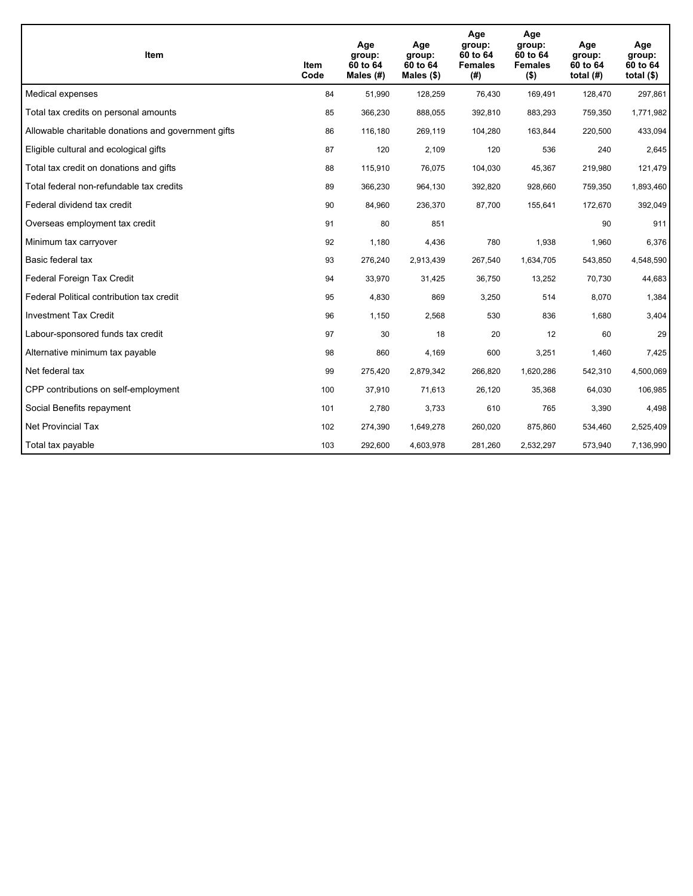| Item                                                | Item<br>Code | Age<br>group:<br>60 to 64<br>Males $(H)$ | Age<br>group:<br>60 to 64<br>Males $(\$)$ | Age<br>group:<br>60 to 64<br><b>Females</b><br>(# ) | Age<br>group:<br>60 to 64<br><b>Females</b><br>$($ \$) | Age<br>group:<br>60 to 64<br>total $(H)$ | Age<br>group:<br>60 to 64<br>total $($)$ |
|-----------------------------------------------------|--------------|------------------------------------------|-------------------------------------------|-----------------------------------------------------|--------------------------------------------------------|------------------------------------------|------------------------------------------|
| Medical expenses                                    | 84           | 51,990                                   | 128,259                                   | 76,430                                              | 169,491                                                | 128,470                                  | 297,861                                  |
| Total tax credits on personal amounts               | 85           | 366,230                                  | 888,055                                   | 392,810                                             | 883,293                                                | 759,350                                  | 1,771,982                                |
| Allowable charitable donations and government gifts | 86           | 116,180                                  | 269,119                                   | 104,280                                             | 163,844                                                | 220,500                                  | 433,094                                  |
| Eligible cultural and ecological gifts              | 87           | 120                                      | 2,109                                     | 120                                                 | 536                                                    | 240                                      | 2,645                                    |
| Total tax credit on donations and gifts             | 88           | 115,910                                  | 76,075                                    | 104,030                                             | 45,367                                                 | 219,980                                  | 121,479                                  |
| Total federal non-refundable tax credits            | 89           | 366,230                                  | 964,130                                   | 392,820                                             | 928,660                                                | 759,350                                  | 1,893,460                                |
| Federal dividend tax credit                         | 90           | 84,960                                   | 236,370                                   | 87,700                                              | 155,641                                                | 172,670                                  | 392,049                                  |
| Overseas employment tax credit                      | 91           | 80                                       | 851                                       |                                                     |                                                        | 90                                       | 911                                      |
| Minimum tax carryover                               | 92           | 1,180                                    | 4,436                                     | 780                                                 | 1,938                                                  | 1,960                                    | 6,376                                    |
| Basic federal tax                                   | 93           | 276,240                                  | 2,913,439                                 | 267,540                                             | 1,634,705                                              | 543,850                                  | 4,548,590                                |
| Federal Foreign Tax Credit                          | 94           | 33,970                                   | 31,425                                    | 36,750                                              | 13,252                                                 | 70,730                                   | 44,683                                   |
| Federal Political contribution tax credit           | 95           | 4,830                                    | 869                                       | 3,250                                               | 514                                                    | 8,070                                    | 1,384                                    |
| <b>Investment Tax Credit</b>                        | 96           | 1,150                                    | 2,568                                     | 530                                                 | 836                                                    | 1,680                                    | 3,404                                    |
| Labour-sponsored funds tax credit                   | 97           | 30                                       | 18                                        | 20                                                  | 12                                                     | 60                                       | 29                                       |
| Alternative minimum tax payable                     | 98           | 860                                      | 4,169                                     | 600                                                 | 3,251                                                  | 1,460                                    | 7,425                                    |
| Net federal tax                                     | 99           | 275,420                                  | 2,879,342                                 | 266,820                                             | 1,620,286                                              | 542,310                                  | 4,500,069                                |
| CPP contributions on self-employment                | 100          | 37,910                                   | 71,613                                    | 26,120                                              | 35,368                                                 | 64,030                                   | 106,985                                  |
| Social Benefits repayment                           | 101          | 2,780                                    | 3,733                                     | 610                                                 | 765                                                    | 3,390                                    | 4,498                                    |
| Net Provincial Tax                                  | 102          | 274,390                                  | 1,649,278                                 | 260,020                                             | 875,860                                                | 534,460                                  | 2,525,409                                |
| Total tax payable                                   | 103          | 292,600                                  | 4,603,978                                 | 281,260                                             | 2,532,297                                              | 573,940                                  | 7,136,990                                |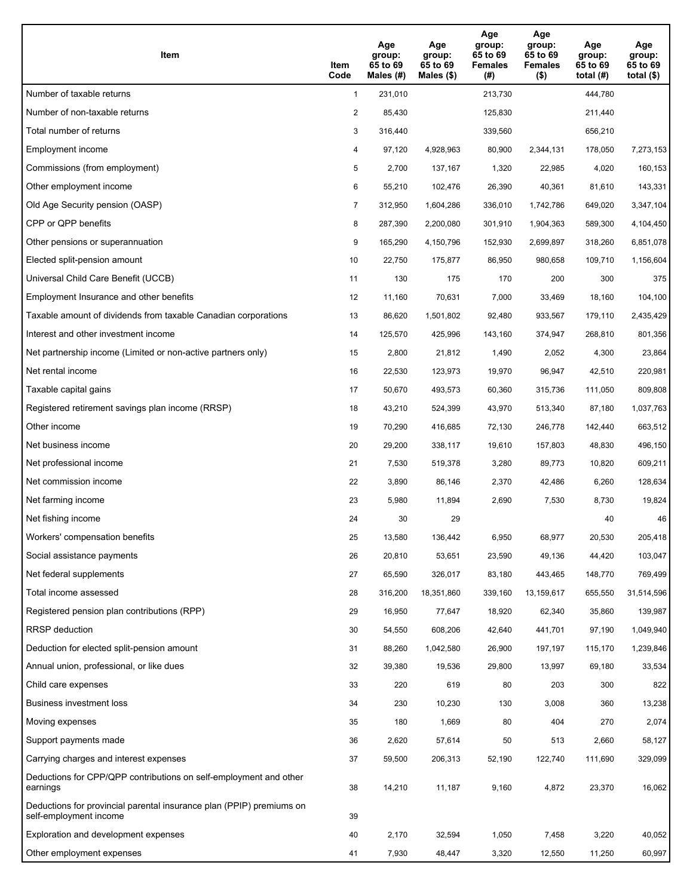| Item                                                                                           | Item<br>Code   | Age<br>group:<br>65 to 69<br>Males $(H)$ | Age<br>group:<br>65 to 69<br>Males $(\$)$ | Age<br>group:<br>65 to 69<br><b>Females</b><br>(#) | Age<br>group:<br>65 to 69<br><b>Females</b><br>$($ \$) | Age<br>group:<br>65 to 69<br>total $(H)$ | Age<br>group:<br>65 to 69<br>total $($)$ |
|------------------------------------------------------------------------------------------------|----------------|------------------------------------------|-------------------------------------------|----------------------------------------------------|--------------------------------------------------------|------------------------------------------|------------------------------------------|
| Number of taxable returns                                                                      | $\mathbf{1}$   | 231,010                                  |                                           | 213,730                                            |                                                        | 444,780                                  |                                          |
| Number of non-taxable returns                                                                  | $\overline{2}$ | 85,430                                   |                                           | 125,830                                            |                                                        | 211,440                                  |                                          |
| Total number of returns                                                                        | 3              | 316,440                                  |                                           | 339,560                                            |                                                        | 656,210                                  |                                          |
| Employment income                                                                              | 4              | 97.120                                   | 4,928,963                                 | 80,900                                             | 2,344,131                                              | 178,050                                  | 7,273,153                                |
| Commissions (from employment)                                                                  | 5              | 2,700                                    | 137,167                                   | 1,320                                              | 22,985                                                 | 4,020                                    | 160,153                                  |
| Other employment income                                                                        | 6              | 55,210                                   | 102,476                                   | 26,390                                             | 40,361                                                 | 81,610                                   | 143,331                                  |
| Old Age Security pension (OASP)                                                                | $\overline{7}$ | 312,950                                  | 1,604,286                                 | 336,010                                            | 1,742,786                                              | 649,020                                  | 3,347,104                                |
| CPP or QPP benefits                                                                            | 8              | 287,390                                  | 2,200,080                                 | 301,910                                            | 1,904,363                                              | 589,300                                  | 4,104,450                                |
| Other pensions or superannuation                                                               | 9              | 165,290                                  | 4,150,796                                 | 152,930                                            | 2,699,897                                              | 318,260                                  | 6,851,078                                |
| Elected split-pension amount                                                                   | 10             | 22,750                                   | 175,877                                   | 86,950                                             | 980,658                                                | 109,710                                  | 1,156,604                                |
| Universal Child Care Benefit (UCCB)                                                            | 11             | 130                                      | 175                                       | 170                                                | 200                                                    | 300                                      | 375                                      |
| Employment Insurance and other benefits                                                        | 12             | 11,160                                   | 70,631                                    | 7,000                                              | 33,469                                                 | 18,160                                   | 104,100                                  |
| Taxable amount of dividends from taxable Canadian corporations                                 | 13             | 86,620                                   | 1,501,802                                 | 92,480                                             | 933,567                                                | 179,110                                  | 2,435,429                                |
| Interest and other investment income                                                           | 14             | 125,570                                  | 425,996                                   | 143,160                                            | 374,947                                                | 268,810                                  | 801,356                                  |
| Net partnership income (Limited or non-active partners only)                                   | 15             | 2,800                                    | 21,812                                    | 1,490                                              | 2,052                                                  | 4,300                                    | 23,864                                   |
| Net rental income                                                                              | 16             | 22,530                                   | 123,973                                   | 19,970                                             | 96,947                                                 | 42,510                                   | 220,981                                  |
| Taxable capital gains                                                                          | 17             | 50,670                                   | 493,573                                   | 60,360                                             | 315,736                                                | 111,050                                  | 809,808                                  |
| Registered retirement savings plan income (RRSP)                                               | 18             | 43,210                                   | 524,399                                   | 43,970                                             | 513,340                                                | 87,180                                   | 1,037,763                                |
| Other income                                                                                   | 19             | 70,290                                   | 416,685                                   | 72,130                                             | 246,778                                                | 142,440                                  | 663,512                                  |
| Net business income                                                                            | 20             | 29,200                                   | 338,117                                   | 19,610                                             | 157,803                                                | 48,830                                   | 496,150                                  |
| Net professional income                                                                        | 21             | 7,530                                    | 519,378                                   | 3,280                                              | 89,773                                                 | 10,820                                   | 609,211                                  |
| Net commission income                                                                          | 22             | 3,890                                    | 86,146                                    | 2,370                                              | 42,486                                                 | 6,260                                    | 128,634                                  |
| Net farming income                                                                             | 23             | 5,980                                    | 11,894                                    | 2,690                                              | 7,530                                                  | 8,730                                    | 19,824                                   |
| Net fishing income                                                                             | 24             | 30                                       | 29                                        |                                                    |                                                        | 40                                       | 46                                       |
| Workers' compensation benefits                                                                 | 25             | 13,580                                   | 136,442                                   | 6,950                                              | 68,977                                                 | 20,530                                   | 205,418                                  |
| Social assistance payments                                                                     | 26             | 20,810                                   | 53,651                                    | 23,590                                             | 49,136                                                 | 44,420                                   | 103,047                                  |
| Net federal supplements                                                                        | 27             | 65,590                                   | 326,017                                   | 83,180                                             | 443,465                                                | 148,770                                  | 769,499                                  |
| Total income assessed                                                                          | 28             | 316,200                                  | 18,351,860                                | 339,160                                            | 13,159,617                                             | 655,550                                  | 31,514,596                               |
| Registered pension plan contributions (RPP)                                                    | 29             | 16,950                                   | 77,647                                    | 18,920                                             | 62,340                                                 | 35,860                                   | 139,987                                  |
| <b>RRSP</b> deduction                                                                          | 30             | 54,550                                   | 608,206                                   | 42,640                                             | 441,701                                                | 97,190                                   | 1,049,940                                |
| Deduction for elected split-pension amount                                                     | 31             | 88,260                                   | 1,042,580                                 | 26,900                                             | 197,197                                                | 115,170                                  | 1,239,846                                |
| Annual union, professional, or like dues                                                       | 32             | 39,380                                   | 19,536                                    | 29,800                                             | 13,997                                                 | 69,180                                   | 33,534                                   |
| Child care expenses                                                                            | 33             | 220                                      | 619                                       | 80                                                 | 203                                                    | 300                                      | 822                                      |
| Business investment loss                                                                       | 34             | 230                                      | 10,230                                    | 130                                                | 3,008                                                  | 360                                      | 13,238                                   |
| Moving expenses                                                                                | 35             | 180                                      | 1,669                                     | 80                                                 | 404                                                    | 270                                      | 2,074                                    |
| Support payments made                                                                          | 36             | 2,620                                    | 57,614                                    | 50                                                 | 513                                                    | 2,660                                    | 58,127                                   |
| Carrying charges and interest expenses                                                         | 37             | 59,500                                   | 206,313                                   | 52,190                                             | 122,740                                                | 111,690                                  | 329,099                                  |
| Deductions for CPP/QPP contributions on self-employment and other<br>earnings                  | 38             | 14,210                                   | 11,187                                    | 9,160                                              | 4,872                                                  | 23,370                                   | 16,062                                   |
| Deductions for provincial parental insurance plan (PPIP) premiums on<br>self-employment income | 39             |                                          |                                           |                                                    |                                                        |                                          |                                          |
| Exploration and development expenses                                                           | 40             | 2,170                                    | 32,594                                    | 1,050                                              | 7,458                                                  | 3,220                                    | 40,052                                   |
| Other employment expenses                                                                      | 41             | 7,930                                    | 48,447                                    | 3,320                                              | 12,550                                                 | 11,250                                   | 60,997                                   |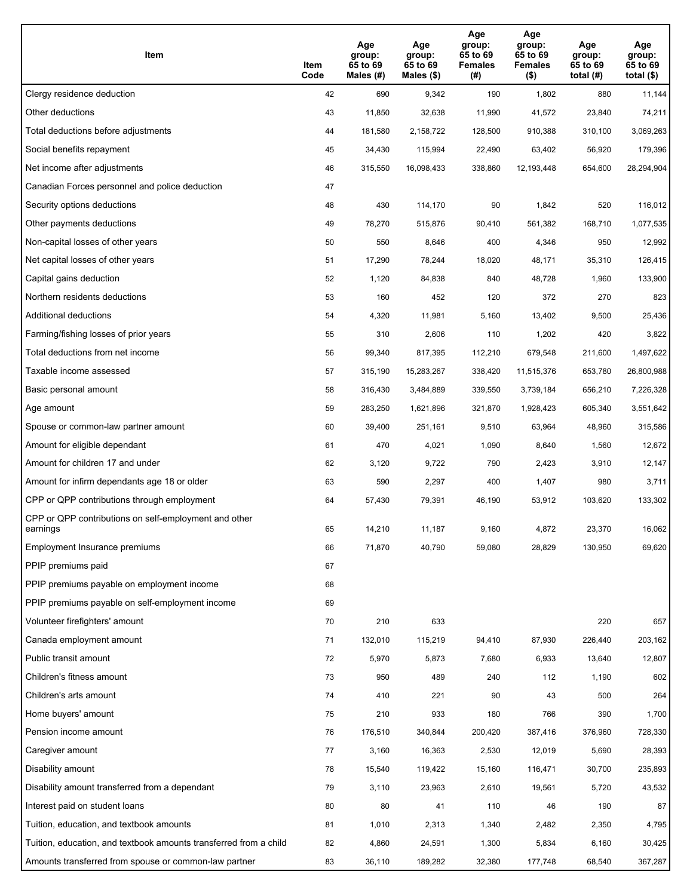| Item                                                              | Item<br>Code | Age<br>group:<br>65 to 69<br>Males (#) | Age<br>group:<br>65 to 69<br>Males (\$) | Age<br>group:<br>65 to 69<br><b>Females</b><br>(# ) | Age<br>group:<br>65 to 69<br><b>Females</b><br>$($ \$) | Age<br>group:<br>65 to 69<br>total $(H)$ | Age<br>group:<br>65 to 69<br>total $($)$ |
|-------------------------------------------------------------------|--------------|----------------------------------------|-----------------------------------------|-----------------------------------------------------|--------------------------------------------------------|------------------------------------------|------------------------------------------|
| Clergy residence deduction                                        | 42           | 690                                    | 9,342                                   | 190                                                 | 1,802                                                  | 880                                      | 11,144                                   |
| Other deductions                                                  | 43           | 11,850                                 | 32,638                                  | 11,990                                              | 41,572                                                 | 23,840                                   | 74,211                                   |
| Total deductions before adjustments                               | 44           | 181,580                                | 2,158,722                               | 128,500                                             | 910,388                                                | 310,100                                  | 3,069,263                                |
| Social benefits repayment                                         | 45           | 34,430                                 | 115,994                                 | 22,490                                              | 63,402                                                 | 56,920                                   | 179,396                                  |
| Net income after adjustments                                      | 46           | 315,550                                | 16,098,433                              | 338,860                                             | 12,193,448                                             | 654,600                                  | 28,294,904                               |
| Canadian Forces personnel and police deduction                    | 47           |                                        |                                         |                                                     |                                                        |                                          |                                          |
| Security options deductions                                       | 48           | 430                                    | 114,170                                 | 90                                                  | 1,842                                                  | 520                                      | 116,012                                  |
| Other payments deductions                                         | 49           | 78,270                                 | 515,876                                 | 90,410                                              | 561,382                                                | 168,710                                  | 1,077,535                                |
| Non-capital losses of other years                                 | 50           | 550                                    | 8,646                                   | 400                                                 | 4,346                                                  | 950                                      | 12,992                                   |
| Net capital losses of other years                                 | 51           | 17,290                                 | 78,244                                  | 18,020                                              | 48,171                                                 | 35,310                                   | 126,415                                  |
| Capital gains deduction                                           | 52           | 1,120                                  | 84,838                                  | 840                                                 | 48,728                                                 | 1,960                                    | 133,900                                  |
| Northern residents deductions                                     | 53           | 160                                    | 452                                     | 120                                                 | 372                                                    | 270                                      | 823                                      |
| Additional deductions                                             | 54           | 4,320                                  | 11,981                                  | 5,160                                               | 13,402                                                 | 9,500                                    | 25,436                                   |
| Farming/fishing losses of prior years                             | 55           | 310                                    | 2,606                                   | 110                                                 | 1,202                                                  | 420                                      | 3,822                                    |
| Total deductions from net income                                  | 56           | 99,340                                 | 817,395                                 | 112,210                                             | 679,548                                                | 211,600                                  | 1,497,622                                |
| Taxable income assessed                                           | 57           | 315,190                                | 15,283,267                              | 338,420                                             | 11,515,376                                             | 653,780                                  | 26,800,988                               |
| Basic personal amount                                             | 58           | 316,430                                | 3,484,889                               | 339,550                                             | 3,739,184                                              | 656,210                                  | 7,226,328                                |
| Age amount                                                        | 59           | 283,250                                | 1,621,896                               | 321,870                                             | 1,928,423                                              | 605,340                                  | 3,551,642                                |
| Spouse or common-law partner amount                               | 60           | 39,400                                 | 251,161                                 | 9,510                                               | 63,964                                                 | 48,960                                   | 315,586                                  |
| Amount for eligible dependant                                     | 61           | 470                                    | 4,021                                   | 1,090                                               | 8,640                                                  | 1,560                                    | 12,672                                   |
| Amount for children 17 and under                                  | 62           | 3,120                                  | 9,722                                   | 790                                                 | 2,423                                                  | 3,910                                    | 12,147                                   |
| Amount for infirm dependants age 18 or older                      | 63           | 590                                    | 2,297                                   | 400                                                 | 1,407                                                  | 980                                      | 3,711                                    |
| CPP or QPP contributions through employment                       | 64           | 57,430                                 | 79,391                                  | 46,190                                              | 53,912                                                 | 103,620                                  | 133,302                                  |
| CPP or QPP contributions on self-employment and other<br>earnings | 65           | 14,210                                 | 11,187                                  | 9,160                                               | 4,872                                                  | 23,370                                   | 16,062                                   |
| Employment Insurance premiums                                     | 66           | 71,870                                 | 40,790                                  | 59,080                                              | 28,829                                                 | 130,950                                  | 69,620                                   |
| PPIP premiums paid                                                | 67           |                                        |                                         |                                                     |                                                        |                                          |                                          |
| PPIP premiums payable on employment income                        | 68           |                                        |                                         |                                                     |                                                        |                                          |                                          |
| PPIP premiums payable on self-employment income                   | 69           |                                        |                                         |                                                     |                                                        |                                          |                                          |
| Volunteer firefighters' amount                                    | 70           | 210                                    | 633                                     |                                                     |                                                        | 220                                      | 657                                      |
| Canada employment amount                                          | 71           | 132,010                                | 115,219                                 | 94,410                                              | 87,930                                                 | 226,440                                  | 203,162                                  |
| Public transit amount                                             | 72           | 5,970                                  | 5,873                                   | 7,680                                               | 6,933                                                  | 13,640                                   | 12,807                                   |
| Children's fitness amount                                         | 73           | 950                                    | 489                                     | 240                                                 | 112                                                    | 1,190                                    | 602                                      |
| Children's arts amount                                            | 74           | 410                                    | 221                                     | 90                                                  | 43                                                     | 500                                      | 264                                      |
| Home buyers' amount                                               | 75           | 210                                    | 933                                     | 180                                                 | 766                                                    | 390                                      | 1,700                                    |
| Pension income amount                                             | 76           | 176,510                                | 340,844                                 | 200,420                                             | 387,416                                                | 376,960                                  | 728,330                                  |
| Caregiver amount                                                  | 77           | 3,160                                  | 16,363                                  | 2,530                                               | 12,019                                                 | 5,690                                    | 28,393                                   |
| Disability amount                                                 | 78           | 15,540                                 | 119,422                                 | 15,160                                              | 116,471                                                | 30,700                                   | 235,893                                  |
| Disability amount transferred from a dependant                    | 79           | 3,110                                  | 23,963                                  | 2,610                                               | 19,561                                                 | 5,720                                    | 43,532                                   |
| Interest paid on student loans                                    | 80           | 80                                     | 41                                      | 110                                                 | 46                                                     | 190                                      | 87                                       |
| Tuition, education, and textbook amounts                          | 81           | 1,010                                  | 2,313                                   | 1,340                                               | 2,482                                                  | 2,350                                    | 4,795                                    |
| Tuition, education, and textbook amounts transferred from a child | 82           | 4,860                                  | 24,591                                  | 1,300                                               | 5,834                                                  | 6,160                                    | 30,425                                   |
| Amounts transferred from spouse or common-law partner             | 83           | 36,110                                 | 189,282                                 | 32,380                                              | 177,748                                                | 68,540                                   | 367,287                                  |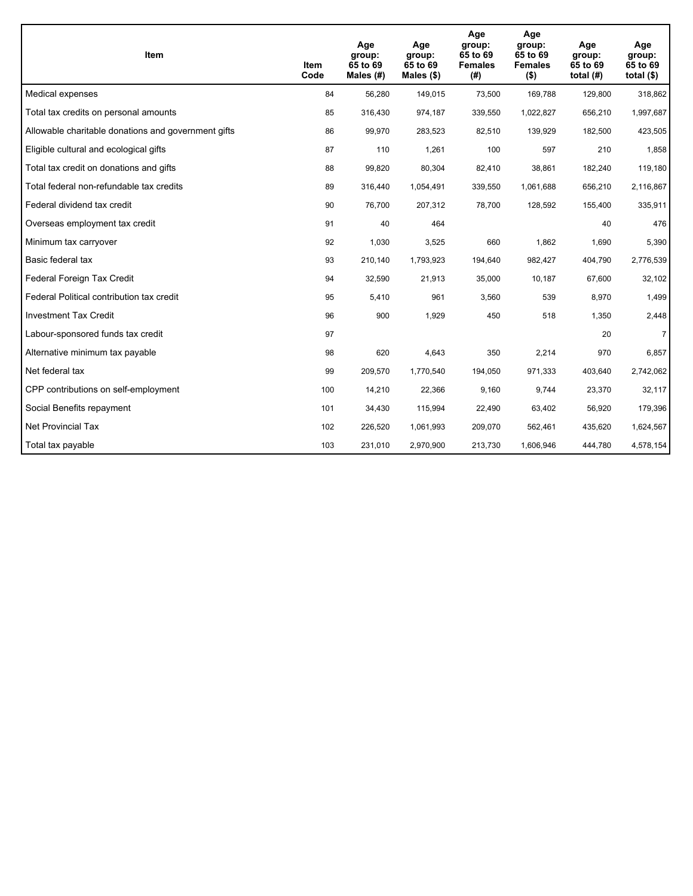| <b>Item</b>                                         | Item<br>Code | Age<br>group:<br>65 to 69<br>Males $(H)$ | Age<br>group:<br>65 to 69<br>Males $(\$)$ | Age<br>group:<br>65 to 69<br><b>Females</b><br>(# ) | Age<br>group:<br>65 to 69<br><b>Females</b><br>$($ \$) | Age<br>group:<br>65 to 69<br>total $(H)$ | Age<br>group:<br>65 to 69<br>total $($)$ |
|-----------------------------------------------------|--------------|------------------------------------------|-------------------------------------------|-----------------------------------------------------|--------------------------------------------------------|------------------------------------------|------------------------------------------|
| Medical expenses                                    | 84           | 56,280                                   | 149,015                                   | 73,500                                              | 169,788                                                | 129,800                                  | 318,862                                  |
| Total tax credits on personal amounts               | 85           | 316,430                                  | 974,187                                   | 339,550                                             | 1,022,827                                              | 656,210                                  | 1,997,687                                |
| Allowable charitable donations and government gifts | 86           | 99,970                                   | 283,523                                   | 82,510                                              | 139,929                                                | 182,500                                  | 423,505                                  |
| Eligible cultural and ecological gifts              | 87           | 110                                      | 1,261                                     | 100                                                 | 597                                                    | 210                                      | 1,858                                    |
| Total tax credit on donations and gifts             | 88           | 99,820                                   | 80,304                                    | 82,410                                              | 38,861                                                 | 182,240                                  | 119,180                                  |
| Total federal non-refundable tax credits            | 89           | 316,440                                  | 1,054,491                                 | 339,550                                             | 1,061,688                                              | 656,210                                  | 2,116,867                                |
| Federal dividend tax credit                         | 90           | 76,700                                   | 207,312                                   | 78,700                                              | 128,592                                                | 155,400                                  | 335,911                                  |
| Overseas employment tax credit                      | 91           | 40                                       | 464                                       |                                                     |                                                        | 40                                       | 476                                      |
| Minimum tax carryover                               | 92           | 1,030                                    | 3,525                                     | 660                                                 | 1,862                                                  | 1,690                                    | 5,390                                    |
| Basic federal tax                                   | 93           | 210,140                                  | 1,793,923                                 | 194,640                                             | 982.427                                                | 404,790                                  | 2,776,539                                |
| Federal Foreign Tax Credit                          | 94           | 32,590                                   | 21,913                                    | 35,000                                              | 10,187                                                 | 67,600                                   | 32,102                                   |
| Federal Political contribution tax credit           | 95           | 5,410                                    | 961                                       | 3,560                                               | 539                                                    | 8,970                                    | 1,499                                    |
| <b>Investment Tax Credit</b>                        | 96           | 900                                      | 1,929                                     | 450                                                 | 518                                                    | 1,350                                    | 2,448                                    |
| Labour-sponsored funds tax credit                   | 97           |                                          |                                           |                                                     |                                                        | 20                                       | $\overline{7}$                           |
| Alternative minimum tax payable                     | 98           | 620                                      | 4,643                                     | 350                                                 | 2,214                                                  | 970                                      | 6,857                                    |
| Net federal tax                                     | 99           | 209,570                                  | 1,770,540                                 | 194,050                                             | 971,333                                                | 403,640                                  | 2,742,062                                |
| CPP contributions on self-employment                | 100          | 14,210                                   | 22,366                                    | 9,160                                               | 9,744                                                  | 23,370                                   | 32,117                                   |
| Social Benefits repayment                           | 101          | 34,430                                   | 115,994                                   | 22,490                                              | 63,402                                                 | 56,920                                   | 179,396                                  |
| Net Provincial Tax                                  | 102          | 226,520                                  | 1,061,993                                 | 209,070                                             | 562,461                                                | 435,620                                  | 1,624,567                                |
| Total tax payable                                   | 103          | 231,010                                  | 2,970,900                                 | 213,730                                             | 1,606,946                                              | 444,780                                  | 4,578,154                                |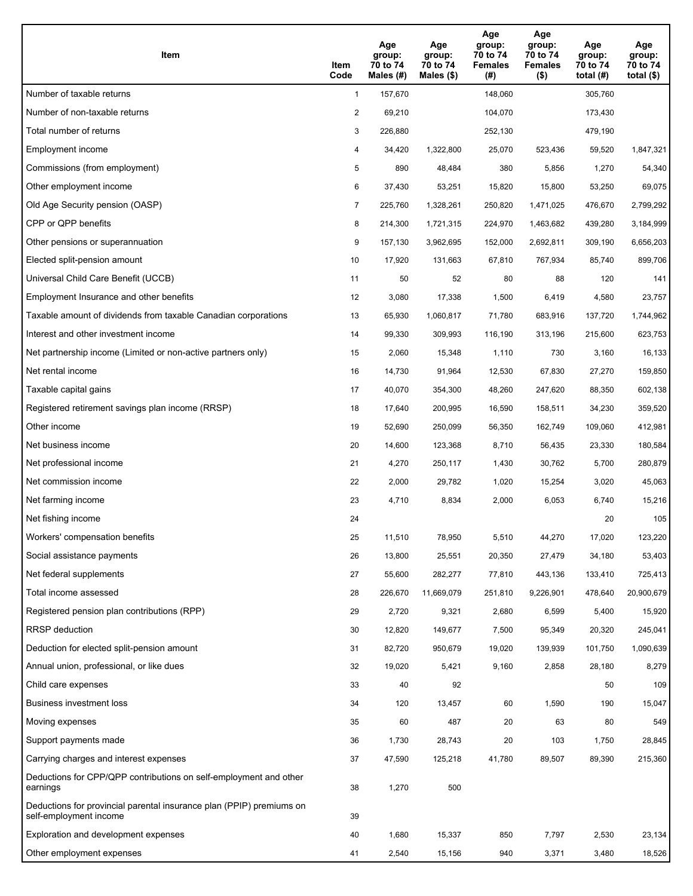| Item                                                                                           | Item<br>Code   | Age<br>group:<br>70 to 74<br>Males (#) | Age<br>group:<br>70 to 74<br>Males (\$) | Age<br>group:<br>70 to 74<br><b>Females</b><br>(#) | Age<br>group:<br>70 to 74<br><b>Females</b><br>$($ \$) | Age<br>group:<br>70 to 74<br>total $(H)$ | Age<br>group:<br>70 to 74<br>total $($ |
|------------------------------------------------------------------------------------------------|----------------|----------------------------------------|-----------------------------------------|----------------------------------------------------|--------------------------------------------------------|------------------------------------------|----------------------------------------|
| Number of taxable returns                                                                      | $\mathbf{1}$   | 157,670                                |                                         | 148,060                                            |                                                        | 305.760                                  |                                        |
| Number of non-taxable returns                                                                  | $\overline{2}$ | 69,210                                 |                                         | 104,070                                            |                                                        | 173,430                                  |                                        |
| Total number of returns                                                                        | 3              | 226,880                                |                                         | 252,130                                            |                                                        | 479,190                                  |                                        |
| Employment income                                                                              | 4              | 34,420                                 | 1,322,800                               | 25,070                                             | 523,436                                                | 59,520                                   | 1,847,321                              |
| Commissions (from employment)                                                                  | 5              | 890                                    | 48,484                                  | 380                                                | 5,856                                                  | 1,270                                    | 54,340                                 |
| Other employment income                                                                        | 6              | 37,430                                 | 53,251                                  | 15,820                                             | 15,800                                                 | 53,250                                   | 69,075                                 |
| Old Age Security pension (OASP)                                                                | $\overline{7}$ | 225,760                                | 1,328,261                               | 250,820                                            | 1,471,025                                              | 476,670                                  | 2,799,292                              |
| CPP or QPP benefits                                                                            | 8              | 214,300                                | 1,721,315                               | 224,970                                            | 1,463,682                                              | 439,280                                  | 3,184,999                              |
| Other pensions or superannuation                                                               | 9              | 157,130                                | 3,962,695                               | 152,000                                            | 2,692,811                                              | 309,190                                  | 6,656,203                              |
| Elected split-pension amount                                                                   | 10             | 17,920                                 | 131,663                                 | 67,810                                             | 767,934                                                | 85,740                                   | 899,706                                |
| Universal Child Care Benefit (UCCB)                                                            | 11             | 50                                     | 52                                      | 80                                                 | 88                                                     | 120                                      | 141                                    |
| Employment Insurance and other benefits                                                        | 12             | 3,080                                  | 17,338                                  | 1,500                                              | 6,419                                                  | 4,580                                    | 23,757                                 |
| Taxable amount of dividends from taxable Canadian corporations                                 | 13             | 65,930                                 | 1,060,817                               | 71,780                                             | 683,916                                                | 137,720                                  | 1,744,962                              |
| Interest and other investment income                                                           | 14             | 99,330                                 | 309,993                                 | 116,190                                            | 313,196                                                | 215,600                                  | 623,753                                |
| Net partnership income (Limited or non-active partners only)                                   | 15             | 2,060                                  | 15,348                                  | 1,110                                              | 730                                                    | 3,160                                    | 16,133                                 |
| Net rental income                                                                              | 16             | 14,730                                 | 91,964                                  | 12,530                                             | 67,830                                                 | 27,270                                   | 159,850                                |
| Taxable capital gains                                                                          | 17             | 40,070                                 | 354,300                                 | 48,260                                             | 247,620                                                | 88,350                                   | 602,138                                |
| Registered retirement savings plan income (RRSP)                                               | 18             | 17,640                                 | 200,995                                 | 16,590                                             | 158,511                                                | 34,230                                   | 359,520                                |
| Other income                                                                                   | 19             | 52,690                                 | 250,099                                 | 56,350                                             | 162,749                                                | 109,060                                  | 412,981                                |
| Net business income                                                                            | 20             | 14,600                                 | 123,368                                 | 8,710                                              | 56,435                                                 | 23,330                                   | 180,584                                |
| Net professional income                                                                        | 21             | 4,270                                  | 250,117                                 | 1,430                                              | 30,762                                                 | 5,700                                    | 280,879                                |
| Net commission income                                                                          | 22             | 2,000                                  | 29,782                                  | 1,020                                              | 15,254                                                 | 3,020                                    | 45,063                                 |
| Net farming income                                                                             | 23             | 4,710                                  | 8,834                                   | 2,000                                              | 6,053                                                  | 6,740                                    | 15,216                                 |
| Net fishing income                                                                             | 24             |                                        |                                         |                                                    |                                                        | 20                                       | 105                                    |
| Workers' compensation benefits                                                                 | 25             | 11,510                                 | 78,950                                  | 5,510                                              | 44,270                                                 | 17,020                                   | 123,220                                |
| Social assistance payments                                                                     | 26             | 13,800                                 | 25,551                                  | 20,350                                             | 27,479                                                 | 34,180                                   | 53,403                                 |
| Net federal supplements                                                                        | 27             | 55,600                                 | 282,277                                 | 77,810                                             | 443,136                                                | 133,410                                  | 725,413                                |
| Total income assessed                                                                          | 28             | 226,670                                | 11,669,079                              | 251,810                                            | 9,226,901                                              | 478,640                                  | 20,900,679                             |
| Registered pension plan contributions (RPP)                                                    | 29             | 2,720                                  | 9,321                                   | 2,680                                              | 6,599                                                  | 5,400                                    | 15,920                                 |
| RRSP deduction                                                                                 | 30             | 12,820                                 | 149,677                                 | 7,500                                              | 95,349                                                 | 20,320                                   | 245,041                                |
| Deduction for elected split-pension amount                                                     | 31             | 82,720                                 | 950,679                                 | 19,020                                             | 139,939                                                | 101,750                                  | 1,090,639                              |
| Annual union, professional, or like dues                                                       | 32             | 19,020                                 | 5,421                                   | 9,160                                              | 2,858                                                  | 28,180                                   | 8,279                                  |
| Child care expenses                                                                            | 33             | 40                                     | 92                                      |                                                    |                                                        | 50                                       | 109                                    |
| Business investment loss                                                                       | 34             | 120                                    | 13,457                                  | 60                                                 | 1,590                                                  | 190                                      | 15,047                                 |
| Moving expenses                                                                                | 35             | 60                                     | 487                                     | 20                                                 | 63                                                     | 80                                       | 549                                    |
| Support payments made                                                                          | 36             | 1,730                                  | 28,743                                  | 20                                                 | 103                                                    | 1,750                                    | 28,845                                 |
| Carrying charges and interest expenses                                                         | 37             | 47,590                                 | 125,218                                 | 41,780                                             | 89,507                                                 | 89,390                                   | 215,360                                |
| Deductions for CPP/QPP contributions on self-employment and other<br>earnings                  | 38             | 1,270                                  | 500                                     |                                                    |                                                        |                                          |                                        |
| Deductions for provincial parental insurance plan (PPIP) premiums on<br>self-employment income | 39             |                                        |                                         |                                                    |                                                        |                                          |                                        |
| Exploration and development expenses                                                           | 40             | 1,680                                  | 15,337                                  | 850                                                | 7,797                                                  | 2,530                                    | 23,134                                 |
| Other employment expenses                                                                      | 41             | 2,540                                  | 15,156                                  | 940                                                | 3,371                                                  | 3,480                                    | 18,526                                 |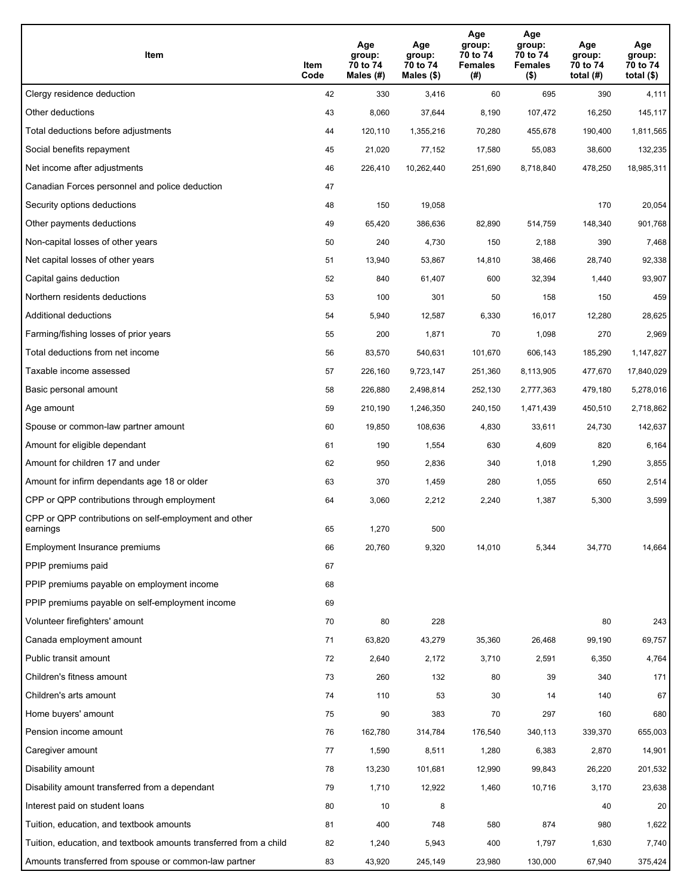| Item                                                              | Item<br>Code | Age<br>group:<br>70 to 74<br>Males (#) | Age<br>group:<br>70 to 74<br>Males (\$) | Age<br>group:<br>70 to 74<br><b>Females</b><br>(#) | Age<br>group:<br>70 to 74<br><b>Females</b><br>$($ \$) | Age<br>group:<br>70 to 74<br>total $(H)$ | Age<br>group:<br>70 to 74<br>total $($)$ |
|-------------------------------------------------------------------|--------------|----------------------------------------|-----------------------------------------|----------------------------------------------------|--------------------------------------------------------|------------------------------------------|------------------------------------------|
| Clergy residence deduction                                        | 42           | 330                                    | 3,416                                   | 60                                                 | 695                                                    | 390                                      | 4,111                                    |
| Other deductions                                                  | 43           | 8,060                                  | 37,644                                  | 8,190                                              | 107,472                                                | 16,250                                   | 145,117                                  |
| Total deductions before adjustments                               | 44           | 120,110                                | 1,355,216                               | 70,280                                             | 455,678                                                | 190,400                                  | 1,811,565                                |
| Social benefits repayment                                         | 45           | 21,020                                 | 77,152                                  | 17,580                                             | 55,083                                                 | 38,600                                   | 132,235                                  |
| Net income after adjustments                                      | 46           | 226,410                                | 10,262,440                              | 251,690                                            | 8,718,840                                              | 478,250                                  | 18,985,311                               |
| Canadian Forces personnel and police deduction                    | 47           |                                        |                                         |                                                    |                                                        |                                          |                                          |
| Security options deductions                                       | 48           | 150                                    | 19,058                                  |                                                    |                                                        | 170                                      | 20,054                                   |
| Other payments deductions                                         | 49           | 65,420                                 | 386,636                                 | 82,890                                             | 514,759                                                | 148,340                                  | 901,768                                  |
| Non-capital losses of other years                                 | 50           | 240                                    | 4,730                                   | 150                                                | 2,188                                                  | 390                                      | 7,468                                    |
| Net capital losses of other years                                 | 51           | 13,940                                 | 53,867                                  | 14,810                                             | 38,466                                                 | 28,740                                   | 92,338                                   |
| Capital gains deduction                                           | 52           | 840                                    | 61,407                                  | 600                                                | 32,394                                                 | 1,440                                    | 93,907                                   |
| Northern residents deductions                                     | 53           | 100                                    | 301                                     | 50                                                 | 158                                                    | 150                                      | 459                                      |
| Additional deductions                                             | 54           | 5,940                                  | 12,587                                  | 6,330                                              | 16,017                                                 | 12,280                                   | 28,625                                   |
| Farming/fishing losses of prior years                             | 55           | 200                                    | 1,871                                   | 70                                                 | 1,098                                                  | 270                                      | 2,969                                    |
| Total deductions from net income                                  | 56           | 83,570                                 | 540,631                                 | 101,670                                            | 606,143                                                | 185,290                                  | 1,147,827                                |
| Taxable income assessed                                           | 57           | 226,160                                | 9,723,147                               | 251,360                                            | 8,113,905                                              | 477,670                                  | 17,840,029                               |
| Basic personal amount                                             | 58           | 226,880                                | 2,498,814                               | 252,130                                            | 2,777,363                                              | 479,180                                  | 5,278,016                                |
| Age amount                                                        | 59           | 210,190                                | 1,246,350                               | 240,150                                            | 1,471,439                                              | 450,510                                  | 2,718,862                                |
| Spouse or common-law partner amount                               | 60           | 19,850                                 | 108,636                                 | 4,830                                              | 33,611                                                 | 24,730                                   | 142,637                                  |
| Amount for eligible dependant                                     | 61           | 190                                    | 1,554                                   | 630                                                | 4,609                                                  | 820                                      | 6,164                                    |
| Amount for children 17 and under                                  | 62           | 950                                    | 2,836                                   | 340                                                | 1,018                                                  | 1,290                                    | 3,855                                    |
| Amount for infirm dependants age 18 or older                      | 63           | 370                                    | 1,459                                   | 280                                                | 1,055                                                  | 650                                      | 2,514                                    |
| CPP or QPP contributions through employment                       | 64           | 3,060                                  | 2,212                                   | 2,240                                              | 1,387                                                  | 5,300                                    | 3,599                                    |
| CPP or QPP contributions on self-employment and other<br>earnings | 65           | 1,270                                  | 500                                     |                                                    |                                                        |                                          |                                          |
| Employment Insurance premiums                                     | 66           | 20,760                                 | 9,320                                   | 14,010                                             | 5,344                                                  | 34,770                                   | 14,664                                   |
| PPIP premiums paid                                                | 67           |                                        |                                         |                                                    |                                                        |                                          |                                          |
| PPIP premiums payable on employment income                        | 68           |                                        |                                         |                                                    |                                                        |                                          |                                          |
| PPIP premiums payable on self-employment income                   | 69           |                                        |                                         |                                                    |                                                        |                                          |                                          |
| Volunteer firefighters' amount                                    | 70           | 80                                     | 228                                     |                                                    |                                                        | 80                                       | 243                                      |
| Canada employment amount                                          | 71           | 63,820                                 | 43,279                                  | 35,360                                             | 26,468                                                 | 99,190                                   | 69,757                                   |
| Public transit amount                                             | 72           | 2,640                                  | 2,172                                   | 3,710                                              | 2,591                                                  | 6,350                                    | 4,764                                    |
| Children's fitness amount                                         | 73           | 260                                    | 132                                     | 80                                                 | 39                                                     | 340                                      | 171                                      |
| Children's arts amount                                            | 74           | 110                                    | 53                                      | 30                                                 | 14                                                     | 140                                      | 67                                       |
| Home buyers' amount                                               | 75           | 90                                     | 383                                     | 70                                                 | 297                                                    | 160                                      | 680                                      |
| Pension income amount                                             | 76           | 162,780                                | 314,784                                 | 176,540                                            | 340,113                                                | 339,370                                  | 655,003                                  |
| Caregiver amount                                                  | 77           | 1,590                                  | 8,511                                   | 1,280                                              | 6,383                                                  | 2,870                                    | 14,901                                   |
| Disability amount                                                 | 78           | 13,230                                 | 101,681                                 | 12,990                                             | 99,843                                                 | 26,220                                   | 201,532                                  |
| Disability amount transferred from a dependant                    | 79           | 1,710                                  | 12,922                                  | 1,460                                              | 10,716                                                 | 3,170                                    | 23,638                                   |
| Interest paid on student loans                                    | 80           | 10                                     | 8                                       |                                                    |                                                        | 40                                       | 20                                       |
| Tuition, education, and textbook amounts                          | 81           | 400                                    | 748                                     | 580                                                | 874                                                    | 980                                      | 1,622                                    |
| Tuition, education, and textbook amounts transferred from a child | 82           | 1,240                                  | 5,943                                   | 400                                                | 1,797                                                  | 1,630                                    | 7,740                                    |
| Amounts transferred from spouse or common-law partner             | 83           | 43,920                                 | 245,149                                 | 23,980                                             | 130,000                                                | 67,940                                   | 375,424                                  |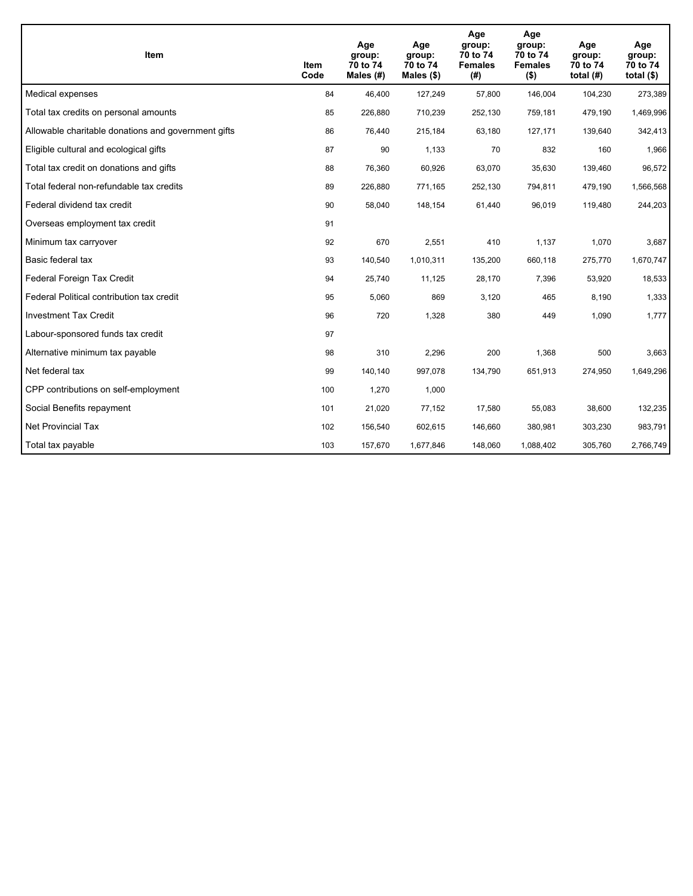| Item                                                | Item<br>Code | Age<br>group:<br>70 to 74<br>Males $(H)$ | Age<br>group:<br>70 to 74<br>Males (\$) | Age<br>group:<br>70 to 74<br><b>Females</b><br>(#) | Age<br>group:<br>70 to 74<br><b>Females</b><br>$($ \$) | Age<br>group:<br>70 to 74<br>total $(H)$ | Age<br>group:<br>70 to 74<br>total $($)$ |
|-----------------------------------------------------|--------------|------------------------------------------|-----------------------------------------|----------------------------------------------------|--------------------------------------------------------|------------------------------------------|------------------------------------------|
| Medical expenses                                    | 84           | 46,400                                   | 127,249                                 | 57,800                                             | 146,004                                                | 104,230                                  | 273,389                                  |
| Total tax credits on personal amounts               | 85           | 226,880                                  | 710,239                                 | 252,130                                            | 759,181                                                | 479,190                                  | 1,469,996                                |
| Allowable charitable donations and government gifts | 86           | 76,440                                   | 215,184                                 | 63,180                                             | 127,171                                                | 139,640                                  | 342,413                                  |
| Eligible cultural and ecological gifts              | 87           | 90                                       | 1,133                                   | 70                                                 | 832                                                    | 160                                      | 1,966                                    |
| Total tax credit on donations and gifts             | 88           | 76,360                                   | 60,926                                  | 63,070                                             | 35,630                                                 | 139,460                                  | 96,572                                   |
| Total federal non-refundable tax credits            | 89           | 226,880                                  | 771,165                                 | 252,130                                            | 794,811                                                | 479,190                                  | 1,566,568                                |
| Federal dividend tax credit                         | 90           | 58,040                                   | 148,154                                 | 61,440                                             | 96,019                                                 | 119,480                                  | 244,203                                  |
| Overseas employment tax credit                      | 91           |                                          |                                         |                                                    |                                                        |                                          |                                          |
| Minimum tax carryover                               | 92           | 670                                      | 2,551                                   | 410                                                | 1,137                                                  | 1,070                                    | 3,687                                    |
| Basic federal tax                                   | 93           | 140,540                                  | 1,010,311                               | 135,200                                            | 660.118                                                | 275,770                                  | 1,670,747                                |
| Federal Foreign Tax Credit                          | 94           | 25,740                                   | 11,125                                  | 28,170                                             | 7,396                                                  | 53,920                                   | 18,533                                   |
| Federal Political contribution tax credit           | 95           | 5,060                                    | 869                                     | 3,120                                              | 465                                                    | 8,190                                    | 1,333                                    |
| <b>Investment Tax Credit</b>                        | 96           | 720                                      | 1,328                                   | 380                                                | 449                                                    | 1,090                                    | 1,777                                    |
| Labour-sponsored funds tax credit                   | 97           |                                          |                                         |                                                    |                                                        |                                          |                                          |
| Alternative minimum tax payable                     | 98           | 310                                      | 2,296                                   | 200                                                | 1,368                                                  | 500                                      | 3,663                                    |
| Net federal tax                                     | 99           | 140,140                                  | 997,078                                 | 134,790                                            | 651,913                                                | 274,950                                  | 1,649,296                                |
| CPP contributions on self-employment                | 100          | 1,270                                    | 1,000                                   |                                                    |                                                        |                                          |                                          |
| Social Benefits repayment                           | 101          | 21,020                                   | 77,152                                  | 17,580                                             | 55,083                                                 | 38,600                                   | 132,235                                  |
| Net Provincial Tax                                  | 102          | 156,540                                  | 602,615                                 | 146,660                                            | 380,981                                                | 303,230                                  | 983,791                                  |
| Total tax payable                                   | 103          | 157,670                                  | 1,677,846                               | 148,060                                            | 1,088,402                                              | 305,760                                  | 2,766,749                                |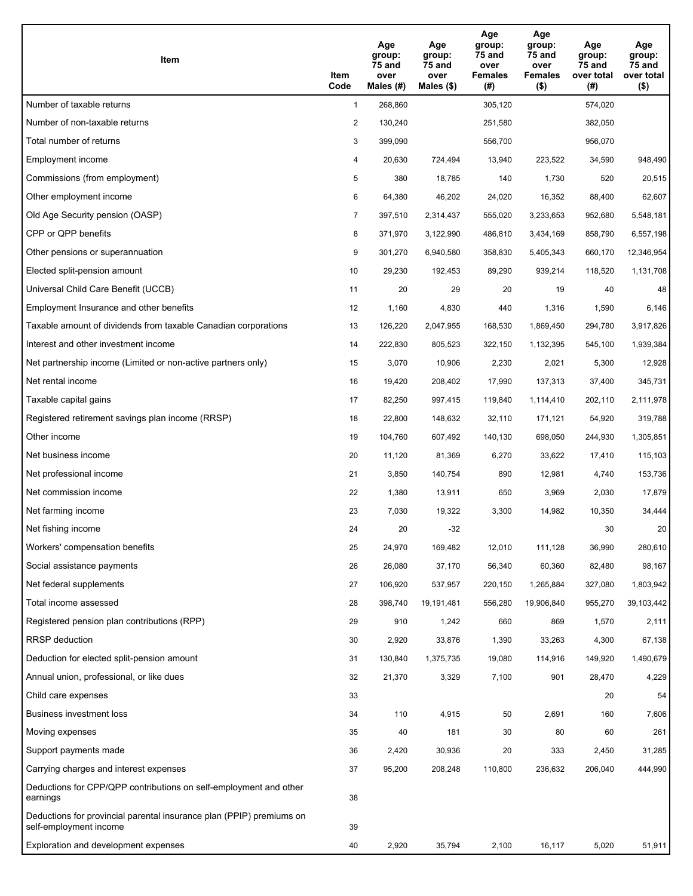| Item                                                                                           | Item<br>Code   | Age<br>group:<br>75 and<br>over<br>Males $(H)$ | Age<br>group:<br>75 and<br>over<br>Males $(\$)$ | Age<br>group:<br>75 and<br>over<br><b>Females</b><br>(# ) | Age<br>group:<br>75 and<br>over<br><b>Females</b><br>$($ \$) | Age<br>group:<br>75 and<br>over total<br>(#) | Age<br>group:<br>75 and<br>over total<br>$($ \$) |
|------------------------------------------------------------------------------------------------|----------------|------------------------------------------------|-------------------------------------------------|-----------------------------------------------------------|--------------------------------------------------------------|----------------------------------------------|--------------------------------------------------|
| Number of taxable returns                                                                      | $\mathbf{1}$   | 268,860                                        |                                                 | 305,120                                                   |                                                              | 574,020                                      |                                                  |
| Number of non-taxable returns                                                                  | $\overline{2}$ | 130,240                                        |                                                 | 251,580                                                   |                                                              | 382,050                                      |                                                  |
| Total number of returns                                                                        | 3              | 399,090                                        |                                                 | 556,700                                                   |                                                              | 956,070                                      |                                                  |
| Employment income                                                                              | 4              | 20,630                                         | 724,494                                         | 13,940                                                    | 223,522                                                      | 34,590                                       | 948,490                                          |
| Commissions (from employment)                                                                  | 5              | 380                                            | 18,785                                          | 140                                                       | 1,730                                                        | 520                                          | 20,515                                           |
| Other employment income                                                                        | 6              | 64,380                                         | 46,202                                          | 24,020                                                    | 16,352                                                       | 88,400                                       | 62,607                                           |
| Old Age Security pension (OASP)                                                                | $\overline{7}$ | 397,510                                        | 2,314,437                                       | 555,020                                                   | 3,233,653                                                    | 952,680                                      | 5,548,181                                        |
| CPP or QPP benefits                                                                            | 8              | 371,970                                        | 3,122,990                                       | 486,810                                                   | 3,434,169                                                    | 858,790                                      | 6,557,198                                        |
| Other pensions or superannuation                                                               | 9              | 301,270                                        | 6,940,580                                       | 358,830                                                   | 5,405,343                                                    | 660,170                                      | 12,346,954                                       |
| Elected split-pension amount                                                                   | 10             | 29,230                                         | 192,453                                         | 89,290                                                    | 939,214                                                      | 118,520                                      | 1,131,708                                        |
| Universal Child Care Benefit (UCCB)                                                            | 11             | 20                                             | 29                                              | 20                                                        | 19                                                           | 40                                           | 48                                               |
| Employment Insurance and other benefits                                                        | 12             | 1,160                                          | 4,830                                           | 440                                                       | 1,316                                                        | 1,590                                        | 6,146                                            |
| Taxable amount of dividends from taxable Canadian corporations                                 | 13             | 126,220                                        | 2,047,955                                       | 168,530                                                   | 1,869,450                                                    | 294,780                                      | 3,917,826                                        |
| Interest and other investment income                                                           | 14             | 222,830                                        | 805,523                                         | 322,150                                                   | 1,132,395                                                    | 545,100                                      | 1,939,384                                        |
| Net partnership income (Limited or non-active partners only)                                   | 15             | 3,070                                          | 10,906                                          | 2,230                                                     | 2,021                                                        | 5,300                                        | 12,928                                           |
| Net rental income                                                                              | 16             | 19,420                                         | 208,402                                         | 17,990                                                    | 137,313                                                      | 37,400                                       | 345,731                                          |
| Taxable capital gains                                                                          | 17             | 82,250                                         | 997,415                                         | 119,840                                                   | 1,114,410                                                    | 202,110                                      | 2,111,978                                        |
| Registered retirement savings plan income (RRSP)                                               | 18             | 22,800                                         | 148,632                                         | 32,110                                                    | 171,121                                                      | 54,920                                       | 319,788                                          |
| Other income                                                                                   | 19             | 104,760                                        | 607,492                                         | 140,130                                                   | 698,050                                                      | 244,930                                      | 1,305,851                                        |
| Net business income                                                                            | 20             | 11,120                                         | 81,369                                          | 6,270                                                     | 33,622                                                       | 17,410                                       | 115,103                                          |
| Net professional income                                                                        | 21             | 3,850                                          | 140,754                                         | 890                                                       | 12,981                                                       | 4,740                                        | 153,736                                          |
| Net commission income                                                                          | 22             | 1,380                                          | 13,911                                          | 650                                                       | 3,969                                                        | 2,030                                        | 17,879                                           |
| Net farming income                                                                             | 23             | 7,030                                          | 19,322                                          | 3,300                                                     | 14,982                                                       | 10,350                                       | 34,444                                           |
| Net fishing income                                                                             | 24             | 20                                             | -32                                             |                                                           |                                                              | 30                                           | 20                                               |
| Workers' compensation benefits                                                                 | 25             | 24,970                                         | 169,482                                         | 12,010                                                    | 111,128                                                      | 36,990                                       | 280,610                                          |
| Social assistance payments                                                                     | 26             | 26,080                                         | 37,170                                          | 56,340                                                    | 60,360                                                       | 82,480                                       | 98,167                                           |
| Net federal supplements                                                                        | 27             | 106,920                                        | 537,957                                         | 220,150                                                   | 1,265,884                                                    | 327,080                                      | 1,803,942                                        |
| Total income assessed                                                                          | 28             | 398,740                                        | 19,191,481                                      | 556,280                                                   | 19,906,840                                                   | 955,270                                      | 39,103,442                                       |
| Registered pension plan contributions (RPP)                                                    | 29             | 910                                            | 1,242                                           | 660                                                       | 869                                                          | 1,570                                        | 2,111                                            |
| <b>RRSP</b> deduction                                                                          | 30             | 2,920                                          | 33,876                                          | 1,390                                                     | 33,263                                                       | 4,300                                        | 67,138                                           |
| Deduction for elected split-pension amount                                                     | 31             | 130,840                                        | 1,375,735                                       | 19,080                                                    | 114,916                                                      | 149,920                                      | 1,490,679                                        |
| Annual union, professional, or like dues                                                       | 32             | 21,370                                         | 3,329                                           | 7,100                                                     | 901                                                          | 28,470                                       | 4,229                                            |
| Child care expenses                                                                            | 33             |                                                |                                                 |                                                           |                                                              | 20                                           | 54                                               |
| <b>Business investment loss</b>                                                                | 34             | 110                                            | 4,915                                           | 50                                                        | 2,691                                                        | 160                                          | 7,606                                            |
| Moving expenses                                                                                | 35             | 40                                             | 181                                             | 30                                                        | 80                                                           | 60                                           | 261                                              |
| Support payments made                                                                          | 36             | 2,420                                          | 30,936                                          | 20                                                        | 333                                                          | 2,450                                        | 31,285                                           |
| Carrying charges and interest expenses                                                         | 37             | 95,200                                         | 208,248                                         | 110,800                                                   | 236,632                                                      | 206,040                                      | 444,990                                          |
| Deductions for CPP/QPP contributions on self-employment and other<br>earnings                  | 38             |                                                |                                                 |                                                           |                                                              |                                              |                                                  |
| Deductions for provincial parental insurance plan (PPIP) premiums on<br>self-employment income | 39             |                                                |                                                 |                                                           |                                                              |                                              |                                                  |
| Exploration and development expenses                                                           | 40             | 2,920                                          | 35,794                                          | 2,100                                                     | 16,117                                                       | 5,020                                        | 51,911                                           |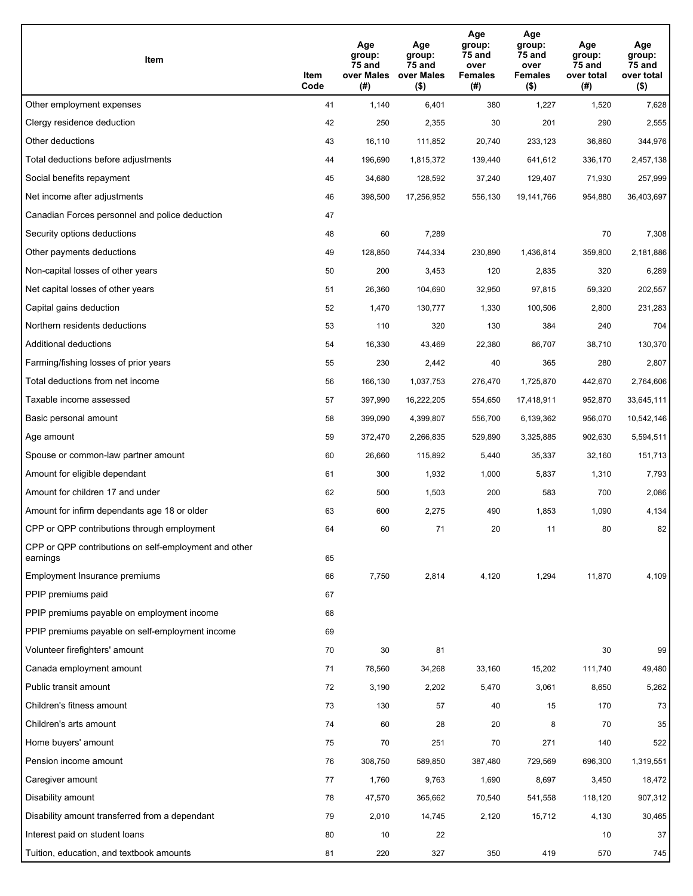| Item                                                              | Item<br>Code | Age<br>group:<br>75 and<br>over Males<br>(#) | Age<br>group:<br>75 and<br>over Males<br>$($ \$) | Age<br>group:<br>75 and<br>over<br><b>Females</b><br>(#) | Age<br>group:<br>75 and<br>over<br><b>Females</b><br>$($ \$) | Age<br>group:<br>75 and<br>over total<br>(#) | Age<br>group:<br>75 and<br>over total<br>$($ \$) |
|-------------------------------------------------------------------|--------------|----------------------------------------------|--------------------------------------------------|----------------------------------------------------------|--------------------------------------------------------------|----------------------------------------------|--------------------------------------------------|
| Other employment expenses                                         | 41           | 1,140                                        | 6,401                                            | 380                                                      | 1,227                                                        | 1,520                                        | 7,628                                            |
| Clergy residence deduction                                        | 42           | 250                                          | 2,355                                            | 30                                                       | 201                                                          | 290                                          | 2,555                                            |
| Other deductions                                                  | 43           | 16,110                                       | 111,852                                          | 20,740                                                   | 233,123                                                      | 36,860                                       | 344,976                                          |
| Total deductions before adjustments                               | 44           | 196,690                                      | 1,815,372                                        | 139,440                                                  | 641,612                                                      | 336,170                                      | 2,457,138                                        |
| Social benefits repayment                                         | 45           | 34,680                                       | 128,592                                          | 37,240                                                   | 129,407                                                      | 71,930                                       | 257,999                                          |
| Net income after adjustments                                      | 46           | 398,500                                      | 17,256,952                                       | 556,130                                                  | 19,141,766                                                   | 954,880                                      | 36,403,697                                       |
| Canadian Forces personnel and police deduction                    | 47           |                                              |                                                  |                                                          |                                                              |                                              |                                                  |
| Security options deductions                                       | 48           | 60                                           | 7,289                                            |                                                          |                                                              | 70                                           | 7,308                                            |
| Other payments deductions                                         | 49           | 128,850                                      | 744,334                                          | 230,890                                                  | 1,436,814                                                    | 359,800                                      | 2,181,886                                        |
| Non-capital losses of other years                                 | 50           | 200                                          | 3,453                                            | 120                                                      | 2,835                                                        | 320                                          | 6,289                                            |
| Net capital losses of other years                                 | 51           | 26,360                                       | 104,690                                          | 32,950                                                   | 97,815                                                       | 59,320                                       | 202,557                                          |
| Capital gains deduction                                           | 52           | 1,470                                        | 130,777                                          | 1,330                                                    | 100,506                                                      | 2,800                                        | 231,283                                          |
| Northern residents deductions                                     | 53           | 110                                          | 320                                              | 130                                                      | 384                                                          | 240                                          | 704                                              |
| Additional deductions                                             | 54           | 16,330                                       | 43,469                                           | 22,380                                                   | 86,707                                                       | 38,710                                       | 130,370                                          |
| Farming/fishing losses of prior years                             | 55           | 230                                          | 2,442                                            | 40                                                       | 365                                                          | 280                                          | 2,807                                            |
| Total deductions from net income                                  | 56           | 166,130                                      | 1,037,753                                        | 276,470                                                  | 1,725,870                                                    | 442,670                                      | 2,764,606                                        |
| Taxable income assessed                                           | 57           | 397,990                                      | 16,222,205                                       | 554,650                                                  | 17,418,911                                                   | 952,870                                      | 33,645,111                                       |
| Basic personal amount                                             | 58           | 399,090                                      | 4,399,807                                        | 556,700                                                  | 6,139,362                                                    | 956,070                                      | 10,542,146                                       |
| Age amount                                                        | 59           | 372,470                                      | 2,266,835                                        | 529,890                                                  | 3,325,885                                                    | 902,630                                      | 5,594,511                                        |
| Spouse or common-law partner amount                               | 60           | 26,660                                       | 115,892                                          | 5,440                                                    | 35,337                                                       | 32,160                                       | 151,713                                          |
| Amount for eligible dependant                                     | 61           | 300                                          | 1,932                                            | 1,000                                                    | 5,837                                                        | 1,310                                        | 7,793                                            |
| Amount for children 17 and under                                  | 62           | 500                                          | 1,503                                            | 200                                                      | 583                                                          | 700                                          | 2,086                                            |
| Amount for infirm dependants age 18 or older                      | 63           | 600                                          | 2,275                                            | 490                                                      | 1,853                                                        | 1,090                                        | 4,134                                            |
| CPP or QPP contributions through employment                       | 64           | 60                                           | 71                                               | 20                                                       | 11                                                           | 80                                           | 82                                               |
| CPP or QPP contributions on self-employment and other<br>earnings | 65           |                                              |                                                  |                                                          |                                                              |                                              |                                                  |
| Employment Insurance premiums                                     | 66           | 7,750                                        | 2,814                                            | 4,120                                                    | 1,294                                                        | 11,870                                       | 4,109                                            |
| PPIP premiums paid                                                | 67           |                                              |                                                  |                                                          |                                                              |                                              |                                                  |
| PPIP premiums payable on employment income                        | 68           |                                              |                                                  |                                                          |                                                              |                                              |                                                  |
| PPIP premiums payable on self-employment income                   | 69           |                                              |                                                  |                                                          |                                                              |                                              |                                                  |
| Volunteer firefighters' amount                                    | 70           | 30                                           | 81                                               |                                                          |                                                              | 30                                           | 99                                               |
| Canada employment amount                                          | 71           | 78,560                                       | 34,268                                           | 33,160                                                   | 15,202                                                       | 111,740                                      | 49,480                                           |
| Public transit amount                                             | 72           | 3,190                                        | 2,202                                            | 5,470                                                    | 3,061                                                        | 8,650                                        | 5,262                                            |
| Children's fitness amount                                         | 73           | 130                                          | 57                                               | 40                                                       | 15                                                           | 170                                          | 73                                               |
| Children's arts amount                                            | 74           | 60                                           | 28                                               | 20                                                       | 8                                                            | 70                                           | 35                                               |
| Home buyers' amount                                               | 75           | 70                                           | 251                                              | 70                                                       | 271                                                          | 140                                          | 522                                              |
| Pension income amount                                             | 76           | 308,750                                      | 589,850                                          | 387,480                                                  | 729,569                                                      | 696,300                                      | 1,319,551                                        |
| Caregiver amount                                                  | 77           | 1,760                                        | 9,763                                            | 1,690                                                    | 8,697                                                        | 3,450                                        | 18,472                                           |
| Disability amount                                                 | 78           | 47,570                                       | 365,662                                          | 70,540                                                   | 541,558                                                      | 118,120                                      | 907,312                                          |
| Disability amount transferred from a dependant                    | 79           | 2,010                                        | 14,745                                           | 2,120                                                    | 15,712                                                       | 4,130                                        | 30,465                                           |
| Interest paid on student loans                                    | 80           | 10                                           | 22                                               |                                                          |                                                              | 10                                           | 37                                               |
| Tuition, education, and textbook amounts                          | 81           | 220                                          | 327                                              | 350                                                      | 419                                                          | 570                                          | 745                                              |